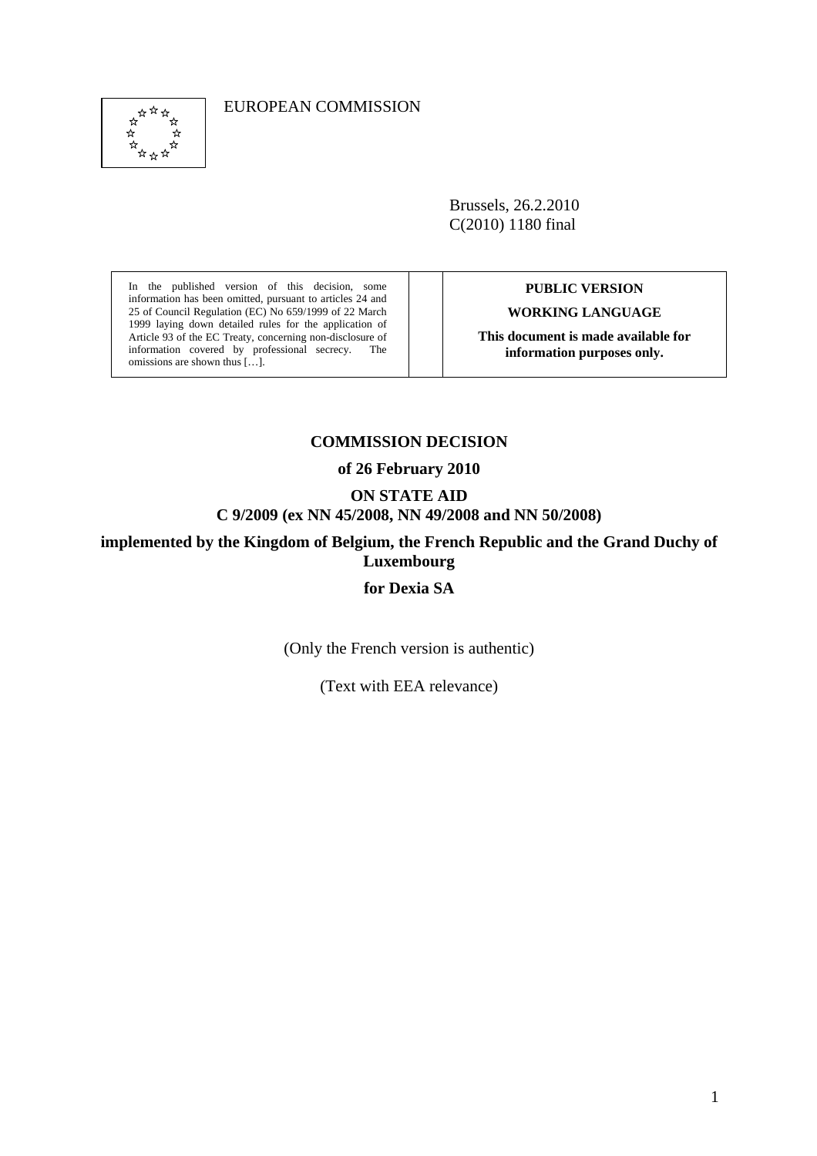

### EUROPEAN COMMISSION

Brussels, 26.2.2010 C(2010) 1180 final

In the published version of this decision, some information has been omitted, pursuant to articles 24 and 25 of Council Regulation (EC) No 659/1999 of 22 March 1999 laying down detailed rules for the application of Article 93 of the EC Treaty, concerning non-disclosure of information covered by professional secrecy. The omissions are shown thus […].

**PUBLIC VERSION** 

**WORKING LANGUAGE** 

**This document is made available for information purposes only.**

### **COMMISSION DECISION**

### **of 26 February 2010**

### **ON STATE AID**

## **C 9/2009 (ex NN 45/2008, NN 49/2008 and NN 50/2008)**

**implemented by the Kingdom of Belgium, the French Republic and the Grand Duchy of Luxembourg** 

### **for Dexia SA**

(Only the French version is authentic)

(Text with EEA relevance)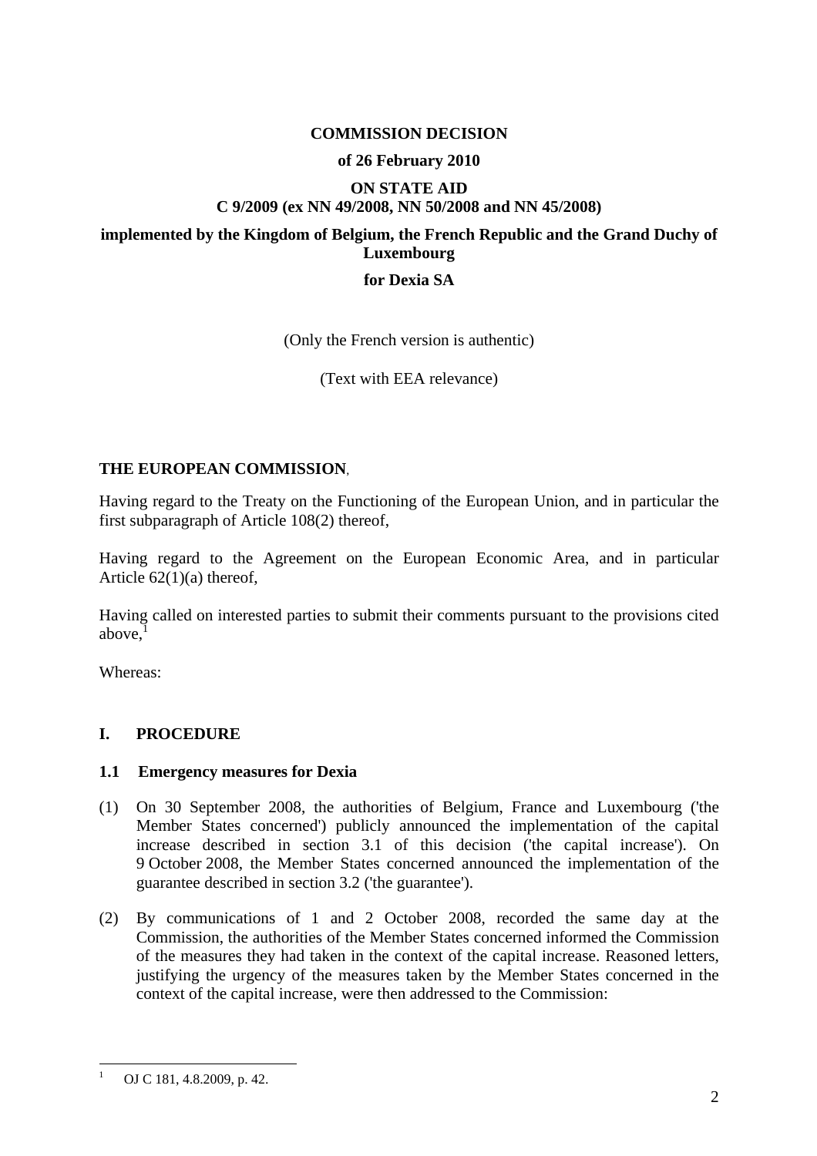## **COMMISSION DECISION**

### **of 26 February 2010**

## **ON STATE AID C 9/2009 (ex NN 49/2008, NN 50/2008 and NN 45/2008)**

# **implemented by the Kingdom of Belgium, the French Republic and the Grand Duchy of Luxembourg**

### **for Dexia SA**

(Only the French version is authentic)

(Text with EEA relevance)

### **THE EUROPEAN COMMISSION**,

Having regard to the Treaty on the Functioning of the European Union, and in particular the first subparagraph of Article 108(2) thereof,

Having regard to the Agreement on the European Economic Area, and in particular Article 62(1)(a) thereof,

Having called on interested parties to submit their comments pursuant to the provisions cited above.

Whereas:

# **I. PROCEDURE**

### **1.1 Emergency measures for Dexia**

- (1) On 30 September 2008, the authorities of Belgium, France and Luxembourg ('the Member States concerned') publicly announced the implementation of the capital increase described in section 3.1 of this decision ('the capital increase'). On 9 October 2008, the Member States concerned announced the implementation of the guarantee described in section 3.2 ('the guarantee').
- (2) By communications of 1 and 2 October 2008, recorded the same day at the Commission, the authorities of the Member States concerned informed the Commission of the measures they had taken in the context of the capital increase. Reasoned letters, justifying the urgency of the measures taken by the Member States concerned in the context of the capital increase, were then addressed to the Commission:

<sup>1</sup> OJ C 181, 4.8.2009, p. 42.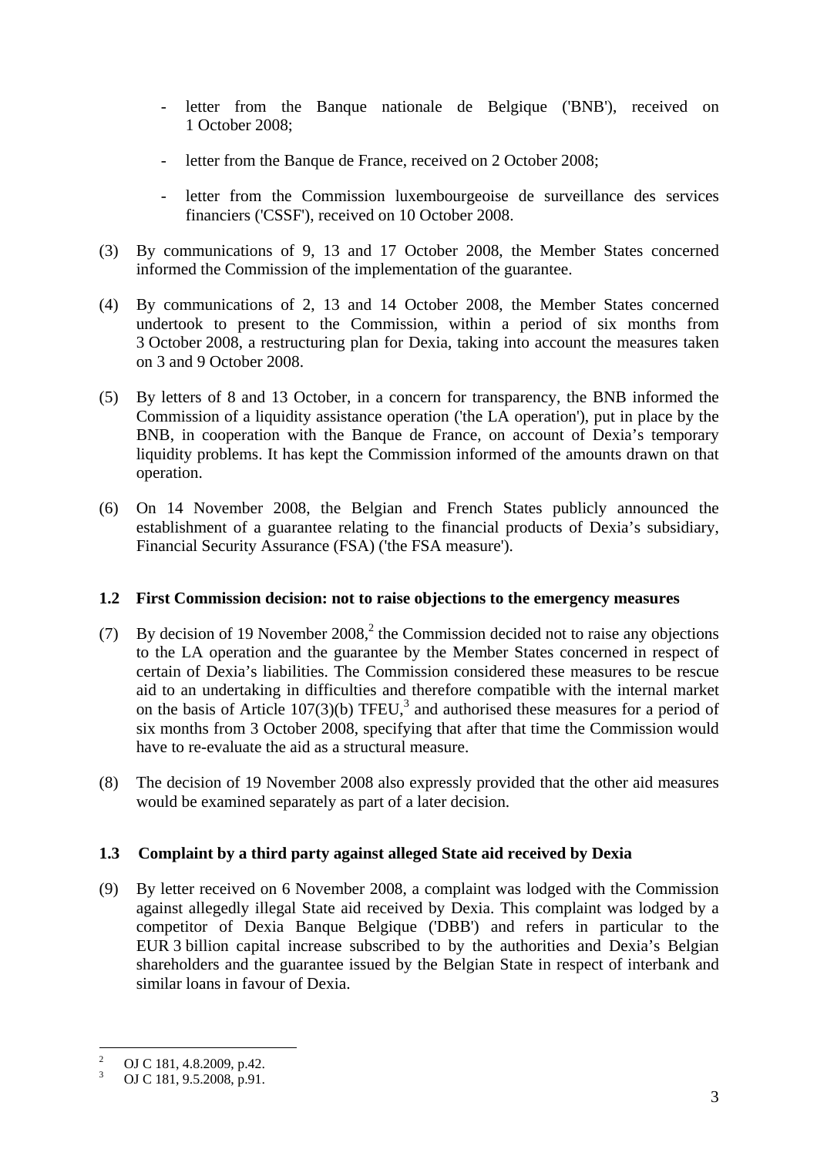- letter from the Banque nationale de Belgique ('BNB'), received on 1 October 2008;
- letter from the Banque de France, received on 2 October 2008;
- letter from the Commission luxembourgeoise de surveillance des services financiers ('CSSF'), received on 10 October 2008.
- (3) By communications of 9, 13 and 17 October 2008, the Member States concerned informed the Commission of the implementation of the guarantee.
- (4) By communications of 2, 13 and 14 October 2008, the Member States concerned undertook to present to the Commission, within a period of six months from 3 October 2008, a restructuring plan for Dexia, taking into account the measures taken on 3 and 9 October 2008.
- (5) By letters of 8 and 13 October, in a concern for transparency, the BNB informed the Commission of a liquidity assistance operation ('the LA operation'), put in place by the BNB, in cooperation with the Banque de France, on account of Dexia's temporary liquidity problems. It has kept the Commission informed of the amounts drawn on that operation.
- (6) On 14 November 2008, the Belgian and French States publicly announced the establishment of a guarantee relating to the financial products of Dexia's subsidiary, Financial Security Assurance (FSA) ('the FSA measure').

# **1.2 First Commission decision: not to raise objections to the emergency measures**

- (7) By decision of 19 November 2008,<sup>2</sup> the Commission decided not to raise any objections to the LA operation and the guarantee by the Member States concerned in respect of certain of Dexia's liabilities. The Commission considered these measures to be rescue aid to an undertaking in difficulties and therefore compatible with the internal market on the basis of Article  $107(3)(b)$  TFEU,<sup>3</sup> and authorised these measures for a period of six months from 3 October 2008, specifying that after that time the Commission would have to re-evaluate the aid as a structural measure.
- (8) The decision of 19 November 2008 also expressly provided that the other aid measures would be examined separately as part of a later decision.

# **1.3 Complaint by a third party against alleged State aid received by Dexia**

(9) By letter received on 6 November 2008, a complaint was lodged with the Commission against allegedly illegal State aid received by Dexia. This complaint was lodged by a competitor of Dexia Banque Belgique ('DBB') and refers in particular to the EUR 3 billion capital increase subscribed to by the authorities and Dexia's Belgian shareholders and the guarantee issued by the Belgian State in respect of interbank and similar loans in favour of Dexia.

<sup>2</sup> OJ C 181, 4.8.2009, p.42.

<sup>3</sup> OJ C 181, 9.5.2008, p.91.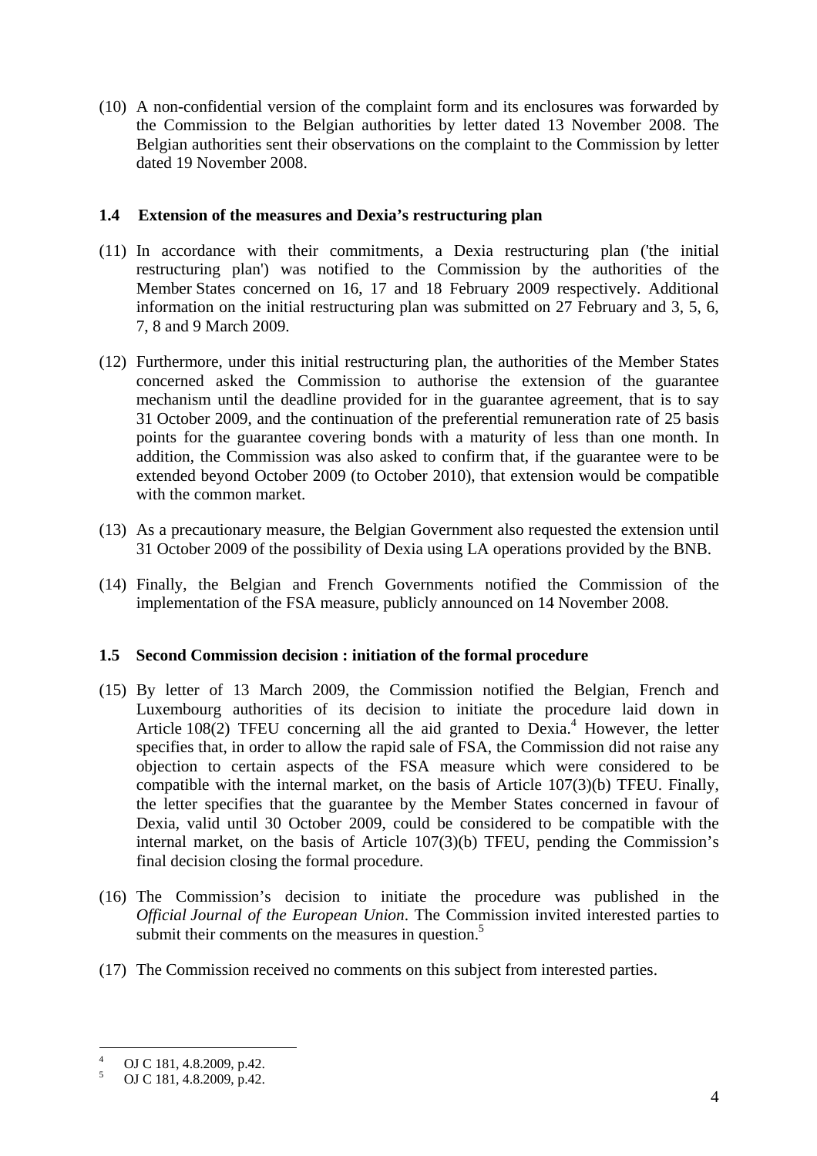(10) A non-confidential version of the complaint form and its enclosures was forwarded by the Commission to the Belgian authorities by letter dated 13 November 2008. The Belgian authorities sent their observations on the complaint to the Commission by letter dated 19 November 2008.

### **1.4 Extension of the measures and Dexia's restructuring plan**

- (11) In accordance with their commitments, a Dexia restructuring plan ('the initial restructuring plan') was notified to the Commission by the authorities of the Member States concerned on 16, 17 and 18 February 2009 respectively. Additional information on the initial restructuring plan was submitted on 27 February and 3, 5, 6, 7, 8 and 9 March 2009.
- (12) Furthermore, under this initial restructuring plan, the authorities of the Member States concerned asked the Commission to authorise the extension of the guarantee mechanism until the deadline provided for in the guarantee agreement, that is to say 31 October 2009, and the continuation of the preferential remuneration rate of 25 basis points for the guarantee covering bonds with a maturity of less than one month. In addition, the Commission was also asked to confirm that, if the guarantee were to be extended beyond October 2009 (to October 2010), that extension would be compatible with the common market.
- (13) As a precautionary measure, the Belgian Government also requested the extension until 31 October 2009 of the possibility of Dexia using LA operations provided by the BNB.
- (14) Finally, the Belgian and French Governments notified the Commission of the implementation of the FSA measure, publicly announced on 14 November 2008.

# **1.5 Second Commission decision : initiation of the formal procedure**

- (15) By letter of 13 March 2009, the Commission notified the Belgian, French and Luxembourg authorities of its decision to initiate the procedure laid down in Article  $108(2)$  TFEU concerning all the aid granted to Dexia.<sup>4</sup> However, the letter specifies that, in order to allow the rapid sale of FSA, the Commission did not raise any objection to certain aspects of the FSA measure which were considered to be compatible with the internal market, on the basis of Article 107(3)(b) TFEU. Finally, the letter specifies that the guarantee by the Member States concerned in favour of Dexia, valid until 30 October 2009, could be considered to be compatible with the internal market, on the basis of Article 107(3)(b) TFEU, pending the Commission's final decision closing the formal procedure.
- (16) The Commission's decision to initiate the procedure was published in the *Official Journal of the European Union*. The Commission invited interested parties to submit their comments on the measures in question.<sup>5</sup>
- (17) The Commission received no comments on this subject from interested parties.

<sup>4</sup> OJ C 181, 4.8.2009, p.42.

<sup>5</sup> OJ C 181, 4.8.2009, p.42.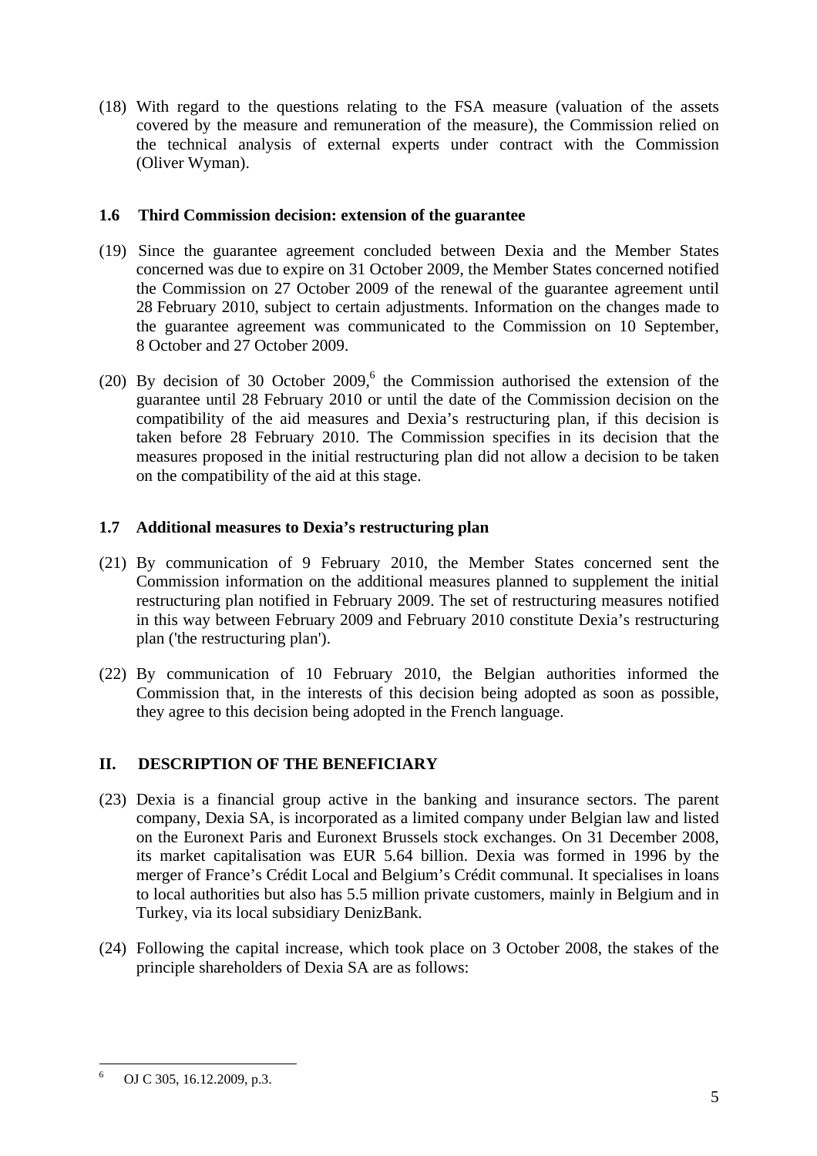(18) With regard to the questions relating to the FSA measure (valuation of the assets covered by the measure and remuneration of the measure), the Commission relied on the technical analysis of external experts under contract with the Commission (Oliver Wyman).

# **1.6 Third Commission decision: extension of the guarantee**

- (19) Since the guarantee agreement concluded between Dexia and the Member States concerned was due to expire on 31 October 2009, the Member States concerned notified the Commission on 27 October 2009 of the renewal of the guarantee agreement until 28 February 2010, subject to certain adjustments. Information on the changes made to the guarantee agreement was communicated to the Commission on 10 September, 8 October and 27 October 2009.
- (20) By decision of 30 October  $2009$ , the Commission authorised the extension of the guarantee until 28 February 2010 or until the date of the Commission decision on the compatibility of the aid measures and Dexia's restructuring plan, if this decision is taken before 28 February 2010. The Commission specifies in its decision that the measures proposed in the initial restructuring plan did not allow a decision to be taken on the compatibility of the aid at this stage.

# **1.7 Additional measures to Dexia's restructuring plan**

- (21) By communication of 9 February 2010, the Member States concerned sent the Commission information on the additional measures planned to supplement the initial restructuring plan notified in February 2009. The set of restructuring measures notified in this way between February 2009 and February 2010 constitute Dexia's restructuring plan ('the restructuring plan').
- (22) By communication of 10 February 2010, the Belgian authorities informed the Commission that, in the interests of this decision being adopted as soon as possible, they agree to this decision being adopted in the French language.

# **II. DESCRIPTION OF THE BENEFICIARY**

- (23) Dexia is a financial group active in the banking and insurance sectors. The parent company, Dexia SA, is incorporated as a limited company under Belgian law and listed on the Euronext Paris and Euronext Brussels stock exchanges. On 31 December 2008, its market capitalisation was EUR 5.64 billion. Dexia was formed in 1996 by the merger of France's Crédit Local and Belgium's Crédit communal. It specialises in loans to local authorities but also has 5.5 million private customers, mainly in Belgium and in Turkey, via its local subsidiary DenizBank.
- (24) Following the capital increase, which took place on 3 October 2008, the stakes of the principle shareholders of Dexia SA are as follows:

 $\overline{a}$ 6 OJ C 305, 16.12.2009, p.3.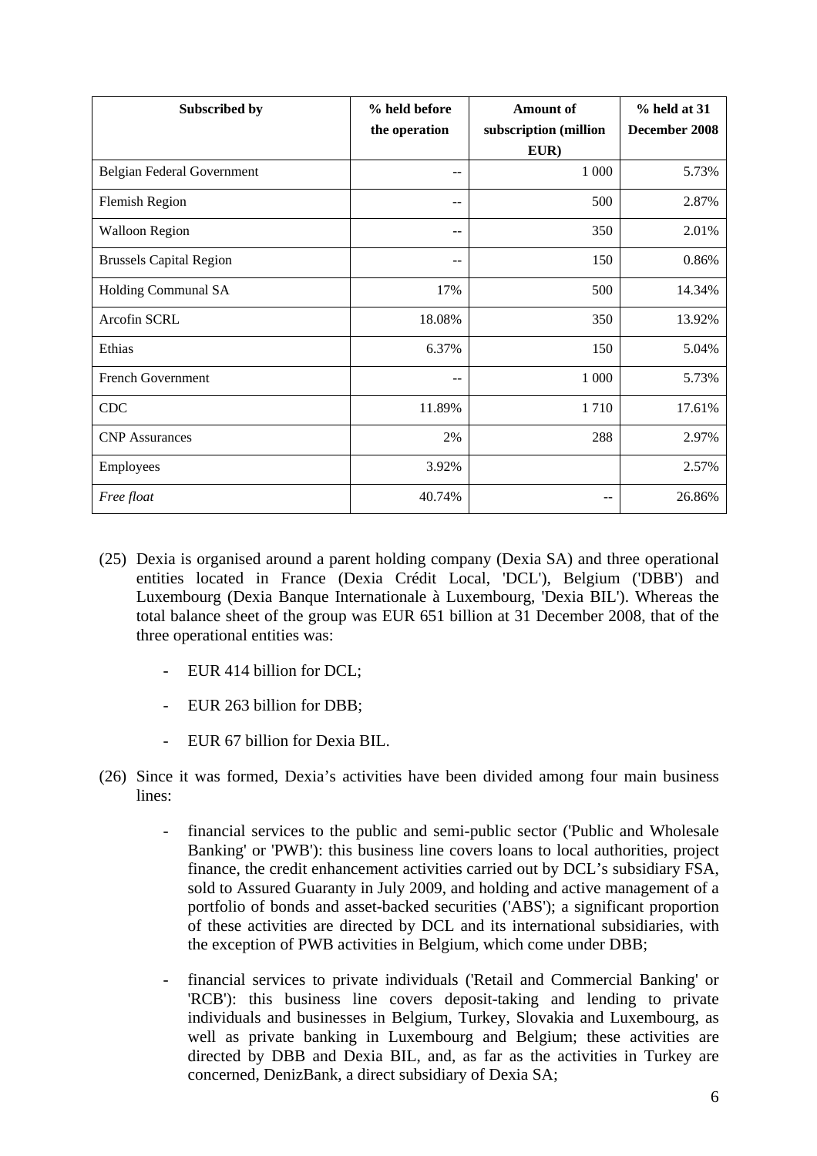| Subscribed by                  | % held before<br>the operation | <b>Amount of</b><br>subscription (million | $%$ held at 31<br>December 2008 |
|--------------------------------|--------------------------------|-------------------------------------------|---------------------------------|
|                                |                                | EUR)                                      |                                 |
| Belgian Federal Government     | --                             | 1 000                                     | 5.73%                           |
| <b>Flemish Region</b>          | --                             | 500                                       | 2.87%                           |
| <b>Walloon Region</b>          | --                             | 350                                       | 2.01%                           |
| <b>Brussels Capital Region</b> | $-$                            | 150                                       | 0.86%                           |
| Holding Communal SA            | 17%                            | 500                                       | 14.34%                          |
| Arcofin SCRL                   | 18.08%                         | 350                                       | 13.92%                          |
| Ethias                         | 6.37%                          | 150                                       | 5.04%                           |
| <b>French Government</b>       | $- -$                          | 1 0 0 0                                   | 5.73%                           |
| CDC                            | 11.89%                         | 1710                                      | 17.61%                          |
| <b>CNP</b> Assurances          | 2%                             | 288                                       | 2.97%                           |
| Employees                      | 3.92%                          |                                           | 2.57%                           |
| Free float                     | 40.74%                         | --                                        | 26.86%                          |

- (25) Dexia is organised around a parent holding company (Dexia SA) and three operational entities located in France (Dexia Crédit Local, 'DCL'), Belgium ('DBB') and Luxembourg (Dexia Banque Internationale à Luxembourg, 'Dexia BIL'). Whereas the total balance sheet of the group was EUR 651 billion at 31 December 2008, that of the three operational entities was:
	- EUR 414 billion for DCL;
	- EUR 263 billion for DBB;
	- EUR 67 billion for Dexia BIL.
- (26) Since it was formed, Dexia's activities have been divided among four main business lines:
	- financial services to the public and semi-public sector ('Public and Wholesale Banking' or 'PWB'): this business line covers loans to local authorities, project finance, the credit enhancement activities carried out by DCL's subsidiary FSA, sold to Assured Guaranty in July 2009, and holding and active management of a portfolio of bonds and asset-backed securities ('ABS'); a significant proportion of these activities are directed by DCL and its international subsidiaries, with the exception of PWB activities in Belgium, which come under DBB;
	- financial services to private individuals ('Retail and Commercial Banking' or 'RCB'): this business line covers deposit-taking and lending to private individuals and businesses in Belgium, Turkey, Slovakia and Luxembourg, as well as private banking in Luxembourg and Belgium; these activities are directed by DBB and Dexia BIL, and, as far as the activities in Turkey are concerned, DenizBank, a direct subsidiary of Dexia SA;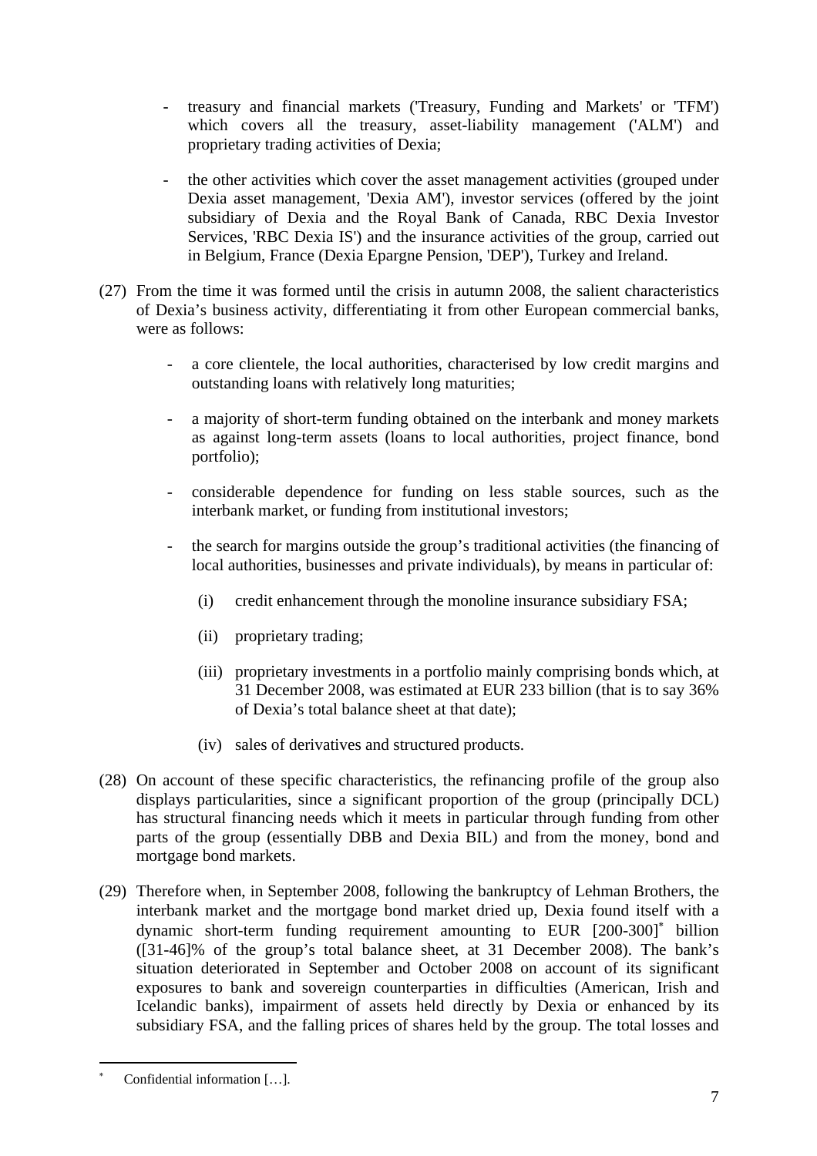- treasury and financial markets ('Treasury, Funding and Markets' or 'TFM') which covers all the treasury, asset-liability management ('ALM') and proprietary trading activities of Dexia;
- the other activities which cover the asset management activities (grouped under Dexia asset management, 'Dexia AM'), investor services (offered by the joint subsidiary of Dexia and the Royal Bank of Canada, RBC Dexia Investor Services, 'RBC Dexia IS') and the insurance activities of the group, carried out in Belgium, France (Dexia Epargne Pension, 'DEP'), Turkey and Ireland.
- (27) From the time it was formed until the crisis in autumn 2008, the salient characteristics of Dexia's business activity, differentiating it from other European commercial banks, were as follows:
	- a core clientele, the local authorities, characterised by low credit margins and outstanding loans with relatively long maturities;
	- a majority of short-term funding obtained on the interbank and money markets as against long-term assets (loans to local authorities, project finance, bond portfolio);
	- considerable dependence for funding on less stable sources, such as the interbank market, or funding from institutional investors;
	- the search for margins outside the group's traditional activities (the financing of local authorities, businesses and private individuals), by means in particular of:
		- (i) credit enhancement through the monoline insurance subsidiary FSA;
		- (ii) proprietary trading;
		- (iii) proprietary investments in a portfolio mainly comprising bonds which, at 31 December 2008, was estimated at EUR 233 billion (that is to say 36% of Dexia's total balance sheet at that date);
		- (iv) sales of derivatives and structured products.
- (28) On account of these specific characteristics, the refinancing profile of the group also displays particularities, since a significant proportion of the group (principally DCL) has structural financing needs which it meets in particular through funding from other parts of the group (essentially DBB and Dexia BIL) and from the money, bond and mortgage bond markets.
- (29) Therefore when, in September 2008, following the bankruptcy of Lehman Brothers, the interbank market and the mortgage bond market dried up, Dexia found itself with a dynamic short-term funding requirement amounting to EUR [200-300]<sup>∗</sup> billion ([31-46]% of the group's total balance sheet, at 31 December 2008). The bank's situation deteriorated in September and October 2008 on account of its significant exposures to bank and sovereign counterparties in difficulties (American, Irish and Icelandic banks), impairment of assets held directly by Dexia or enhanced by its subsidiary FSA, and the falling prices of shares held by the group. The total losses and

<sup>∗</sup> Confidential information […].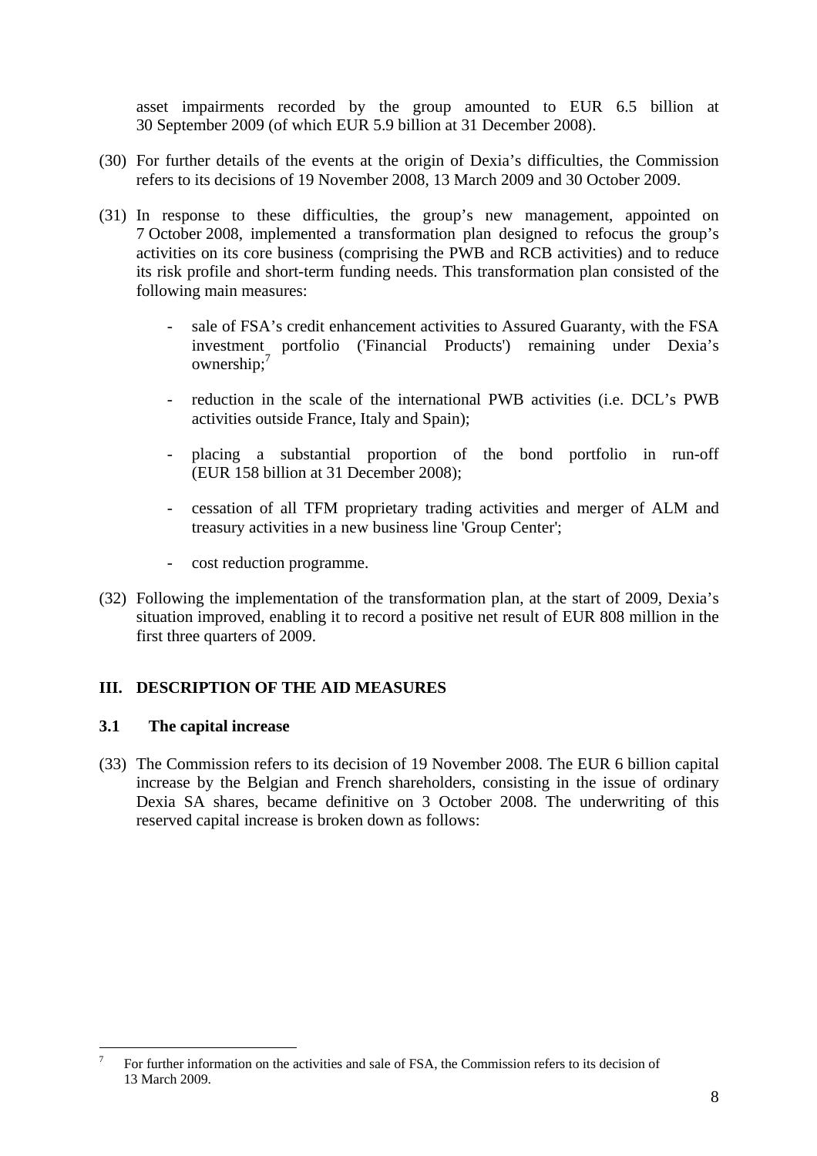asset impairments recorded by the group amounted to EUR 6.5 billion at 30 September 2009 (of which EUR 5.9 billion at 31 December 2008).

- (30) For further details of the events at the origin of Dexia's difficulties, the Commission refers to its decisions of 19 November 2008, 13 March 2009 and 30 October 2009.
- (31) In response to these difficulties, the group's new management, appointed on 7 October 2008, implemented a transformation plan designed to refocus the group's activities on its core business (comprising the PWB and RCB activities) and to reduce its risk profile and short-term funding needs. This transformation plan consisted of the following main measures:
	- sale of FSA's credit enhancement activities to Assured Guaranty, with the FSA investment portfolio ('Financial Products') remaining under Dexia's ownership;<sup>7</sup>
	- reduction in the scale of the international PWB activities (i.e. DCL's PWB activities outside France, Italy and Spain);
	- placing a substantial proportion of the bond portfolio in run-off (EUR 158 billion at 31 December 2008);
	- cessation of all TFM proprietary trading activities and merger of ALM and treasury activities in a new business line 'Group Center';
	- cost reduction programme.
- (32) Following the implementation of the transformation plan, at the start of 2009, Dexia's situation improved, enabling it to record a positive net result of EUR 808 million in the first three quarters of 2009.

# **III. DESCRIPTION OF THE AID MEASURES**

### **3.1 The capital increase**

 $\overline{a}$ 

(33) The Commission refers to its decision of 19 November 2008. The EUR 6 billion capital increase by the Belgian and French shareholders, consisting in the issue of ordinary Dexia SA shares, became definitive on 3 October 2008. The underwriting of this reserved capital increase is broken down as follows:

<sup>7</sup> For further information on the activities and sale of FSA, the Commission refers to its decision of 13 March 2009.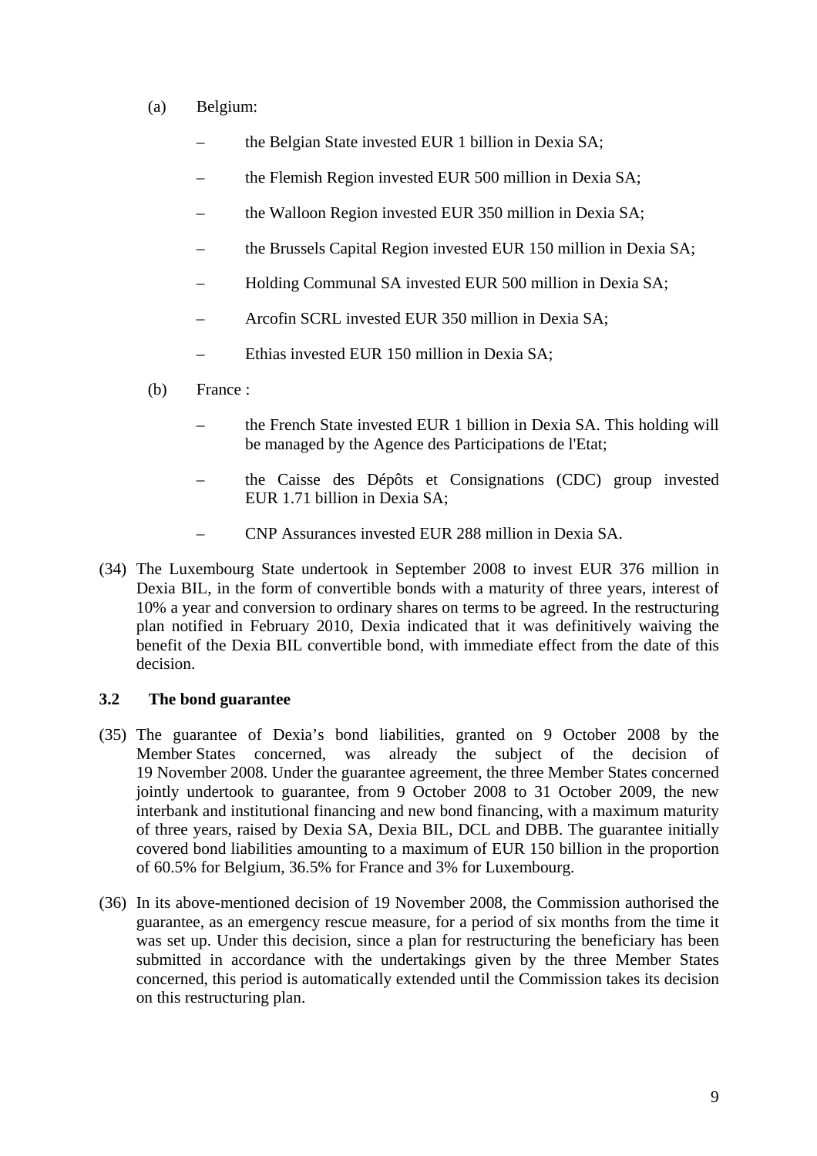- (a) Belgium:
	- the Belgian State invested EUR 1 billion in Dexia SA;
	- the Flemish Region invested EUR 500 million in Dexia SA;
	- the Walloon Region invested EUR 350 million in Dexia SA;
	- the Brussels Capital Region invested EUR 150 million in Dexia SA;
	- Holding Communal SA invested EUR 500 million in Dexia SA;
	- Arcofin SCRL invested EUR 350 million in Dexia SA;
	- Ethias invested EUR 150 million in Dexia SA;
- (b) France :
	- the French State invested EUR 1 billion in Dexia SA. This holding will be managed by the Agence des Participations de l'Etat;
	- the Caisse des Dépôts et Consignations (CDC) group invested EUR 1.71 billion in Dexia SA;
	- CNP Assurances invested EUR 288 million in Dexia SA.
- (34) The Luxembourg State undertook in September 2008 to invest EUR 376 million in Dexia BIL, in the form of convertible bonds with a maturity of three years, interest of 10% a year and conversion to ordinary shares on terms to be agreed. In the restructuring plan notified in February 2010, Dexia indicated that it was definitively waiving the benefit of the Dexia BIL convertible bond, with immediate effect from the date of this decision.

# **3.2 The bond guarantee**

- (35) The guarantee of Dexia's bond liabilities, granted on 9 October 2008 by the Member States concerned, was already the subject of the decision of 19 November 2008. Under the guarantee agreement, the three Member States concerned jointly undertook to guarantee, from 9 October 2008 to 31 October 2009, the new interbank and institutional financing and new bond financing, with a maximum maturity of three years, raised by Dexia SA, Dexia BIL, DCL and DBB. The guarantee initially covered bond liabilities amounting to a maximum of EUR 150 billion in the proportion of 60.5% for Belgium, 36.5% for France and 3% for Luxembourg.
- (36) In its above-mentioned decision of 19 November 2008, the Commission authorised the guarantee, as an emergency rescue measure, for a period of six months from the time it was set up. Under this decision, since a plan for restructuring the beneficiary has been submitted in accordance with the undertakings given by the three Member States concerned, this period is automatically extended until the Commission takes its decision on this restructuring plan.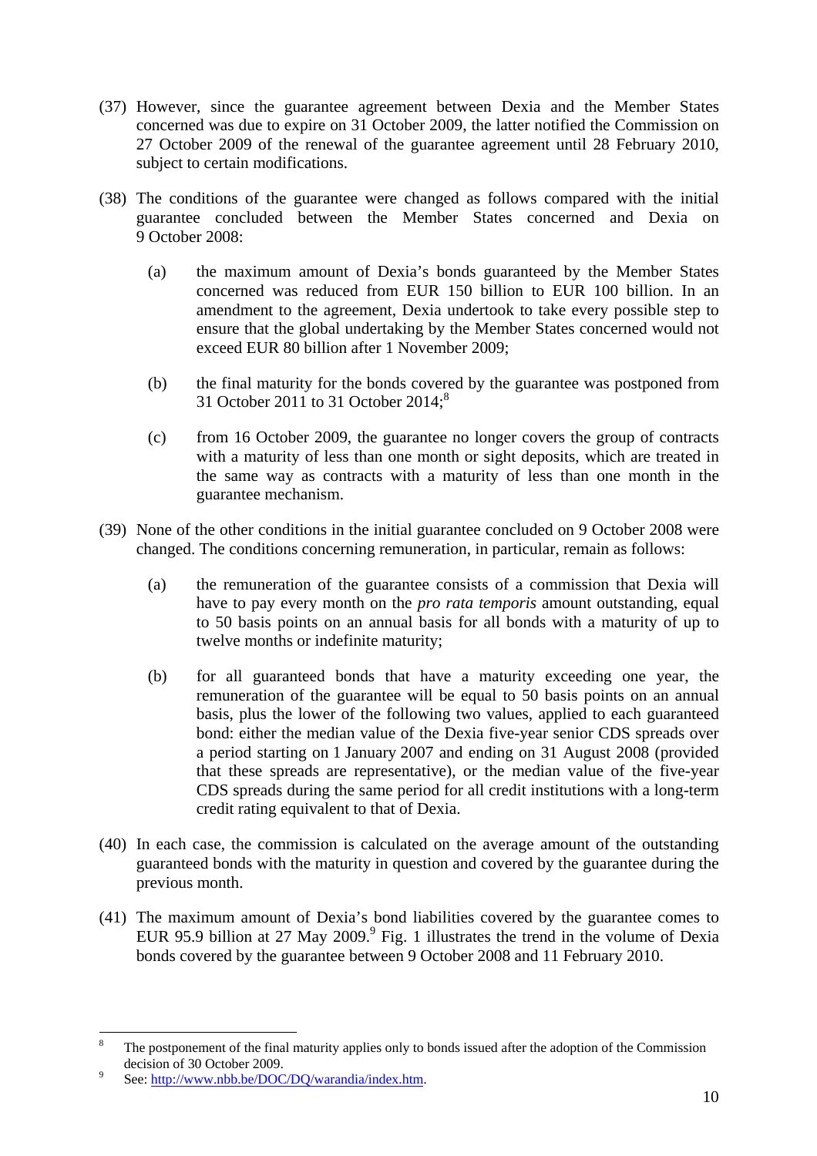- (37) However, since the guarantee agreement between Dexia and the Member States concerned was due to expire on 31 October 2009, the latter notified the Commission on 27 October 2009 of the renewal of the guarantee agreement until 28 February 2010, subject to certain modifications.
- (38) The conditions of the guarantee were changed as follows compared with the initial guarantee concluded between the Member States concerned and Dexia on 9 October 2008:
	- (a) the maximum amount of Dexia's bonds guaranteed by the Member States concerned was reduced from EUR 150 billion to EUR 100 billion. In an amendment to the agreement, Dexia undertook to take every possible step to ensure that the global undertaking by the Member States concerned would not exceed EUR 80 billion after 1 November 2009;
	- (b) the final maturity for the bonds covered by the guarantee was postponed from 31 October 2011 to 31 October  $2014$ ;<sup>8</sup>
	- (c) from 16 October 2009, the guarantee no longer covers the group of contracts with a maturity of less than one month or sight deposits, which are treated in the same way as contracts with a maturity of less than one month in the guarantee mechanism.
- (39) None of the other conditions in the initial guarantee concluded on 9 October 2008 were changed. The conditions concerning remuneration, in particular, remain as follows:
	- (a) the remuneration of the guarantee consists of a commission that Dexia will have to pay every month on the *pro rata temporis* amount outstanding, equal to 50 basis points on an annual basis for all bonds with a maturity of up to twelve months or indefinite maturity;
	- (b) for all guaranteed bonds that have a maturity exceeding one year, the remuneration of the guarantee will be equal to 50 basis points on an annual basis, plus the lower of the following two values, applied to each guaranteed bond: either the median value of the Dexia five-year senior CDS spreads over a period starting on 1 January 2007 and ending on 31 August 2008 (provided that these spreads are representative), or the median value of the five-year CDS spreads during the same period for all credit institutions with a long-term credit rating equivalent to that of Dexia.
- (40) In each case, the commission is calculated on the average amount of the outstanding guaranteed bonds with the maturity in question and covered by the guarantee during the previous month.
- (41) The maximum amount of Dexia's bond liabilities covered by the guarantee comes to EUR 95.9 billion at 27 May 2009.<sup>9</sup> Fig. 1 illustrates the trend in the volume of Dexia bonds covered by the guarantee between 9 October 2008 and 11 February 2010.

 8 The postponement of the final maturity applies only to bonds issued after the adoption of the Commission decision of 30 October 2009.

[See: http://www.nbb.be/DOC/DQ/warandia/index.htm.](http://www.nbb.be/DOC/DQ/warandia/index.htm)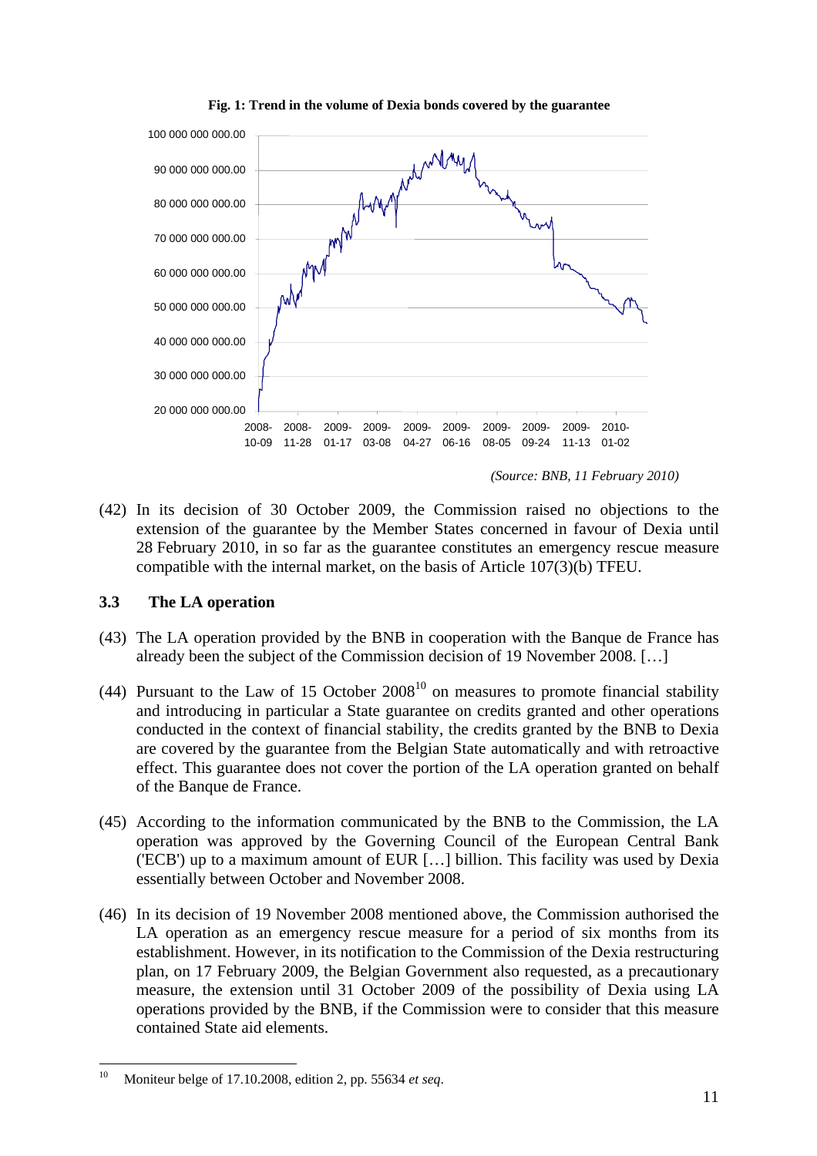

**Fig. 1: Trend in the volume of Dexia bonds covered by the guarantee** 

(42) In its decision of 30 October 2009, the Commission raised no objections to the extension of the guarantee by the Member States concerned in favour of Dexia until 28 February 2010, in so far as the guarantee constitutes an emergency rescue measure compatible with the internal market, on the basis of Article 107(3)(b) TFEU.

# **3.3 The LA operation**

- (43) The LA operation provided by the BNB in cooperation with the Banque de France has already been the subject of the Commission decision of 19 November 2008. […]
- (44) Pursuant to the Law of 15 October  $2008^{10}$  on measures to promote financial stability and introducing in particular a State guarantee on credits granted and other operations conducted in the context of financial stability, the credits granted by the BNB to Dexia are covered by the guarantee from the Belgian State automatically and with retroactive effect. This guarantee does not cover the portion of the LA operation granted on behalf of the Banque de France.
- (45) According to the information communicated by the BNB to the Commission, the LA operation was approved by the Governing Council of the European Central Bank ('ECB') up to a maximum amount of EUR […] billion. This facility was used by Dexia essentially between October and November 2008.
- (46) In its decision of 19 November 2008 mentioned above, the Commission authorised the LA operation as an emergency rescue measure for a period of six months from its establishment. However, in its notification to the Commission of the Dexia restructuring plan, on 17 February 2009, the Belgian Government also requested, as a precautionary measure, the extension until 31 October 2009 of the possibility of Dexia using LA operations provided by the BNB, if the Commission were to consider that this measure contained State aid elements.

*<sup>(</sup>Source: BNB, 11 February 2010)* 

 $10$ 10 Moniteur belge of 17.10.2008, edition 2, pp. 55634 *et seq*.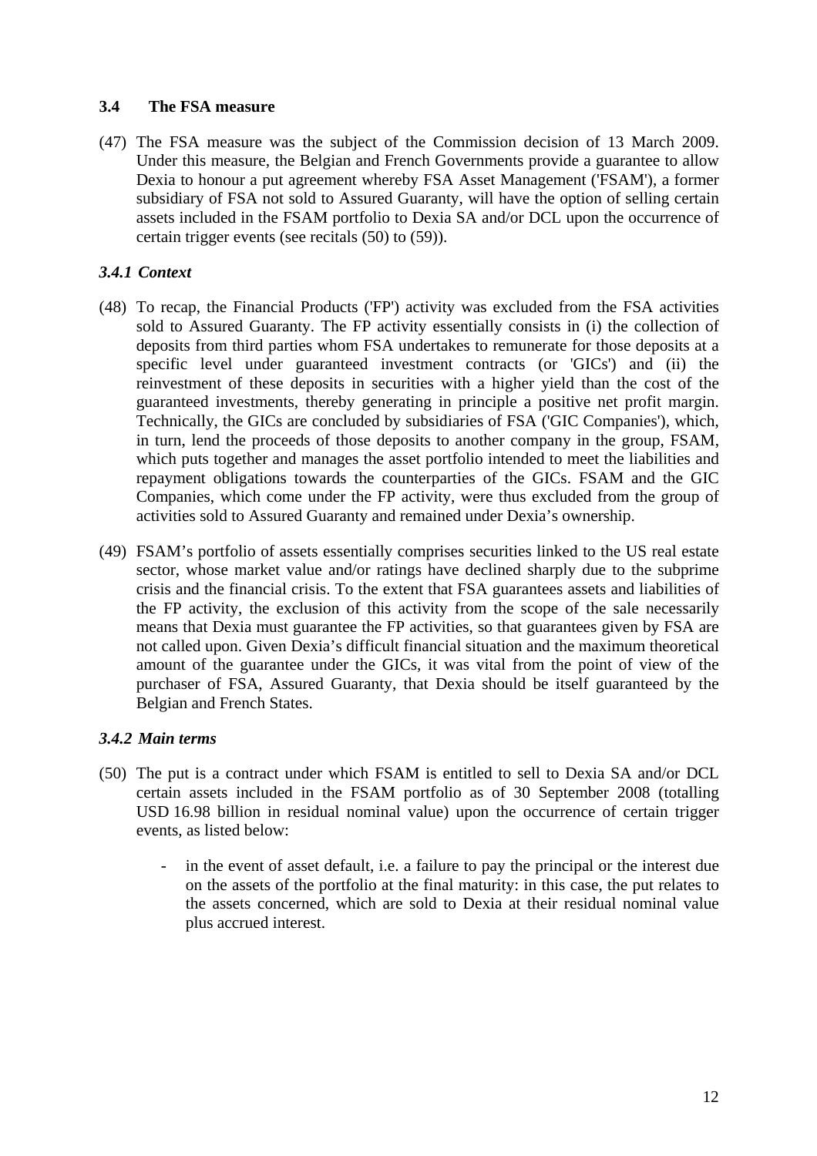# **3.4 The FSA measure**

(47) The FSA measure was the subject of the Commission decision of 13 March 2009. Under this measure, the Belgian and French Governments provide a guarantee to allow Dexia to honour a put agreement whereby FSA Asset Management ('FSAM'), a former subsidiary of FSA not sold to Assured Guaranty, will have the option of selling certain assets included in the FSAM portfolio to Dexia SA and/or DCL upon the occurrence of certain trigger events (see recitals (50) to (59)).

# *3.4.1 Context*

- (48) To recap, the Financial Products ('FP') activity was excluded from the FSA activities sold to Assured Guaranty. The FP activity essentially consists in (i) the collection of deposits from third parties whom FSA undertakes to remunerate for those deposits at a specific level under guaranteed investment contracts (or 'GICs') and (ii) the reinvestment of these deposits in securities with a higher yield than the cost of the guaranteed investments, thereby generating in principle a positive net profit margin. Technically, the GICs are concluded by subsidiaries of FSA ('GIC Companies'), which, in turn, lend the proceeds of those deposits to another company in the group, FSAM, which puts together and manages the asset portfolio intended to meet the liabilities and repayment obligations towards the counterparties of the GICs. FSAM and the GIC Companies, which come under the FP activity, were thus excluded from the group of activities sold to Assured Guaranty and remained under Dexia's ownership.
- (49) FSAM's portfolio of assets essentially comprises securities linked to the US real estate sector, whose market value and/or ratings have declined sharply due to the subprime crisis and the financial crisis. To the extent that FSA guarantees assets and liabilities of the FP activity, the exclusion of this activity from the scope of the sale necessarily means that Dexia must guarantee the FP activities, so that guarantees given by FSA are not called upon. Given Dexia's difficult financial situation and the maximum theoretical amount of the guarantee under the GICs, it was vital from the point of view of the purchaser of FSA, Assured Guaranty, that Dexia should be itself guaranteed by the Belgian and French States.

# *3.4.2 Main terms*

- (50) The put is a contract under which FSAM is entitled to sell to Dexia SA and/or DCL certain assets included in the FSAM portfolio as of 30 September 2008 (totalling USD 16.98 billion in residual nominal value) upon the occurrence of certain trigger events, as listed below:
	- in the event of asset default, i.e. a failure to pay the principal or the interest due on the assets of the portfolio at the final maturity: in this case, the put relates to the assets concerned, which are sold to Dexia at their residual nominal value plus accrued interest.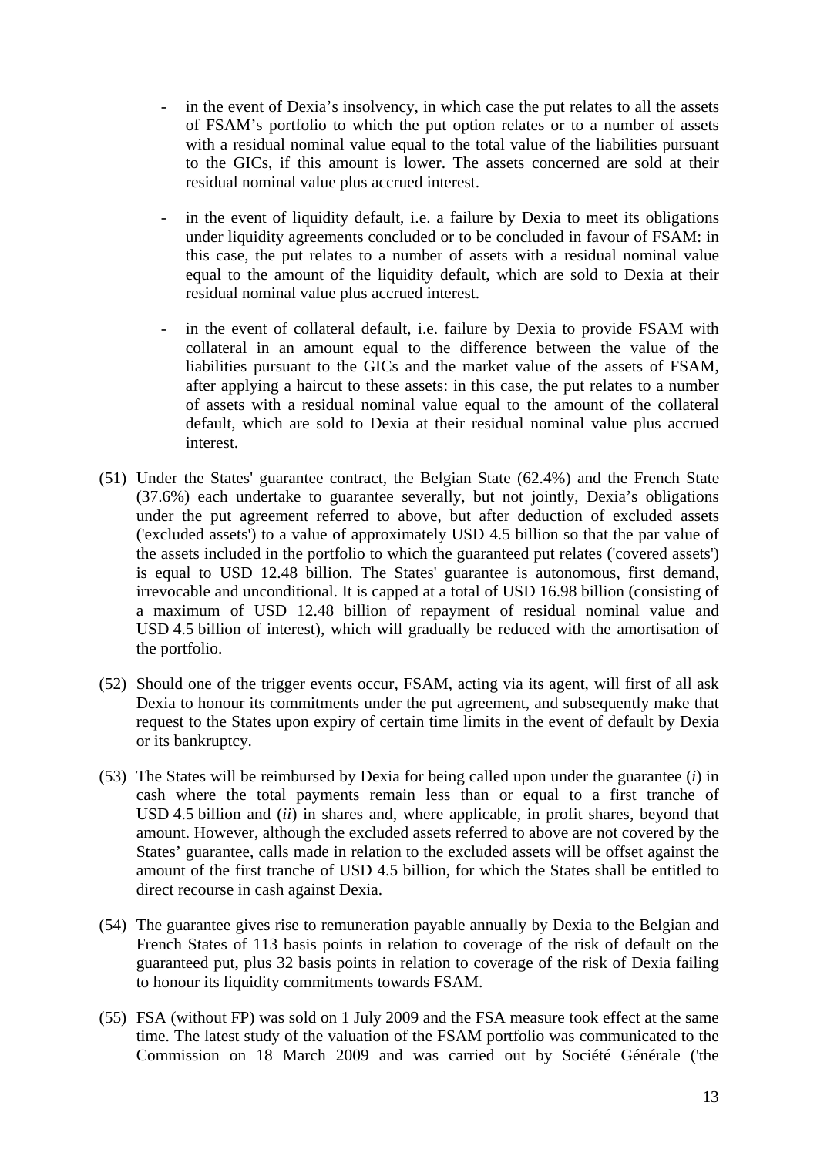- in the event of Dexia's insolvency, in which case the put relates to all the assets of FSAM's portfolio to which the put option relates or to a number of assets with a residual nominal value equal to the total value of the liabilities pursuant to the GICs, if this amount is lower. The assets concerned are sold at their residual nominal value plus accrued interest.
- in the event of liquidity default, i.e. a failure by Dexia to meet its obligations under liquidity agreements concluded or to be concluded in favour of FSAM: in this case, the put relates to a number of assets with a residual nominal value equal to the amount of the liquidity default, which are sold to Dexia at their residual nominal value plus accrued interest.
- in the event of collateral default, i.e. failure by Dexia to provide FSAM with collateral in an amount equal to the difference between the value of the liabilities pursuant to the GICs and the market value of the assets of FSAM, after applying a haircut to these assets: in this case, the put relates to a number of assets with a residual nominal value equal to the amount of the collateral default, which are sold to Dexia at their residual nominal value plus accrued interest.
- (51) Under the States' guarantee contract, the Belgian State (62.4%) and the French State (37.6%) each undertake to guarantee severally, but not jointly, Dexia's obligations under the put agreement referred to above, but after deduction of excluded assets ('excluded assets') to a value of approximately USD 4.5 billion so that the par value of the assets included in the portfolio to which the guaranteed put relates ('covered assets') is equal to USD 12.48 billion. The States' guarantee is autonomous, first demand, irrevocable and unconditional. It is capped at a total of USD 16.98 billion (consisting of a maximum of USD 12.48 billion of repayment of residual nominal value and USD 4.5 billion of interest), which will gradually be reduced with the amortisation of the portfolio.
- (52) Should one of the trigger events occur, FSAM, acting via its agent, will first of all ask Dexia to honour its commitments under the put agreement, and subsequently make that request to the States upon expiry of certain time limits in the event of default by Dexia or its bankruptcy.
- (53) The States will be reimbursed by Dexia for being called upon under the guarantee (*i*) in cash where the total payments remain less than or equal to a first tranche of USD 4.5 billion and (*ii*) in shares and, where applicable, in profit shares, beyond that amount. However, although the excluded assets referred to above are not covered by the States' guarantee, calls made in relation to the excluded assets will be offset against the amount of the first tranche of USD 4.5 billion, for which the States shall be entitled to direct recourse in cash against Dexia.
- (54) The guarantee gives rise to remuneration payable annually by Dexia to the Belgian and French States of 113 basis points in relation to coverage of the risk of default on the guaranteed put, plus 32 basis points in relation to coverage of the risk of Dexia failing to honour its liquidity commitments towards FSAM.
- (55) FSA (without FP) was sold on 1 July 2009 and the FSA measure took effect at the same time. The latest study of the valuation of the FSAM portfolio was communicated to the Commission on 18 March 2009 and was carried out by Société Générale ('the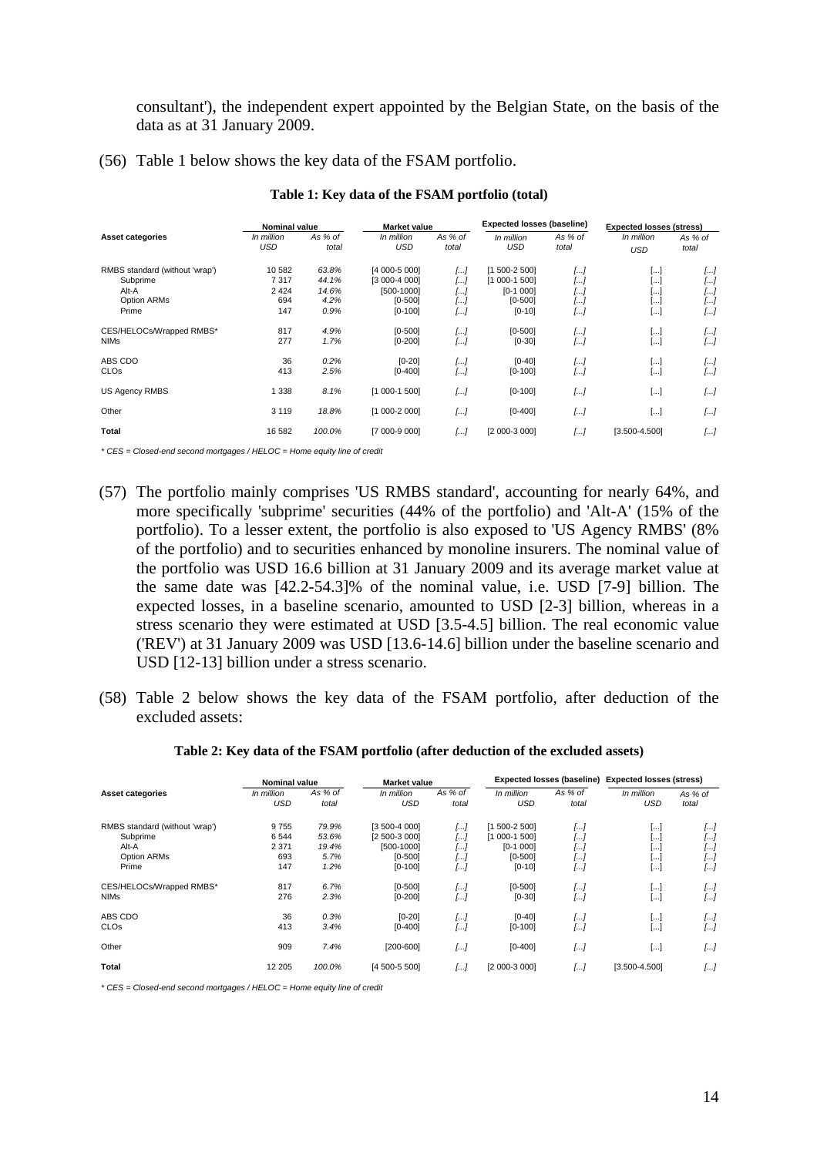consultant'), the independent expert appointed by the Belgian State, on the basis of the data as at 31 January 2009.

### (56) Table 1 below shows the key data of the FSAM portfolio.

|                                | <b>Nominal value</b> |         |                   | <b>Market value</b> |                   | <b>Expected losses (baseline)</b> |                   | <b>Expected losses (stress)</b> |  |
|--------------------------------|----------------------|---------|-------------------|---------------------|-------------------|-----------------------------------|-------------------|---------------------------------|--|
| Asset categories               | In million           | As % of | In million        | As % of             | In million        | As % of                           | In million        | As % of                         |  |
|                                | <b>USD</b>           | total   | <b>USD</b>        | total               | <b>USD</b>        | total                             | USD               | total                           |  |
| RMBS standard (without 'wrap') | 10 582               | 63.8%   | [4 000-5 000]     | []                  | [1 500-2 500]     | []                                | []                | []                              |  |
| Subprime                       | 7317                 | 44.1%   | [3 000-4 000]     | []                  | $[1 000 - 1 500]$ | []                                | […]               | []                              |  |
| Alt-A                          | 2 4 2 4              | 14.6%   | [500-1000]        | []                  | $[0-1 000]$       | []                                | []                | []                              |  |
| Option ARMs                    | 694                  | 4.2%    | $[0 - 500]$       | []                  | $[0 - 500]$       | []                                | […]               | []                              |  |
| Prime                          | 147                  | 0.9%    | $[0-100]$         | []                  | $[0-10]$          | []                                | […]               | []                              |  |
| CES/HELOCs/Wrapped RMBS*       | 817                  | 4.9%    | $[0 - 500]$       | []                  | $[0 - 500]$       | []                                | […]               | []                              |  |
| <b>NIMs</b>                    | 277                  | 1.7%    | $[0-200]$         | []                  | $[0-30]$          | []                                | []                | []                              |  |
| ABS CDO                        | 36                   | 0.2%    | $[0-20]$          | []                  | $[0-40]$          | []                                | […]               | []                              |  |
| <b>CLO<sub>s</sub></b>         | 413                  | 2.5%    | $[0-400]$         | []                  | $[0 - 100]$       | []                                | […]               | []                              |  |
| <b>US Agency RMBS</b>          | 1 3 3 8              | 8.1%    | $[1 000 - 1 500]$ | []                  | $[0 - 100]$       | []                                | []                | []                              |  |
| Other                          | 3 1 1 9              | 18.8%   | [1 000-2 000]     | []                  | $[0 - 400]$       | []                                | […]               | []                              |  |
| Total                          | 16 582               | 100.0%  | [7 000-9 000]     | []                  | [2 000-3 000]     | []                                | $[3.500 - 4.500]$ | []                              |  |

#### **Table 1: Key data of the FSAM portfolio (total)**

*\* CES = Closed-end second mortgages / HELOC = Home equity line of credit*

- (57) The portfolio mainly comprises 'US RMBS standard', accounting for nearly 64%, and more specifically 'subprime' securities (44% of the portfolio) and 'Alt-A' (15% of the portfolio). To a lesser extent, the portfolio is also exposed to 'US Agency RMBS' (8% of the portfolio) and to securities enhanced by monoline insurers. The nominal value of the portfolio was USD 16.6 billion at 31 January 2009 and its average market value at the same date was [42.2-54.3]% of the nominal value, i.e. USD [7-9] billion. The expected losses, in a baseline scenario, amounted to USD [2-3] billion, whereas in a stress scenario they were estimated at USD [3.5-4.5] billion. The real economic value ('REV') at 31 January 2009 was USD [13.6-14.6] billion under the baseline scenario and USD [12-13] billion under a stress scenario.
- (58) Table 2 below shows the key data of the FSAM portfolio, after deduction of the excluded assets:

|                                |            | <b>Nominal value</b> |               | <b>Market value</b> |                   | Expected losses (baseline) Expected losses (stress) |                   |         |  |
|--------------------------------|------------|----------------------|---------------|---------------------|-------------------|-----------------------------------------------------|-------------------|---------|--|
| <b>Asset categories</b>        | In million | As % of              | In million    | As % of             | In million        | As % of                                             | In million        | As % of |  |
|                                | <b>USD</b> | total                | <b>USD</b>    | total               | <b>USD</b>        | total                                               | <b>USD</b>        | total   |  |
| RMBS standard (without 'wrap') | 9755       | 79.9%                | [3 500-4 000] | []                  | $[1 500 - 2 500]$ | []                                                  | […]               | []      |  |
| Subprime                       | 6544       | 53.6%                | [2 500-3 000] | II                  | $[1 000 - 1 500]$ | []                                                  | […]               | []      |  |
| Alt-A                          | 2 3 7 1    | 19.4%                | [500-1000]    | []                  | $[0-1 000]$       | l…]                                                 | []                | ŀ…J     |  |
| Option ARMs                    | 693        | 5.7%                 | $[0 - 500]$   | []                  | $[0 - 500]$       | []                                                  | []                | []      |  |
| Prime                          | 147        | 1.2%                 | $[0-100]$     | []                  | $[0-10]$          | []                                                  | […]               | []      |  |
| CES/HELOCs/Wrapped RMBS*       | 817        | 6.7%                 | $[0 - 500]$   | []                  | $[0 - 500]$       | []                                                  | $[]$              | []      |  |
| <b>NIMs</b>                    | 276        | 2.3%                 | $[0-200]$     | []                  | $[0-30]$          | []                                                  | […]               | []      |  |
| ABS CDO                        | 36         | 0.3%                 | $[0-20]$      | []                  | $[0-40]$          | []                                                  | []                | []      |  |
| <b>CLOs</b>                    | 413        | 3.4%                 | $[0 - 400]$   | []                  | $[0-100]$         | []                                                  | []                | []      |  |
| Other                          | 909        | 7.4%                 | $[200 - 600]$ | []                  | $[0 - 400]$       | []                                                  | $[]$              | []      |  |
| Total                          | 12 205     | 100.0%               | [4 500-5 500] | []                  | [2 000-3 000]     | []                                                  | $[3.500 - 4.500]$ | []      |  |

#### **Table 2: Key data of the FSAM portfolio (after deduction of the excluded assets)**

*\* CES = Closed-end second mortgages / HELOC = Home equity line of credit*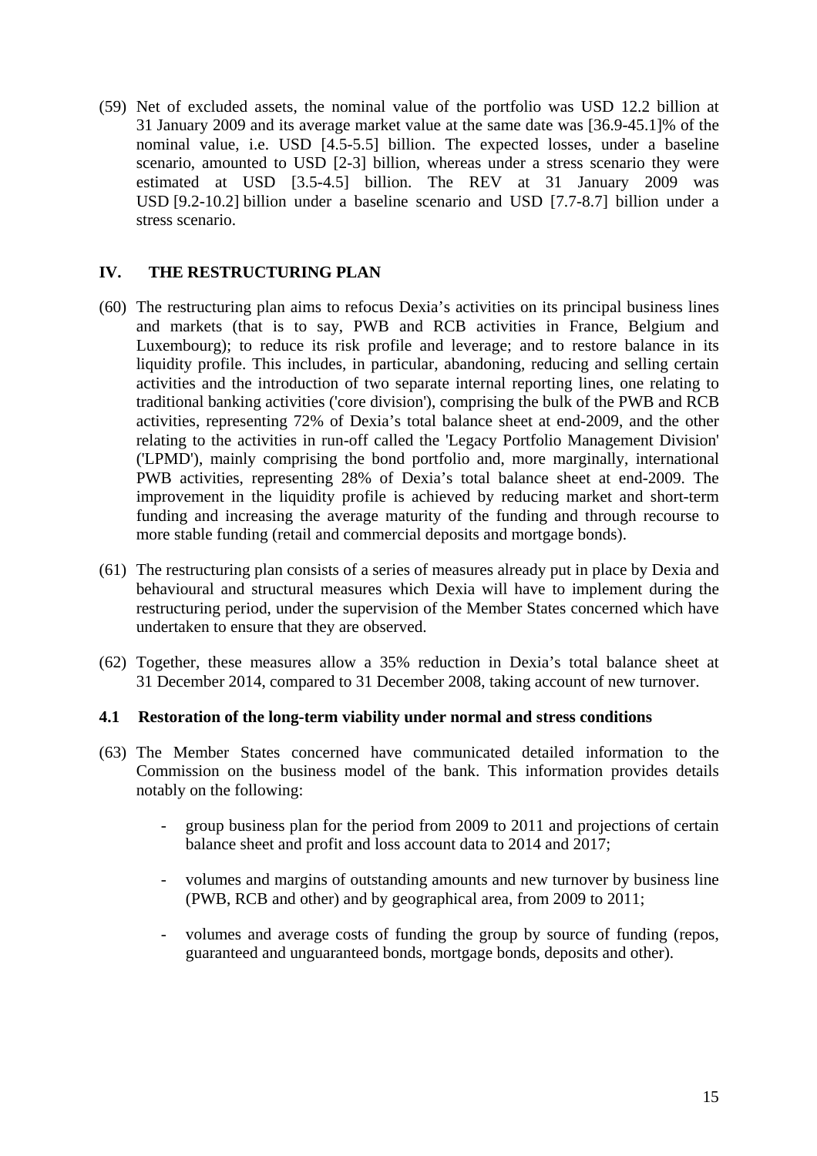(59) Net of excluded assets, the nominal value of the portfolio was USD 12.2 billion at 31 January 2009 and its average market value at the same date was [36.9-45.1]% of the nominal value, i.e. USD [4.5-5.5] billion. The expected losses, under a baseline scenario, amounted to USD [2-3] billion, whereas under a stress scenario they were estimated at USD [3.5-4.5] billion. The REV at 31 January 2009 was USD [9.2-10.2] billion under a baseline scenario and USD [7.7-8.7] billion under a stress scenario.

# **IV. THE RESTRUCTURING PLAN**

- (60) The restructuring plan aims to refocus Dexia's activities on its principal business lines and markets (that is to say, PWB and RCB activities in France, Belgium and Luxembourg); to reduce its risk profile and leverage; and to restore balance in its liquidity profile. This includes, in particular, abandoning, reducing and selling certain activities and the introduction of two separate internal reporting lines, one relating to traditional banking activities ('core division'), comprising the bulk of the PWB and RCB activities, representing 72% of Dexia's total balance sheet at end-2009, and the other relating to the activities in run-off called the 'Legacy Portfolio Management Division' ('LPMD'), mainly comprising the bond portfolio and, more marginally, international PWB activities, representing 28% of Dexia's total balance sheet at end-2009. The improvement in the liquidity profile is achieved by reducing market and short-term funding and increasing the average maturity of the funding and through recourse to more stable funding (retail and commercial deposits and mortgage bonds).
- (61) The restructuring plan consists of a series of measures already put in place by Dexia and behavioural and structural measures which Dexia will have to implement during the restructuring period, under the supervision of the Member States concerned which have undertaken to ensure that they are observed.
- (62) Together, these measures allow a 35% reduction in Dexia's total balance sheet at 31 December 2014, compared to 31 December 2008, taking account of new turnover.

### **4.1 Restoration of the long-term viability under normal and stress conditions**

- (63) The Member States concerned have communicated detailed information to the Commission on the business model of the bank. This information provides details notably on the following:
	- group business plan for the period from 2009 to 2011 and projections of certain balance sheet and profit and loss account data to 2014 and 2017;
	- volumes and margins of outstanding amounts and new turnover by business line (PWB, RCB and other) and by geographical area, from 2009 to 2011;
	- volumes and average costs of funding the group by source of funding (repos, guaranteed and unguaranteed bonds, mortgage bonds, deposits and other).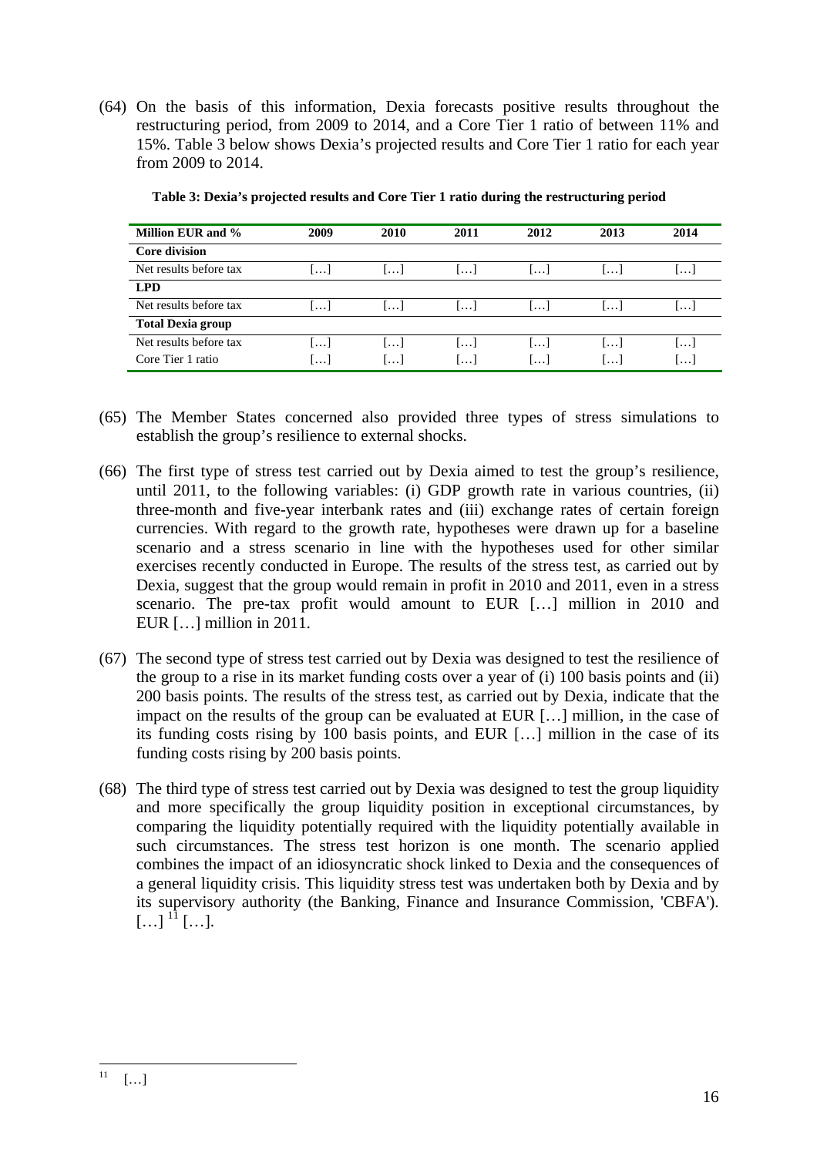(64) On the basis of this information, Dexia forecasts positive results throughout the restructuring period, from 2009 to 2014, and a Core Tier 1 ratio of between 11% and 15%. Table 3 below shows Dexia's projected results and Core Tier 1 ratio for each year from 2009 to 2014.

| Million EUR and %        | 2009 | 2010                     | 2011                    | 2012   | 2013                    | 2014                     |
|--------------------------|------|--------------------------|-------------------------|--------|-------------------------|--------------------------|
| <b>Core division</b>     |      |                          |                         |        |                         |                          |
| Net results before tax   |      |                          |                         |        |                         | ا ۱۰۰۰                   |
| <b>LPD</b>               |      |                          |                         |        |                         |                          |
| Net results before tax   | l l  | $\lfloor \ldots \rfloor$ | $\left  \ldots \right $ | ا …ا   | […]                     | $\lfloor \ldots \rfloor$ |
| <b>Total Dexia group</b> |      |                          |                         |        |                         |                          |
| Net results before tax   | ا…ا  | $\left[\ldots\right]$    | $\left  \ldots \right $ | ا …ا   | $\left[ \ldots \right]$ | $\left[\ldots\right]$    |
| Core Tier 1 ratio        | ا …  | ا…ا                      | ا ا                     | ا ۱۰۰۰ | ا …                     |                          |

**Table 3: Dexia's projected results and Core Tier 1 ratio during the restructuring period** 

- (65) The Member States concerned also provided three types of stress simulations to establish the group's resilience to external shocks.
- (66) The first type of stress test carried out by Dexia aimed to test the group's resilience, until 2011, to the following variables: (i) GDP growth rate in various countries, (ii) three-month and five-year interbank rates and (iii) exchange rates of certain foreign currencies. With regard to the growth rate, hypotheses were drawn up for a baseline scenario and a stress scenario in line with the hypotheses used for other similar exercises recently conducted in Europe. The results of the stress test, as carried out by Dexia, suggest that the group would remain in profit in 2010 and 2011, even in a stress scenario. The pre-tax profit would amount to EUR […] million in 2010 and EUR […] million in 2011.
- (67) The second type of stress test carried out by Dexia was designed to test the resilience of the group to a rise in its market funding costs over a year of (i) 100 basis points and (ii) 200 basis points. The results of the stress test, as carried out by Dexia, indicate that the impact on the results of the group can be evaluated at EUR […] million, in the case of its funding costs rising by 100 basis points, and EUR […] million in the case of its funding costs rising by 200 basis points.
- (68) The third type of stress test carried out by Dexia was designed to test the group liquidity and more specifically the group liquidity position in exceptional circumstances, by comparing the liquidity potentially required with the liquidity potentially available in such circumstances. The stress test horizon is one month. The scenario applied combines the impact of an idiosyncratic shock linked to Dexia and the consequences of a general liquidity crisis. This liquidity stress test was undertaken both by Dexia and by its supervisory authority (the Banking, Finance and Insurance Commission, 'CBFA').  $\left[\ldots\right]$ <sup>11</sup>  $\left[\ldots\right]$ .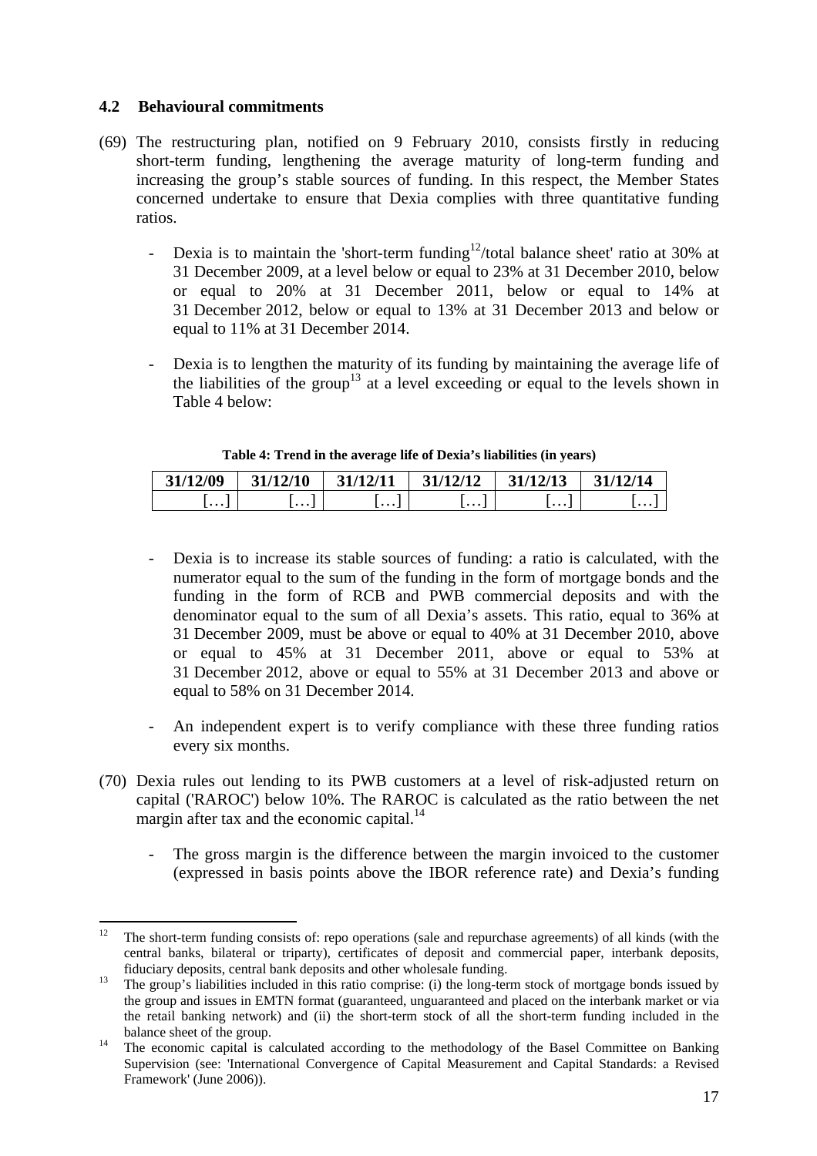# <span id="page-16-0"></span>**4.2 Behavioural commitments**

- (69) The restructuring plan, notified on 9 February 2010, consists firstly in reducing short-term funding, lengthening the average maturity of long-term funding and increasing the group's stable sources of funding. In this respect, the Member States concerned undertake to ensure that Dexia complies with three quantitative funding ratios.
	- Dexia is to maintain the 'short-term funding<sup>12</sup>/total balance sheet' ratio at 30% at 31 December 2009, at a level below or equal to 23% at 31 December 2010, below or equal to 20% at 31 December 2011, below or equal to 14% at 31 December 2012, below or equal to 13% at 31 December 2013 and below or equal to 11% at 31 December 2014.
	- Dexia is to lengthen the maturity of its funding by maintaining the average life of the liabilities of the group<sup>13</sup> at a level exceeding or equal to the levels shown in Table 4 below:

| 31/12/09 | 31/12/10 | 31/12/11 | 31/12/12 | 31/12/13 | 31/12/14 |
|----------|----------|----------|----------|----------|----------|
| $\cdots$ | .        | $\cdots$ | $\cdots$ | $\cdots$ | $\cdots$ |

| 31/12/09 | 31/12/10 | 31/12/11 | 31/12/12 | 31/12/13 | 31/12/14 |
|----------|----------|----------|----------|----------|----------|
|          |          |          |          |          |          |

**Table 4: Trend in the average life of Dexia's liabilities (in years)** 

- Dexia is to increase its stable sources of funding: a ratio is calculated, with the numerator equal to the sum of the funding in the form of mortgage bonds and the funding in the form of RCB and PWB commercial deposits and with the denominator equal to the sum of all Dexia's assets. This ratio, equal to 36% at 31 December 2009, must be above or equal to 40% at 31 December 2010, above or equal to 45% at 31 December 2011, above or equal to 53% at 31 December 2012, above or equal to 55% at 31 December 2013 and above or equal to 58% on 31 December 2014.
- An independent expert is to verify compliance with these three funding ratios every six months.
- <span id="page-16-1"></span>(70) Dexia rules out lending to its PWB customers at a level of risk-adjusted return on capital ('RAROC') below 10%. The RAROC is calculated as the ratio between the net margin after tax and the economic capital.<sup>14</sup>
	- The gross margin is the difference between the margin invoiced to the customer (expressed in basis points above the IBOR reference rate) and Dexia's funding

 $12$ 12 The short-term funding consists of: repo operations (sale and repurchase agreements) of all kinds (with the central banks, bilateral or triparty), certificates of deposit and commercial paper, interbank deposits, fiduciary deposits, central bank deposits and other wholesale funding.<br><sup>13</sup> The group's liabilities included in this ratio comprise: (i) the long-term stock of mortgage bonds issued by

the group and issues in EMTN format (guaranteed, unguaranteed and placed on the interbank market or via the retail banking network) and (ii) the short-term stock of all the short-term funding included in the balance sheet of the group.<br><sup>14</sup> The economic capital is calculated according to the methodology of the Basel Committee on Banking

Supervision (see: 'International Convergence of Capital Measurement and Capital Standards: a Revised Framework' (June 2006)).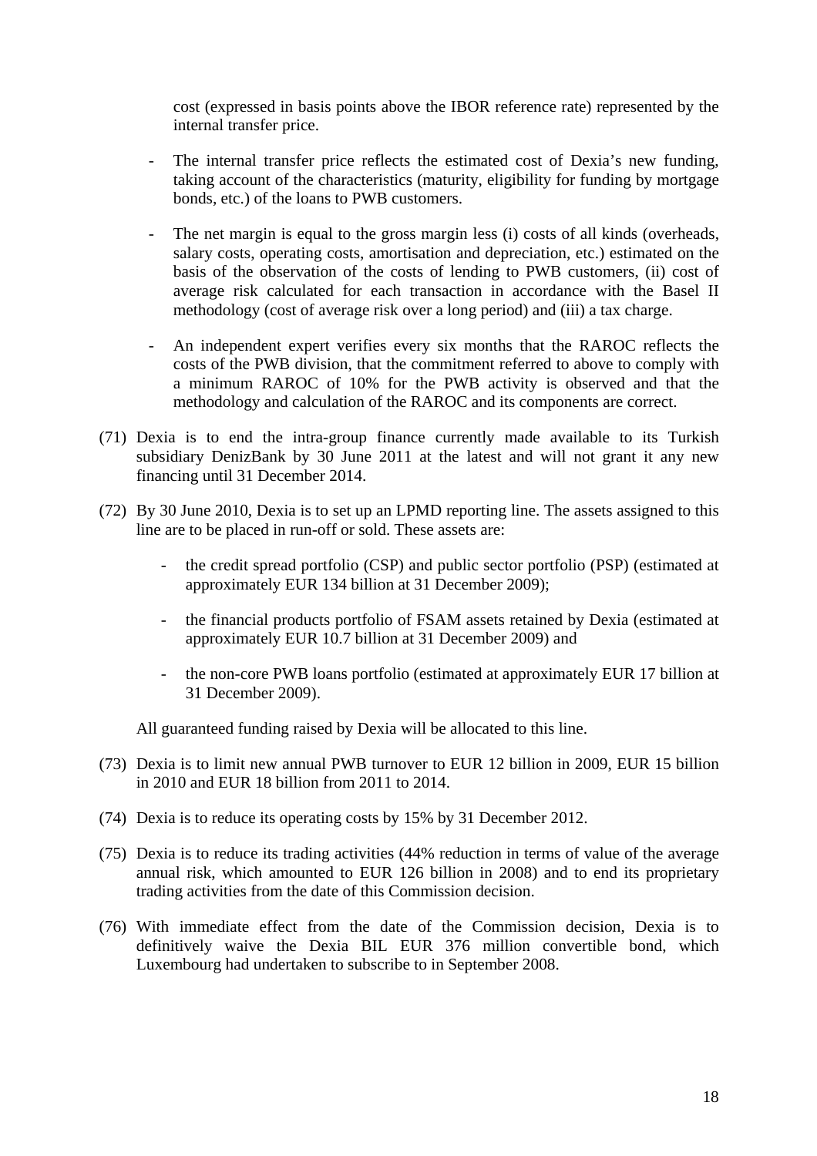cost (expressed in basis points above the IBOR reference rate) represented by the internal transfer price.

- The internal transfer price reflects the estimated cost of Dexia's new funding, taking account of the characteristics (maturity, eligibility for funding by mortgage bonds, etc.) of the loans to PWB customers.
- The net margin is equal to the gross margin less (i) costs of all kinds (overheads, salary costs, operating costs, amortisation and depreciation, etc.) estimated on the basis of the observation of the costs of lending to PWB customers, (ii) cost of average risk calculated for each transaction in accordance with the Basel II methodology (cost of average risk over a long period) and (iii) a tax charge.
- An independent expert verifies every six months that the RAROC reflects the costs of the PWB division, that the commitment referred to above to comply with a minimum RAROC of 10% for the PWB activity is observed and that the methodology and calculation of the RAROC and its components are correct.
- (71) Dexia is to end the intra-group finance currently made available to its Turkish subsidiary DenizBank by 30 June 2011 at the latest and will not grant it any new financing until 31 December 2014.
- (72) By 30 June 2010, Dexia is to set up an LPMD reporting line. The assets assigned to this line are to be placed in run-off or sold. These assets are:
	- the credit spread portfolio (CSP) and public sector portfolio (PSP) (estimated at approximately EUR 134 billion at 31 December 2009);
	- the financial products portfolio of FSAM assets retained by Dexia (estimated at approximately EUR 10.7 billion at 31 December 2009) and
	- the non-core PWB loans portfolio (estimated at approximately EUR 17 billion at 31 December 2009).

All guaranteed funding raised by Dexia will be allocated to this line.

- (73) Dexia is to limit new annual PWB turnover to EUR 12 billion in 2009, EUR 15 billion in 2010 and EUR 18 billion from 2011 to 2014.
- (74) Dexia is to reduce its operating costs by 15% by 31 December 2012.
- (75) Dexia is to reduce its trading activities (44% reduction in terms of value of the average annual risk, which amounted to EUR 126 billion in 2008) and to end its proprietary trading activities from the date of this Commission decision.
- (76) With immediate effect from the date of the Commission decision, Dexia is to definitively waive the Dexia BIL EUR 376 million convertible bond, which Luxembourg had undertaken to subscribe to in September 2008.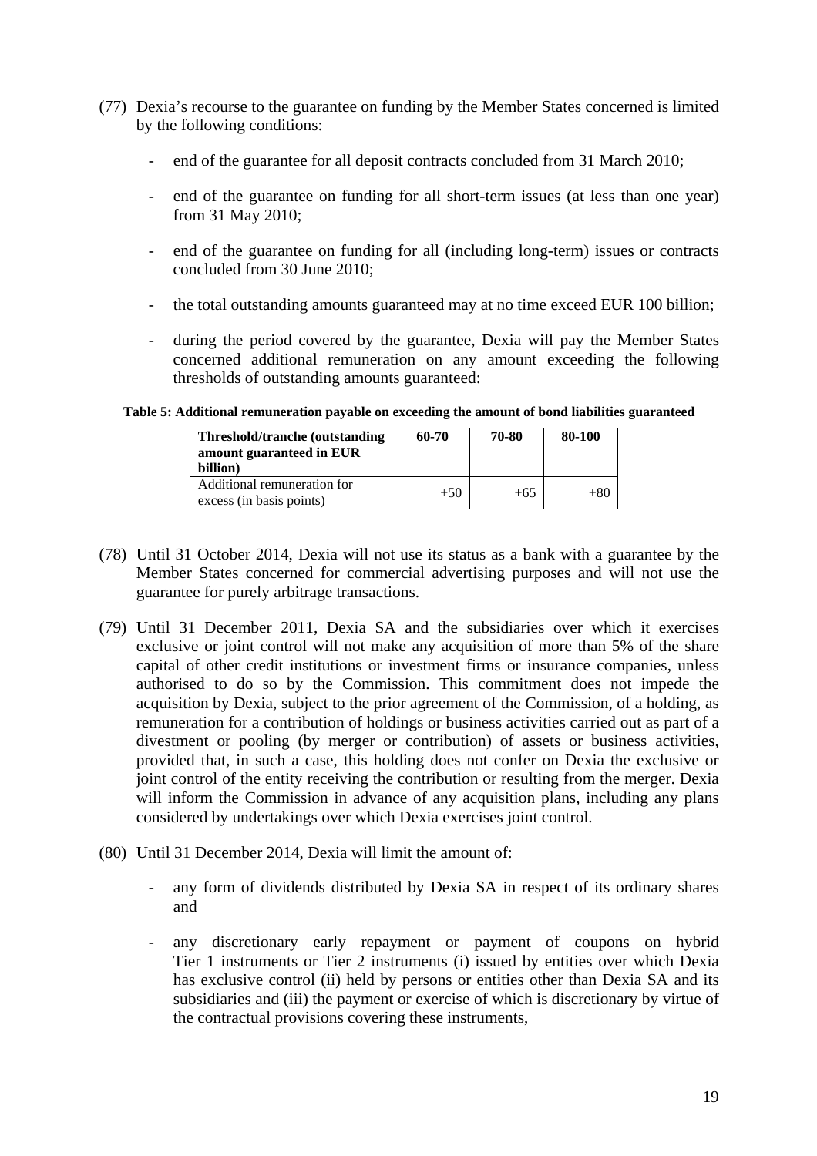- (77) Dexia's recourse to the guarantee on funding by the Member States concerned is limited by the following conditions:
	- end of the guarantee for all deposit contracts concluded from 31 March 2010;
	- end of the guarantee on funding for all short-term issues (at less than one year) from 31 May 2010;
	- end of the guarantee on funding for all (including long-term) issues or contracts concluded from 30 June 2010;
	- the total outstanding amounts guaranteed may at no time exceed EUR 100 billion;
	- during the period covered by the guarantee, Dexia will pay the Member States concerned additional remuneration on any amount exceeding the following thresholds of outstanding amounts guaranteed:

| Table 5: Additional remuneration payable on exceeding the amount of bond liabilities guaranteed |  |  |  |
|-------------------------------------------------------------------------------------------------|--|--|--|
|-------------------------------------------------------------------------------------------------|--|--|--|

| Threshold/tranche (outstanding)<br>amount guaranteed in EUR<br>billion) | 60-70 | 70-80 | 80-100 |
|-------------------------------------------------------------------------|-------|-------|--------|
| Additional remuneration for<br>excess (in basis points)                 | $+50$ | $+65$ | +80    |

- (78) Until 31 October 2014, Dexia will not use its status as a bank with a guarantee by the Member States concerned for commercial advertising purposes and will not use the guarantee for purely arbitrage transactions.
- (79) Until 31 December 2011, Dexia SA and the subsidiaries over which it exercises exclusive or joint control will not make any acquisition of more than 5% of the share capital of other credit institutions or investment firms or insurance companies, unless authorised to do so by the Commission. This commitment does not impede the acquisition by Dexia, subject to the prior agreement of the Commission, of a holding, as remuneration for a contribution of holdings or business activities carried out as part of a divestment or pooling (by merger or contribution) of assets or business activities, provided that, in such a case, this holding does not confer on Dexia the exclusive or joint control of the entity receiving the contribution or resulting from the merger. Dexia will inform the Commission in advance of any acquisition plans, including any plans considered by undertakings over which Dexia exercises joint control.
- (80) Until 31 December 2014, Dexia will limit the amount of:
	- any form of dividends distributed by Dexia SA in respect of its ordinary shares and
	- any discretionary early repayment or payment of coupons on hybrid Tier 1 instruments or Tier 2 instruments (i) issued by entities over which Dexia has exclusive control (ii) held by persons or entities other than Dexia SA and its subsidiaries and (iii) the payment or exercise of which is discretionary by virtue of the contractual provisions covering these instruments,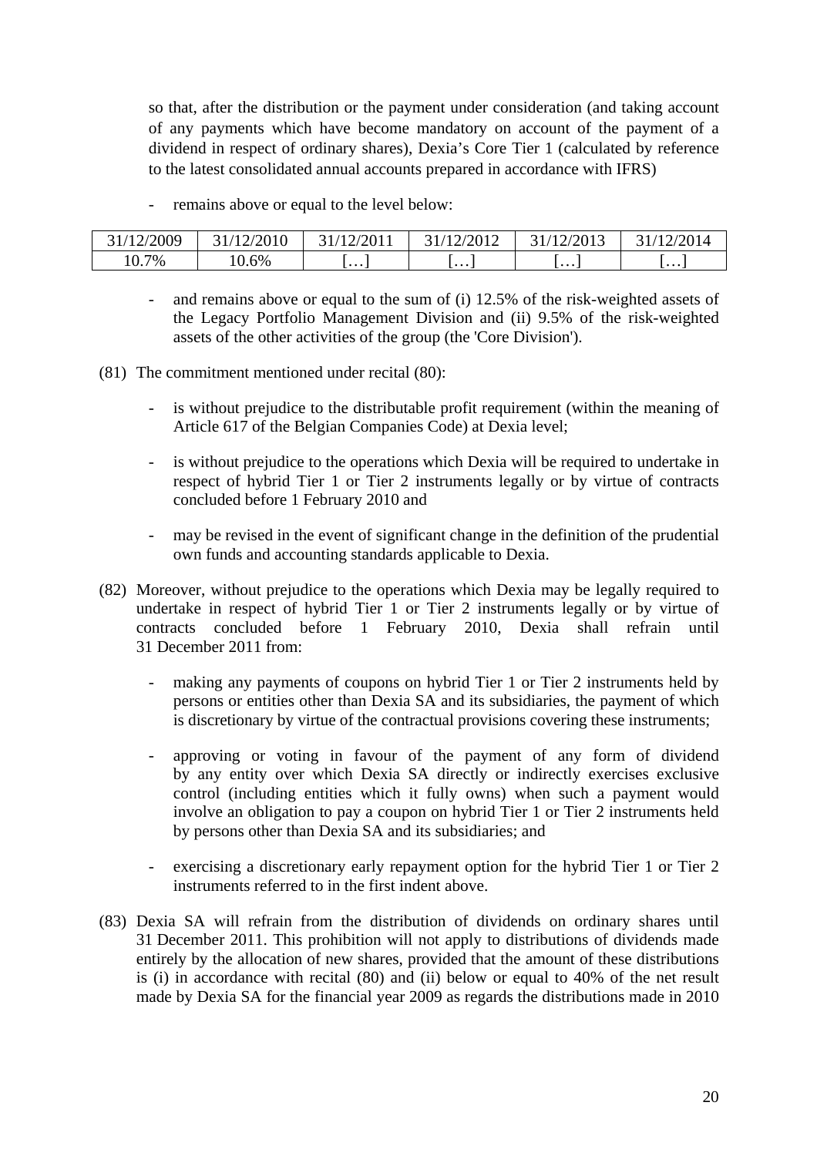so that, after the distribution or the payment under consideration (and taking account of any payments which have become mandatory on account of the payment of a dividend in respect of ordinary shares), Dexia's Core Tier 1 (calculated by reference to the latest consolidated annual accounts prepared in accordance with IFRS)

remains above or equal to the level below:

| 2/2009<br>31/ | /2010 | /201     | 10010    | 2/2013   |   |
|---------------|-------|----------|----------|----------|---|
| 10.7%         | 0.6%  | $\cdots$ | $\cdots$ | $\cdots$ | . |

- and remains above or equal to the sum of (i) 12.5% of the risk-weighted assets of the Legacy Portfolio Management Division and (ii) 9.5% of the risk-weighted assets of the other activities of the group (the 'Core Division').
- (81) The commitment mentioned under recital (80):
	- is without prejudice to the distributable profit requirement (within the meaning of Article 617 of the Belgian Companies Code) at Dexia level;
	- is without prejudice to the operations which Dexia will be required to undertake in respect of hybrid Tier 1 or Tier 2 instruments legally or by virtue of contracts concluded before 1 February 2010 and
	- may be revised in the event of significant change in the definition of the prudential own funds and accounting standards applicable to Dexia.
- (82) Moreover, without prejudice to the operations which Dexia may be legally required to undertake in respect of hybrid Tier 1 or Tier 2 instruments legally or by virtue of contracts concluded before 1 February 2010, Dexia shall refrain until 31 December 2011 from:
	- making any payments of coupons on hybrid Tier 1 or Tier 2 instruments held by persons or entities other than Dexia SA and its subsidiaries, the payment of which is discretionary by virtue of the contractual provisions covering these instruments;
	- approving or voting in favour of the payment of any form of dividend by any entity over which Dexia SA directly or indirectly exercises exclusive control (including entities which it fully owns) when such a payment would involve an obligation to pay a coupon on hybrid Tier 1 or Tier 2 instruments held by persons other than Dexia SA and its subsidiaries; and
	- exercising a discretionary early repayment option for the hybrid Tier 1 or Tier 2 instruments referred to in the first indent above.
- (83) Dexia SA will refrain from the distribution of dividends on ordinary shares until 31 December 2011. This prohibition will not apply to distributions of dividends made entirely by the allocation of new shares, provided that the amount of these distributions is (i) in accordance with recital (80) and (ii) below or equal to 40% of the net result made by Dexia SA for the financial year 2009 as regards the distributions made in 2010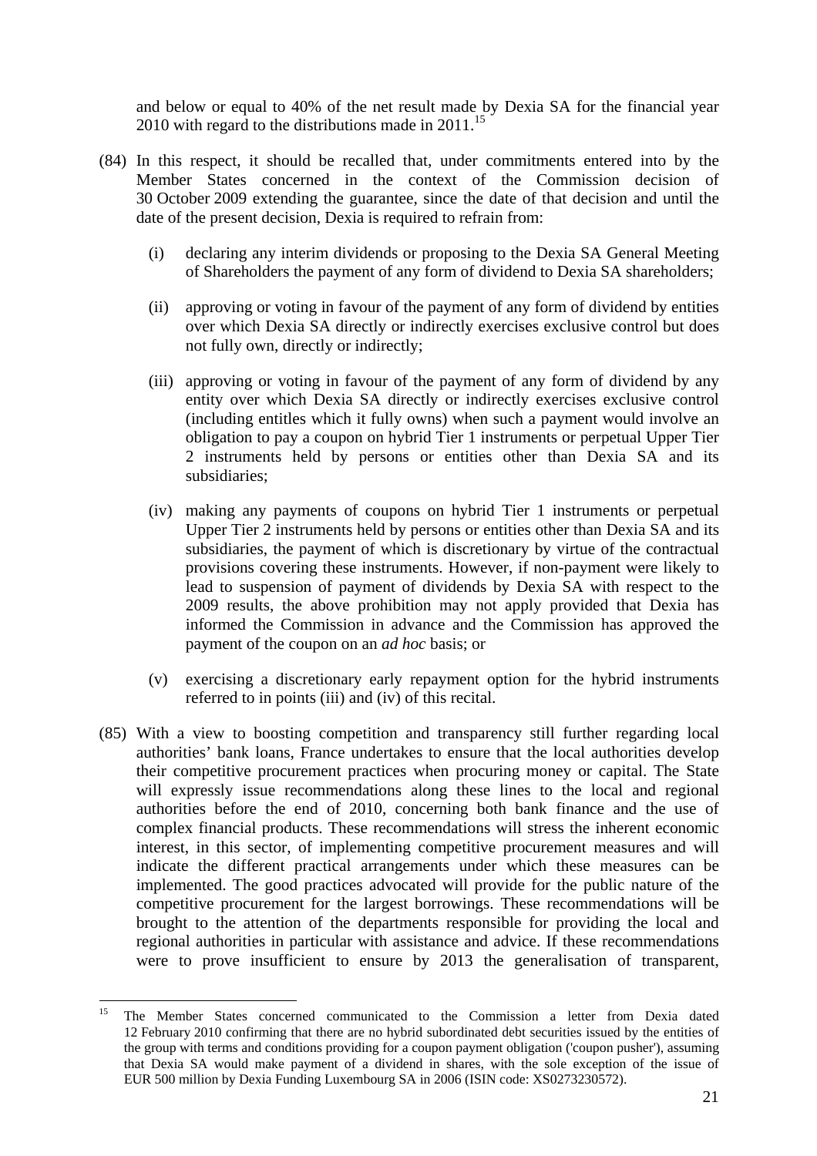and below or equal to 40% of the net result made by Dexia SA for the financial year 2010 with regard to the distributions made in  $2011$ .<sup>15</sup>

- (84) In this respect, it should be recalled that, under commitments entered into by the Member States concerned in the context of the Commission decision of 30 October 2009 extending the guarantee, since the date of that decision and until the date of the present decision, Dexia is required to refrain from:
	- (i) declaring any interim dividends or proposing to the Dexia SA General Meeting of Shareholders the payment of any form of dividend to Dexia SA shareholders;
	- (ii) approving or voting in favour of the payment of any form of dividend by entities over which Dexia SA directly or indirectly exercises exclusive control but does not fully own, directly or indirectly;
	- (iii) approving or voting in favour of the payment of any form of dividend by any entity over which Dexia SA directly or indirectly exercises exclusive control (including entitles which it fully owns) when such a payment would involve an obligation to pay a coupon on hybrid Tier 1 instruments or perpetual Upper Tier 2 instruments held by persons or entities other than Dexia SA and its subsidiaries;
	- (iv) making any payments of coupons on hybrid Tier 1 instruments or perpetual Upper Tier 2 instruments held by persons or entities other than Dexia SA and its subsidiaries, the payment of which is discretionary by virtue of the contractual provisions covering these instruments. However, if non-payment were likely to lead to suspension of payment of dividends by Dexia SA with respect to the 2009 results, the above prohibition may not apply provided that Dexia has informed the Commission in advance and the Commission has approved the payment of the coupon on an *ad hoc* basis; or
	- (v) exercising a discretionary early repayment option for the hybrid instruments referred to in points (iii) and (iv) of this recital.
- (85) With a view to boosting competition and transparency still further regarding local authorities' bank loans, France undertakes to ensure that the local authorities develop their competitive procurement practices when procuring money or capital. The State will expressly issue recommendations along these lines to the local and regional authorities before the end of 2010, concerning both bank finance and the use of complex financial products. These recommendations will stress the inherent economic interest, in this sector, of implementing competitive procurement measures and will indicate the different practical arrangements under which these measures can be implemented. The good practices advocated will provide for the public nature of the competitive procurement for the largest borrowings. These recommendations will be brought to the attention of the departments responsible for providing the local and regional authorities in particular with assistance and advice. If these recommendations were to prove insufficient to ensure by 2013 the generalisation of transparent,

<sup>15</sup> 15 The Member States concerned communicated to the Commission a letter from Dexia dated 12 February 2010 confirming that there are no hybrid subordinated debt securities issued by the entities of the group with terms and conditions providing for a coupon payment obligation ('coupon pusher'), assuming that Dexia SA would make payment of a dividend in shares, with the sole exception of the issue of EUR 500 million by Dexia Funding Luxembourg SA in 2006 (ISIN code: XS0273230572).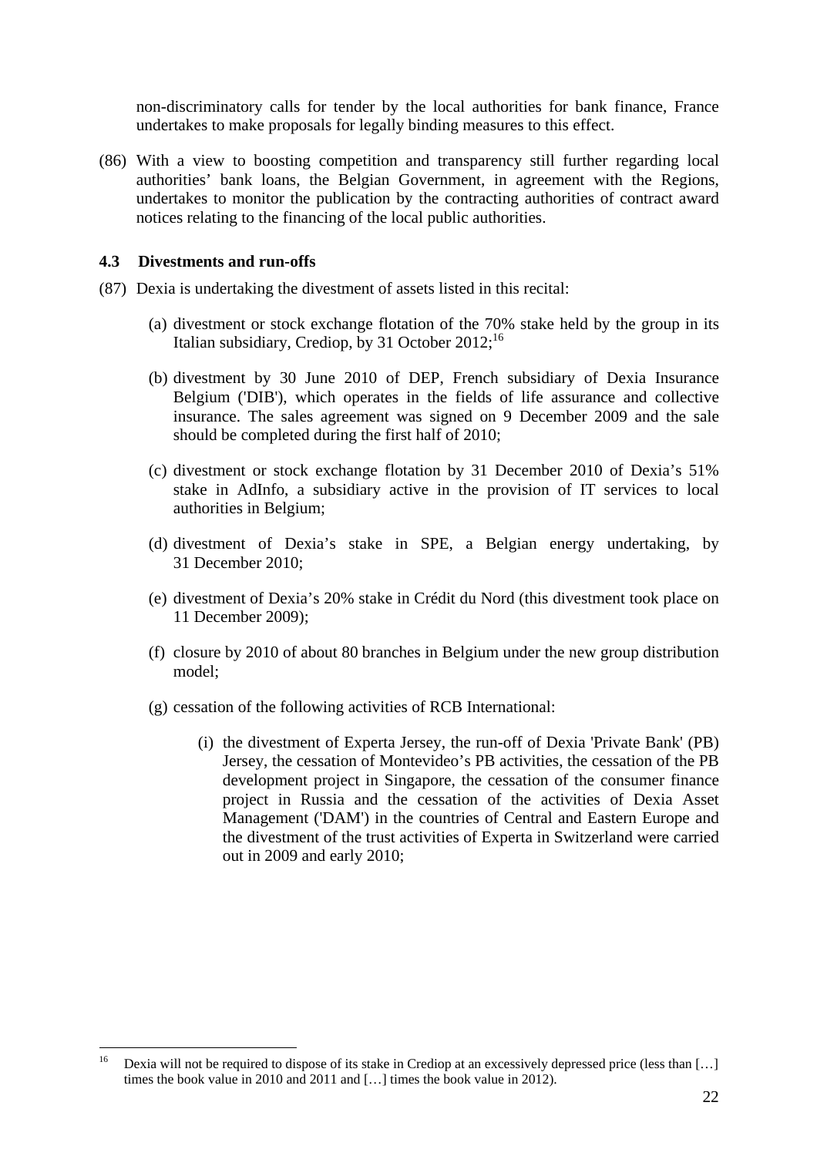non-discriminatory calls for tender by the local authorities for bank finance, France undertakes to make proposals for legally binding measures to this effect.

(86) With a view to boosting competition and transparency still further regarding local authorities' bank loans, the Belgian Government, in agreement with the Regions, undertakes to monitor the publication by the contracting authorities of contract award notices relating to the financing of the local public authorities.

### <span id="page-21-0"></span>**4.3 Divestments and run-offs**

- (87) Dexia is undertaking the divestment of assets listed in this recital:
	- (a) divestment or stock exchange flotation of the 70% stake held by the group in its Italian subsidiary, Crediop, by 31 October  $2012$ ;<sup>16</sup>
	- (b) divestment by 30 June 2010 of DEP, French subsidiary of Dexia Insurance Belgium ('DIB'), which operates in the fields of life assurance and collective insurance. The sales agreement was signed on 9 December 2009 and the sale should be completed during the first half of 2010;
	- (c) divestment or stock exchange flotation by 31 December 2010 of Dexia's 51% stake in AdInfo, a subsidiary active in the provision of IT services to local authorities in Belgium;
	- (d) divestment of Dexia's stake in SPE, a Belgian energy undertaking, by 31 December 2010;
	- (e) divestment of Dexia's 20% stake in Crédit du Nord (this divestment took place on 11 December 2009);
	- (f) closure by 2010 of about 80 branches in Belgium under the new group distribution model;
	- (g) cessation of the following activities of RCB International:
		- (i) the divestment of Experta Jersey, the run-off of Dexia 'Private Bank' (PB) Jersey, the cessation of Montevideo's PB activities, the cessation of the PB development project in Singapore, the cessation of the consumer finance project in Russia and the cessation of the activities of Dexia Asset Management ('DAM') in the countries of Central and Eastern Europe and the divestment of the trust activities of Experta in Switzerland were carried out in 2009 and early 2010;

<sup>16</sup> Dexia will not be required to dispose of its stake in Crediop at an excessively depressed price (less than […] times the book value in 2010 and 2011 and […] times the book value in 2012).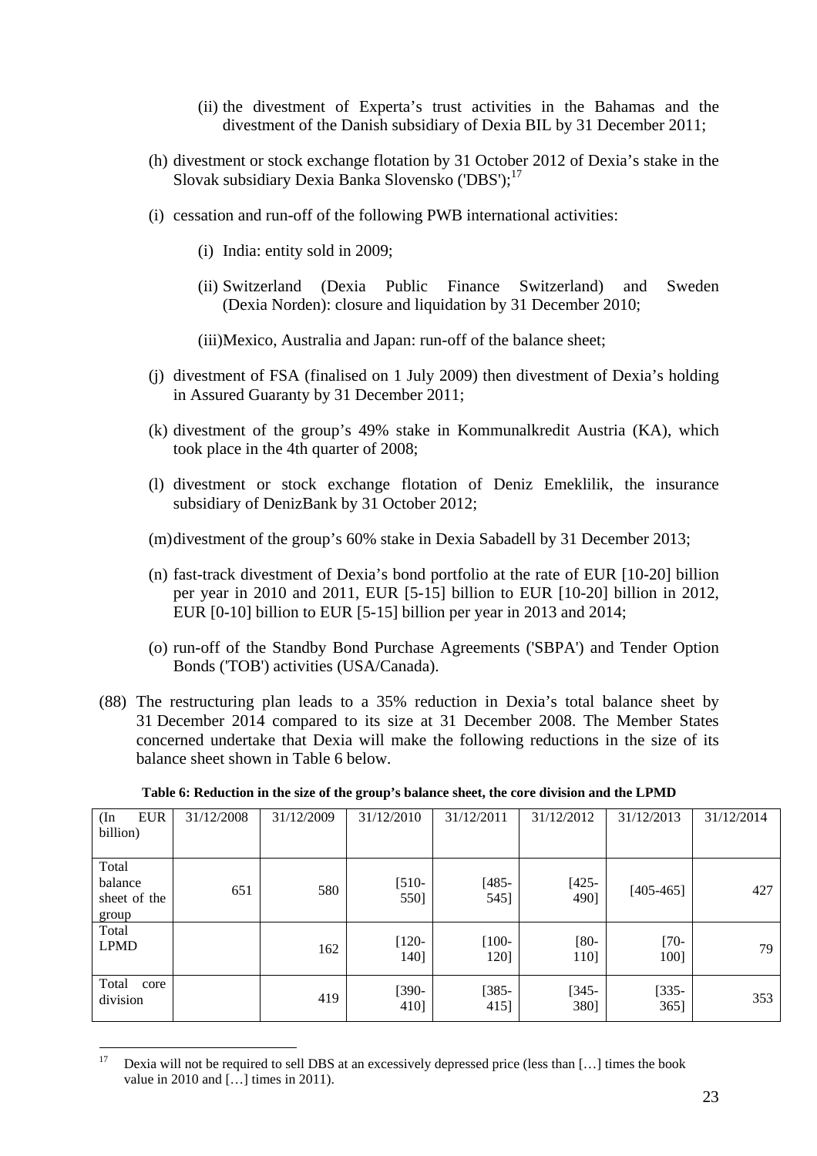- (ii) the divestment of Experta's trust activities in the Bahamas and the divestment of the Danish subsidiary of Dexia BIL by 31 December 2011;
- (h) divestment or stock exchange flotation by 31 October 2012 of Dexia's stake in the Slovak subsidiary Dexia Banka Slovensko ('DBS'); $^{17}$
- (i) cessation and run-off of the following PWB international activities:
	- (i) India: entity sold in 2009;
	- (ii) Switzerland (Dexia Public Finance Switzerland) and Sweden (Dexia Norden): closure and liquidation by 31 December 2010;

(iii)Mexico, Australia and Japan: run-off of the balance sheet;

- (j) divestment of FSA (finalised on 1 July 2009) then divestment of Dexia's holding in Assured Guaranty by 31 December 2011;
- (k) divestment of the group's 49% stake in Kommunalkredit Austria (KA), which took place in the 4th quarter of 2008;
- (l) divestment or stock exchange flotation of Deniz Emeklilik, the insurance subsidiary of DenizBank by 31 October 2012;
- (m)divestment of the group's 60% stake in Dexia Sabadell by 31 December 2013;
- (n) fast-track divestment of Dexia's bond portfolio at the rate of EUR [10-20] billion per year in 2010 and 2011, EUR [5-15] billion to EUR [10-20] billion in 2012, EUR [0-10] billion to EUR [5-15] billion per year in 2013 and 2014;
- (o) run-off of the Standby Bond Purchase Agreements ('SBPA') and Tender Option Bonds ('TOB') activities (USA/Canada).
- <span id="page-22-0"></span>(88) The restructuring plan leads to a 35% reduction in Dexia's total balance sheet by 31 December 2014 compared to its size at 31 December 2008. The Member States concerned undertake that Dexia will make the following reductions in the size of its balance sheet shown in Table 6 below.

| <b>EUR</b><br>(In<br>billion)             | 31/12/2008 | 31/12/2009 | 31/12/2010      | 31/12/2011      | 31/12/2012      | 31/12/2013      | 31/12/2014 |
|-------------------------------------------|------------|------------|-----------------|-----------------|-----------------|-----------------|------------|
| Total<br>balance<br>sheet of the<br>group | 651        | 580        | $[510-$<br>550] | $[485-$<br>545] | $[425-$<br>490] | $[405 - 465]$   | 427        |
| Total<br><b>LPMD</b>                      |            | 162        | $[120-$<br>140] | $[100-$<br>120] | $[80-$<br>110]  | $[70-$<br>100]  | 79         |
| Total<br>core<br>division                 |            | 419        | $[390-$<br>410] | $[385-$<br>415] | $[345-$<br>380] | $[335-$<br>365] | 353        |

| Table 6: Reduction in the size of the group's balance sheet, the core division and the LPMD |  |
|---------------------------------------------------------------------------------------------|--|
|---------------------------------------------------------------------------------------------|--|

Dexia will not be required to sell DBS at an excessively depressed price (less than [...] times the book value in 2010 and […] times in 2011).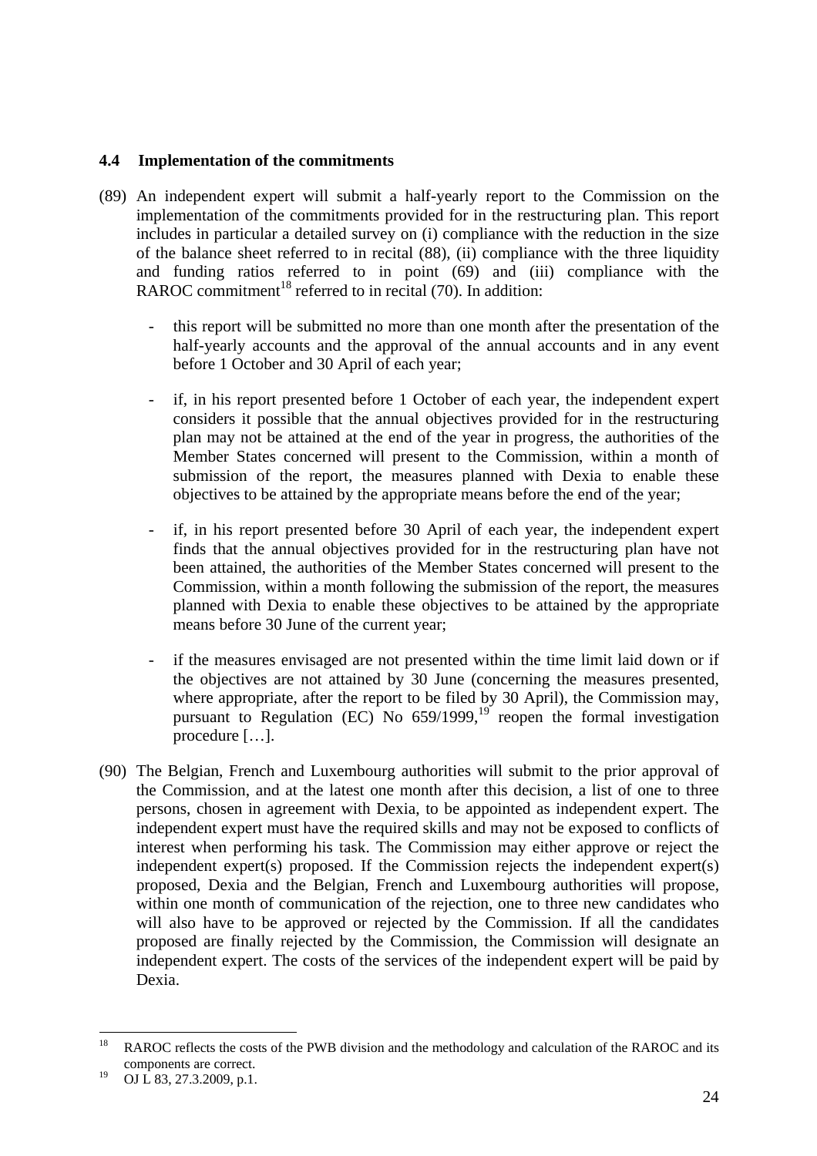### **4.4 Implementation of the commitments**

- (89) An independent expert will submit a half-yearly report to the Commission on the implementation of the commitments provided for in the restructuring plan. This report includes in particular a detailed survey on (i) compliance with the reduction in the size of the balance sheet referred to in recita[l \(88\),](#page-22-0) (ii) compliance with the three liquidity and funding ratios referred to in point [\(69\)](#page-16-0) and (iii) compliance with the RAROC commitment<sup>18</sup> referred to in recital  $(70)$ . In addition:
	- this report will be submitted no more than one month after the presentation of the half-yearly accounts and the approval of the annual accounts and in any event before 1 October and 30 April of each year;
	- if, in his report presented before 1 October of each year, the independent expert considers it possible that the annual objectives provided for in the restructuring plan may not be attained at the end of the year in progress, the authorities of the Member States concerned will present to the Commission, within a month of submission of the report, the measures planned with Dexia to enable these objectives to be attained by the appropriate means before the end of the year;
	- if, in his report presented before 30 April of each year, the independent expert finds that the annual objectives provided for in the restructuring plan have not been attained, the authorities of the Member States concerned will present to the Commission, within a month following the submission of the report, the measures planned with Dexia to enable these objectives to be attained by the appropriate means before 30 June of the current year;
	- if the measures envisaged are not presented within the time limit laid down or if the objectives are not attained by 30 June (concerning the measures presented, where appropriate, after the report to be filed by 30 April), the Commission may, pursuant to Regulation  $(EC)$  No  $659/1999$ ,  $19$  reopen the formal investigation procedure […].
- (90) The Belgian, French and Luxembourg authorities will submit to the prior approval of the Commission, and at the latest one month after this decision, a list of one to three persons, chosen in agreement with Dexia, to be appointed as independent expert. The independent expert must have the required skills and may not be exposed to conflicts of interest when performing his task. The Commission may either approve or reject the independent expert(s) proposed. If the Commission rejects the independent expert(s) proposed, Dexia and the Belgian, French and Luxembourg authorities will propose, within one month of communication of the rejection, one to three new candidates who will also have to be approved or rejected by the Commission. If all the candidates proposed are finally rejected by the Commission, the Commission will designate an independent expert. The costs of the services of the independent expert will be paid by Dexia.

 $18$ RAROC reflects the costs of the PWB division and the methodology and calculation of the RAROC and its components are correct.

 $^{19}$  OJ L 83, 27.3.2009, p.1.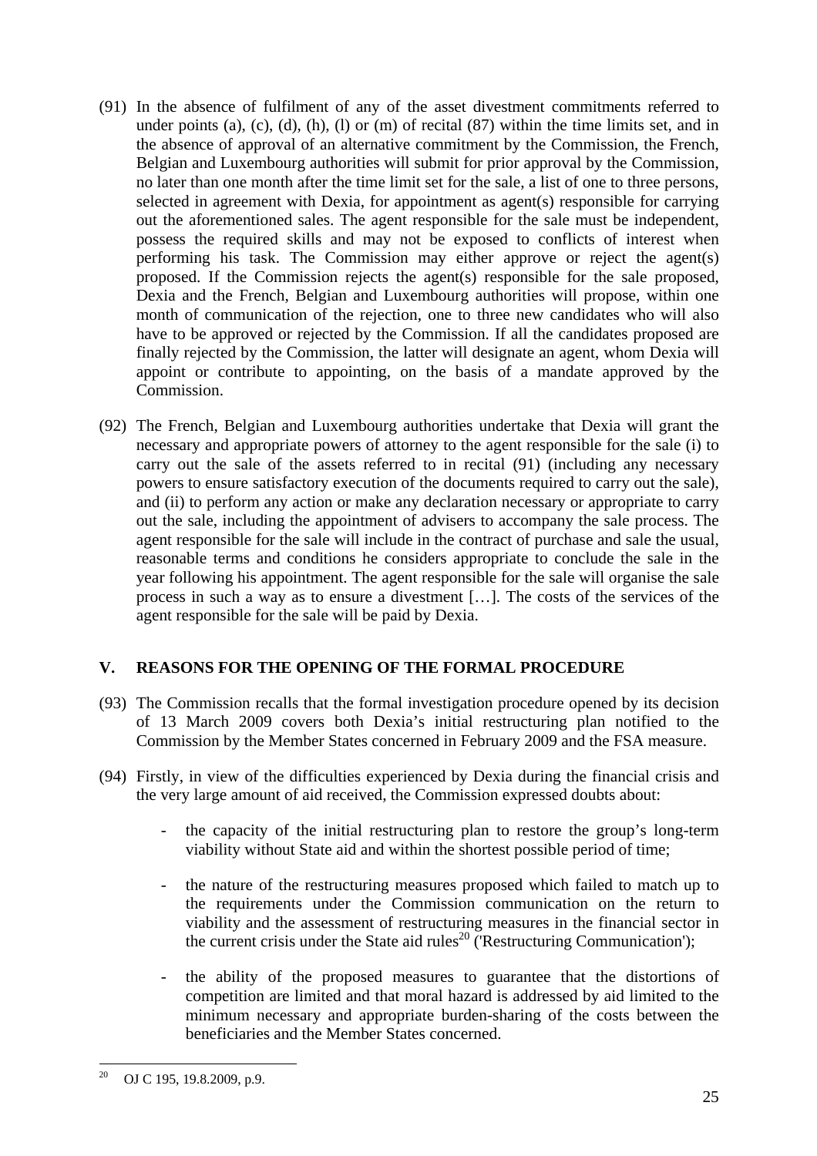- (91) In the absence of fulfilment of any of the asset divestment commitments referred to under points (a), (c), (d), (h), (l) or (m) of recital [\(87\)](#page-21-0) within the time limits set, and in the absence of approval of an alternative commitment by the Commission, the French, Belgian and Luxembourg authorities will submit for prior approval by the Commission, no later than one month after the time limit set for the sale, a list of one to three persons, selected in agreement with Dexia, for appointment as agent(s) responsible for carrying out the aforementioned sales. The agent responsible for the sale must be independent, possess the required skills and may not be exposed to conflicts of interest when performing his task. The Commission may either approve or reject the agent(s) proposed. If the Commission rejects the agent(s) responsible for the sale proposed, Dexia and the French, Belgian and Luxembourg authorities will propose, within one month of communication of the rejection, one to three new candidates who will also have to be approved or rejected by the Commission. If all the candidates proposed are finally rejected by the Commission, the latter will designate an agent, whom Dexia will appoint or contribute to appointing, on the basis of a mandate approved by the Commission.
- (92) The French, Belgian and Luxembourg authorities undertake that Dexia will grant the necessary and appropriate powers of attorney to the agent responsible for the sale (i) to carry out the sale of the assets referred to in recital (91) (including any necessary powers to ensure satisfactory execution of the documents required to carry out the sale), and (ii) to perform any action or make any declaration necessary or appropriate to carry out the sale, including the appointment of advisers to accompany the sale process. The agent responsible for the sale will include in the contract of purchase and sale the usual, reasonable terms and conditions he considers appropriate to conclude the sale in the year following his appointment. The agent responsible for the sale will organise the sale process in such a way as to ensure a divestment […]. The costs of the services of the agent responsible for the sale will be paid by Dexia.

# **V. REASONS FOR THE OPENING OF THE FORMAL PROCEDURE**

- (93) The Commission recalls that the formal investigation procedure opened by its decision of 13 March 2009 covers both Dexia's initial restructuring plan notified to the Commission by the Member States concerned in February 2009 and the FSA measure.
- (94) Firstly, in view of the difficulties experienced by Dexia during the financial crisis and the very large amount of aid received, the Commission expressed doubts about:
	- the capacity of the initial restructuring plan to restore the group's long-term viability without State aid and within the shortest possible period of time;
	- the nature of the restructuring measures proposed which failed to match up to the requirements under the Commission communication on the return to viability and the assessment of restructuring measures in the financial sector in the current crisis under the State aid rules<sup>20</sup> ('Restructuring Communication');
	- the ability of the proposed measures to guarantee that the distortions of competition are limited and that moral hazard is addressed by aid limited to the minimum necessary and appropriate burden-sharing of the costs between the beneficiaries and the Member States concerned.

<sup>&</sup>lt;sup>20</sup> OJ C 195, 19.8.2009, p.9.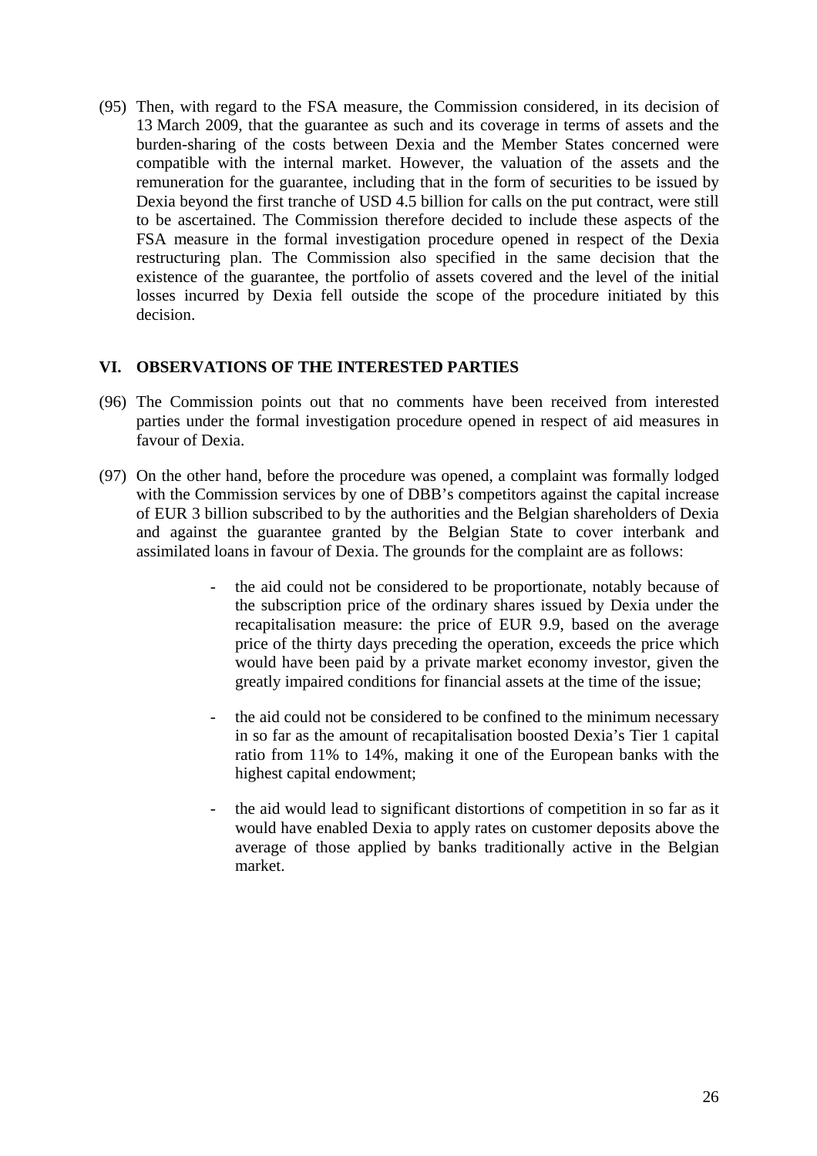(95) Then, with regard to the FSA measure, the Commission considered, in its decision of 13 March 2009, that the guarantee as such and its coverage in terms of assets and the burden-sharing of the costs between Dexia and the Member States concerned were compatible with the internal market. However, the valuation of the assets and the remuneration for the guarantee, including that in the form of securities to be issued by Dexia beyond the first tranche of USD 4.5 billion for calls on the put contract, were still to be ascertained. The Commission therefore decided to include these aspects of the FSA measure in the formal investigation procedure opened in respect of the Dexia restructuring plan. The Commission also specified in the same decision that the existence of the guarantee, the portfolio of assets covered and the level of the initial losses incurred by Dexia fell outside the scope of the procedure initiated by this decision.

### **VI. OBSERVATIONS OF THE INTERESTED PARTIES**

- (96) The Commission points out that no comments have been received from interested parties under the formal investigation procedure opened in respect of aid measures in favour of Dexia.
- (97) On the other hand, before the procedure was opened, a complaint was formally lodged with the Commission services by one of DBB's competitors against the capital increase of EUR 3 billion subscribed to by the authorities and the Belgian shareholders of Dexia and against the guarantee granted by the Belgian State to cover interbank and assimilated loans in favour of Dexia. The grounds for the complaint are as follows:
	- the aid could not be considered to be proportionate, notably because of the subscription price of the ordinary shares issued by Dexia under the recapitalisation measure: the price of EUR 9.9, based on the average price of the thirty days preceding the operation, exceeds the price which would have been paid by a private market economy investor, given the greatly impaired conditions for financial assets at the time of the issue;
	- the aid could not be considered to be confined to the minimum necessary in so far as the amount of recapitalisation boosted Dexia's Tier 1 capital ratio from 11% to 14%, making it one of the European banks with the highest capital endowment;
	- the aid would lead to significant distortions of competition in so far as it would have enabled Dexia to apply rates on customer deposits above the average of those applied by banks traditionally active in the Belgian market.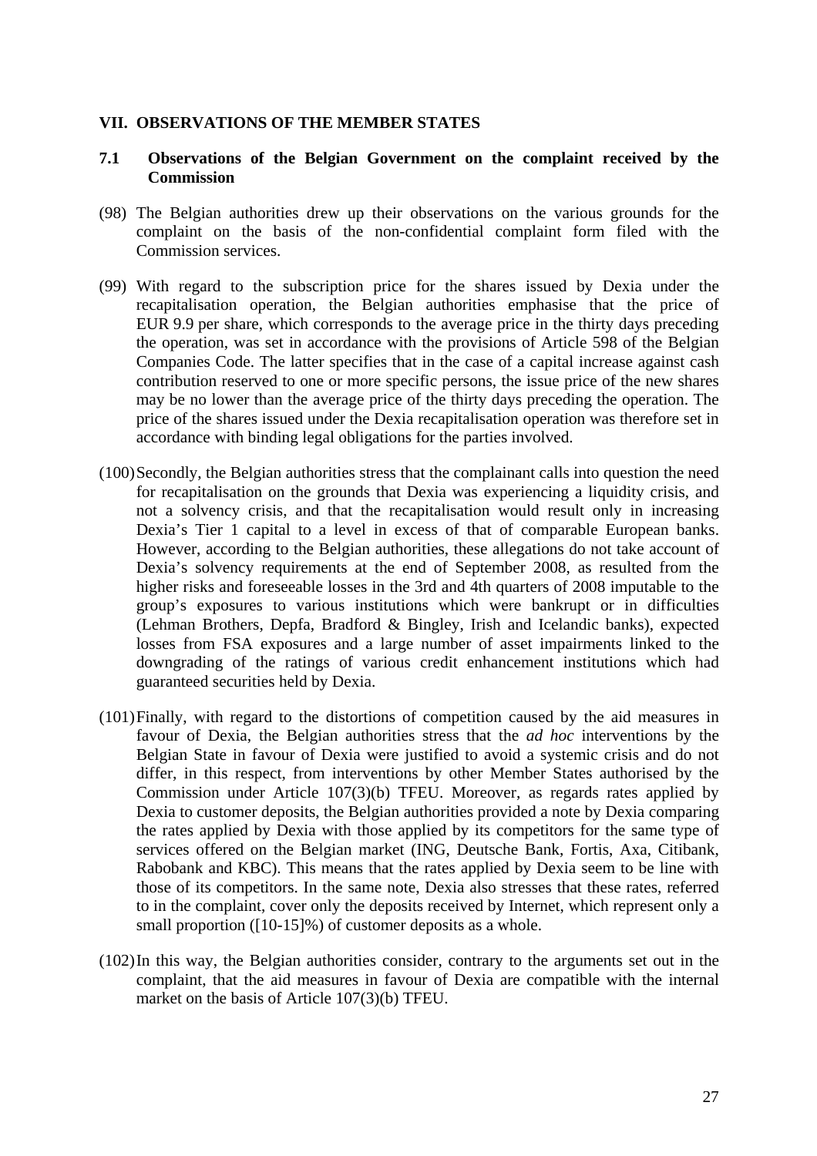### **VII. OBSERVATIONS OF THE MEMBER STATES**

### **7.1 Observations of the Belgian Government on the complaint received by the Commission**

- (98) The Belgian authorities drew up their observations on the various grounds for the complaint on the basis of the non-confidential complaint form filed with the Commission services.
- (99) With regard to the subscription price for the shares issued by Dexia under the recapitalisation operation, the Belgian authorities emphasise that the price of EUR 9.9 per share, which corresponds to the average price in the thirty days preceding the operation, was set in accordance with the provisions of Article 598 of the Belgian Companies Code. The latter specifies that in the case of a capital increase against cash contribution reserved to one or more specific persons, the issue price of the new shares may be no lower than the average price of the thirty days preceding the operation. The price of the shares issued under the Dexia recapitalisation operation was therefore set in accordance with binding legal obligations for the parties involved.
- (100)Secondly, the Belgian authorities stress that the complainant calls into question the need for recapitalisation on the grounds that Dexia was experiencing a liquidity crisis, and not a solvency crisis, and that the recapitalisation would result only in increasing Dexia's Tier 1 capital to a level in excess of that of comparable European banks. However, according to the Belgian authorities, these allegations do not take account of Dexia's solvency requirements at the end of September 2008, as resulted from the higher risks and foreseeable losses in the 3rd and 4th quarters of 2008 imputable to the group's exposures to various institutions which were bankrupt or in difficulties (Lehman Brothers, Depfa, Bradford & Bingley, Irish and Icelandic banks), expected losses from FSA exposures and a large number of asset impairments linked to the downgrading of the ratings of various credit enhancement institutions which had guaranteed securities held by Dexia.
- (101)Finally, with regard to the distortions of competition caused by the aid measures in favour of Dexia, the Belgian authorities stress that the *ad hoc* interventions by the Belgian State in favour of Dexia were justified to avoid a systemic crisis and do not differ, in this respect, from interventions by other Member States authorised by the Commission under Article 107(3)(b) TFEU. Moreover, as regards rates applied by Dexia to customer deposits, the Belgian authorities provided a note by Dexia comparing the rates applied by Dexia with those applied by its competitors for the same type of services offered on the Belgian market (ING, Deutsche Bank, Fortis, Axa, Citibank, Rabobank and KBC). This means that the rates applied by Dexia seem to be line with those of its competitors. In the same note, Dexia also stresses that these rates, referred to in the complaint, cover only the deposits received by Internet, which represent only a small proportion ( $[10-15]\%$ ) of customer deposits as a whole.
- (102)In this way, the Belgian authorities consider, contrary to the arguments set out in the complaint, that the aid measures in favour of Dexia are compatible with the internal market on the basis of Article 107(3)(b) TFEU.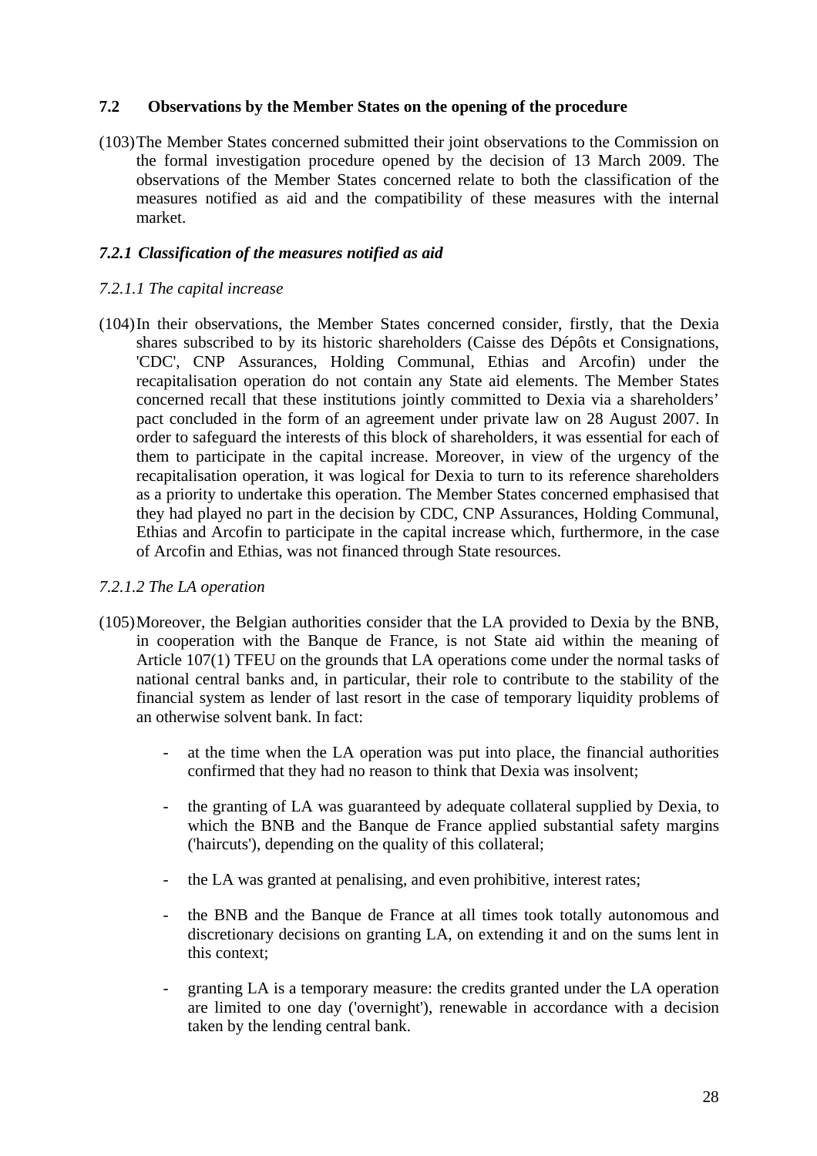## **7.2 Observations by the Member States on the opening of the procedure**

(103)The Member States concerned submitted their joint observations to the Commission on the formal investigation procedure opened by the decision of 13 March 2009. The observations of the Member States concerned relate to both the classification of the measures notified as aid and the compatibility of these measures with the internal market.

### *7.2.1 Classification of the measures notified as aid*

### *7.2.1.1 The capital increase*

(104)In their observations, the Member States concerned consider, firstly, that the Dexia shares subscribed to by its historic shareholders (Caisse des Dépôts et Consignations, 'CDC', CNP Assurances, Holding Communal, Ethias and Arcofin) under the recapitalisation operation do not contain any State aid elements. The Member States concerned recall that these institutions jointly committed to Dexia via a shareholders' pact concluded in the form of an agreement under private law on 28 August 2007. In order to safeguard the interests of this block of shareholders, it was essential for each of them to participate in the capital increase. Moreover, in view of the urgency of the recapitalisation operation, it was logical for Dexia to turn to its reference shareholders as a priority to undertake this operation. The Member States concerned emphasised that they had played no part in the decision by CDC, CNP Assurances, Holding Communal, Ethias and Arcofin to participate in the capital increase which, furthermore, in the case of Arcofin and Ethias, was not financed through State resources.

### *7.2.1.2 The LA operation*

- (105)Moreover, the Belgian authorities consider that the LA provided to Dexia by the BNB, in cooperation with the Banque de France, is not State aid within the meaning of Article 107(1) TFEU on the grounds that LA operations come under the normal tasks of national central banks and, in particular, their role to contribute to the stability of the financial system as lender of last resort in the case of temporary liquidity problems of an otherwise solvent bank. In fact:
	- at the time when the LA operation was put into place, the financial authorities confirmed that they had no reason to think that Dexia was insolvent;
	- the granting of LA was guaranteed by adequate collateral supplied by Dexia, to which the BNB and the Banque de France applied substantial safety margins ('haircuts'), depending on the quality of this collateral;
	- the LA was granted at penalising, and even prohibitive, interest rates;
	- the BNB and the Banque de France at all times took totally autonomous and discretionary decisions on granting LA, on extending it and on the sums lent in this context;
	- granting LA is a temporary measure: the credits granted under the LA operation are limited to one day ('overnight'), renewable in accordance with a decision taken by the lending central bank.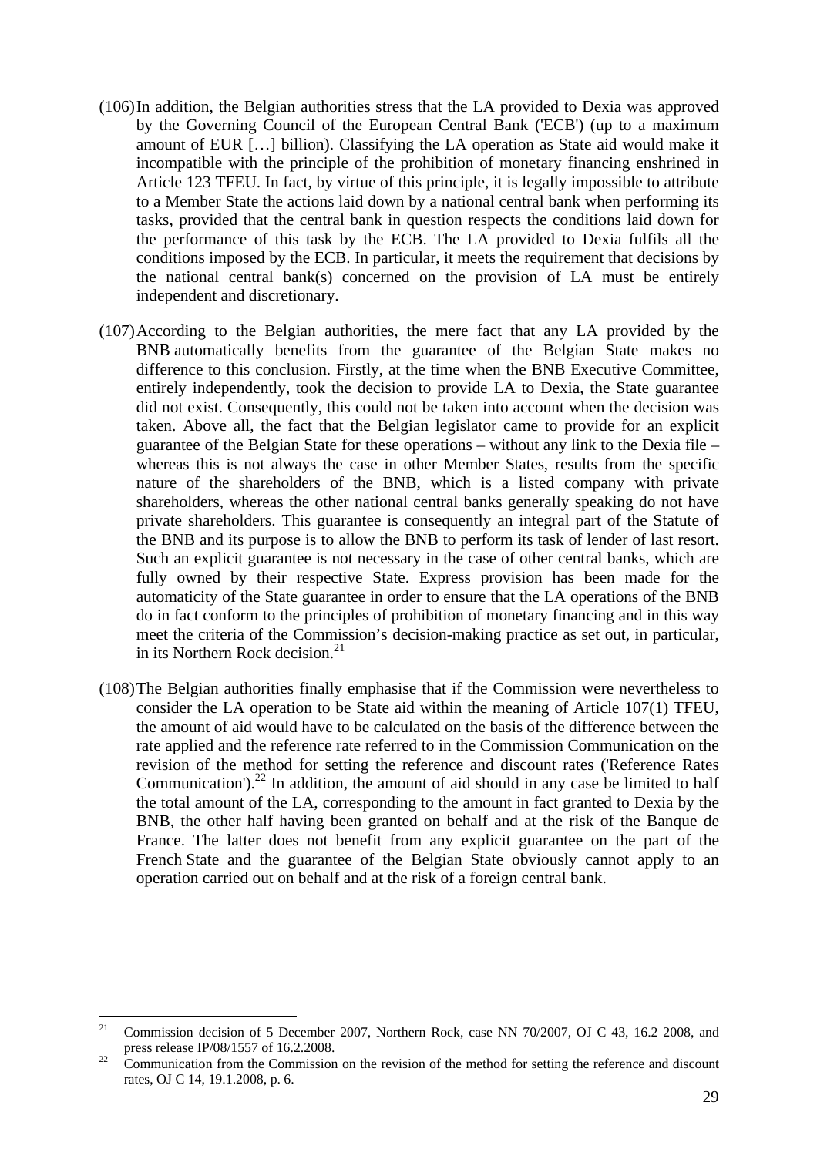- (106)In addition, the Belgian authorities stress that the LA provided to Dexia was approved by the Governing Council of the European Central Bank ('ECB') (up to a maximum amount of EUR […] billion). Classifying the LA operation as State aid would make it incompatible with the principle of the prohibition of monetary financing enshrined in Article 123 TFEU. In fact, by virtue of this principle, it is legally impossible to attribute to a Member State the actions laid down by a national central bank when performing its tasks, provided that the central bank in question respects the conditions laid down for the performance of this task by the ECB. The LA provided to Dexia fulfils all the conditions imposed by the ECB. In particular, it meets the requirement that decisions by the national central bank(s) concerned on the provision of LA must be entirely independent and discretionary.
- (107)According to the Belgian authorities, the mere fact that any LA provided by the BNB automatically benefits from the guarantee of the Belgian State makes no difference to this conclusion. Firstly, at the time when the BNB Executive Committee, entirely independently, took the decision to provide LA to Dexia, the State guarantee did not exist. Consequently, this could not be taken into account when the decision was taken. Above all, the fact that the Belgian legislator came to provide for an explicit guarantee of the Belgian State for these operations – without any link to the Dexia file – whereas this is not always the case in other Member States, results from the specific nature of the shareholders of the BNB, which is a listed company with private shareholders, whereas the other national central banks generally speaking do not have private shareholders. This guarantee is consequently an integral part of the Statute of the BNB and its purpose is to allow the BNB to perform its task of lender of last resort. Such an explicit guarantee is not necessary in the case of other central banks, which are fully owned by their respective State. Express provision has been made for the automaticity of the State guarantee in order to ensure that the LA operations of the BNB do in fact conform to the principles of prohibition of monetary financing and in this way meet the criteria of the Commission's decision-making practice as set out, in particular, in its Northern Rock decision. $^{21}$
- (108)The Belgian authorities finally emphasise that if the Commission were nevertheless to consider the LA operation to be State aid within the meaning of Article 107(1) TFEU, the amount of aid would have to be calculated on the basis of the difference between the rate applied and the reference rate referred to in the Commission Communication on the revision of the method for setting the reference and discount rates ('Reference Rates Communication').<sup>22</sup> In addition, the amount of aid should in any case be limited to half the total amount of the LA, corresponding to the amount in fact granted to Dexia by the BNB, the other half having been granted on behalf and at the risk of the Banque de France. The latter does not benefit from any explicit guarantee on the part of the French State and the guarantee of the Belgian State obviously cannot apply to an operation carried out on behalf and at the risk of a foreign central bank.

<sup>21</sup> 21 Commission decision of 5 December 2007, Northern Rock, case NN 70/2007, OJ C 43, 16.2 2008, and press release IP/08/1557 of 16.2.2008.<br><sup>22</sup> Communication from the Commission on the revision of the method for setting the reference and discount

rates, OJ C 14, 19.1.2008, p. 6.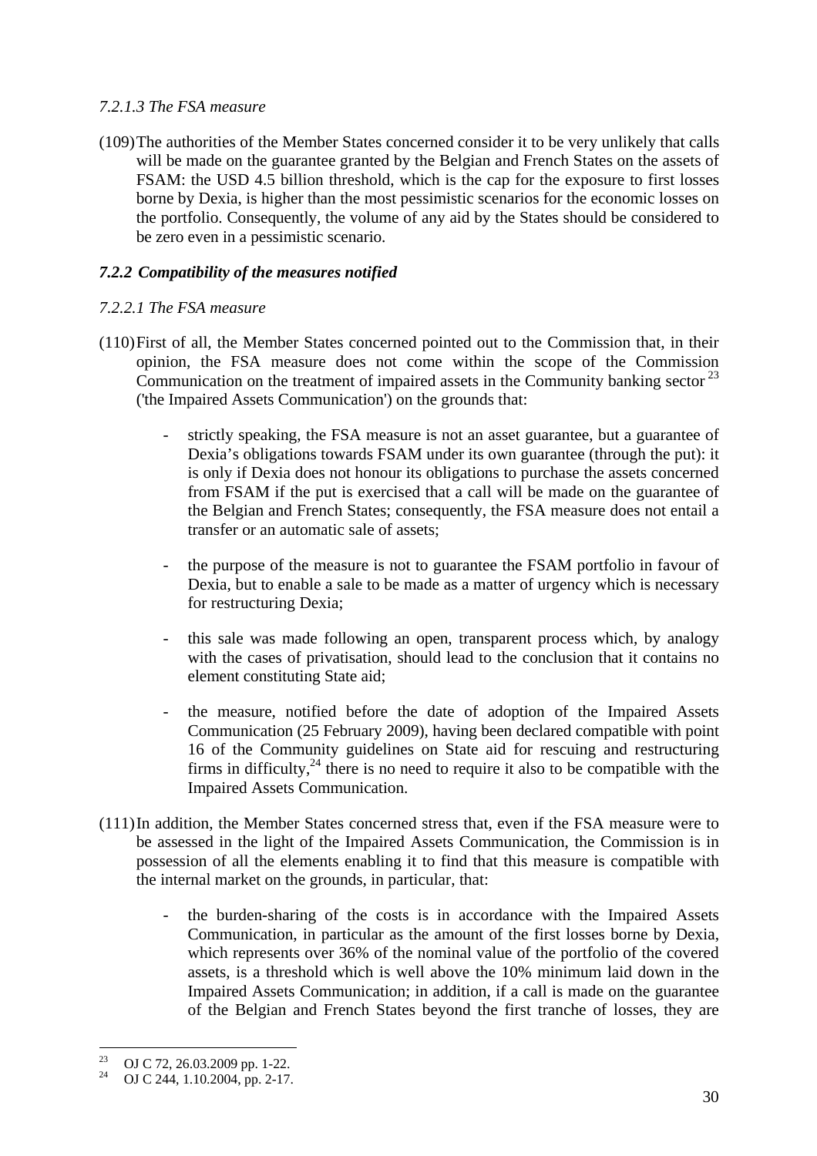### *7.2.1.3 The FSA measure*

(109)The authorities of the Member States concerned consider it to be very unlikely that calls will be made on the guarantee granted by the Belgian and French States on the assets of FSAM: the USD 4.5 billion threshold, which is the cap for the exposure to first losses borne by Dexia, is higher than the most pessimistic scenarios for the economic losses on the portfolio. Consequently, the volume of any aid by the States should be considered to be zero even in a pessimistic scenario.

# *7.2.2 Compatibility of the measures notified*

### *7.2.2.1 The FSA measure*

- (110)First of all, the Member States concerned pointed out to the Commission that, in their opinion, the FSA measure does not come within the scope of the Commission Communication on the treatment of impaired assets in the Community banking sector<sup>23</sup> ('the Impaired Assets Communication') on the grounds that:
	- strictly speaking, the FSA measure is not an asset guarantee, but a guarantee of Dexia's obligations towards FSAM under its own guarantee (through the put): it is only if Dexia does not honour its obligations to purchase the assets concerned from FSAM if the put is exercised that a call will be made on the guarantee of the Belgian and French States; consequently, the FSA measure does not entail a transfer or an automatic sale of assets;
	- the purpose of the measure is not to guarantee the FSAM portfolio in favour of Dexia, but to enable a sale to be made as a matter of urgency which is necessary for restructuring Dexia;
	- this sale was made following an open, transparent process which, by analogy with the cases of privatisation, should lead to the conclusion that it contains no element constituting State aid;
	- the measure, notified before the date of adoption of the Impaired Assets Communication (25 February 2009), having been declared compatible with point 16 of the Community guidelines on State aid for rescuing and restructuring firms in difficulty, $24$  there is no need to require it also to be compatible with the Impaired Assets Communication.
- (111)In addition, the Member States concerned stress that, even if the FSA measure were to be assessed in the light of the Impaired Assets Communication, the Commission is in possession of all the elements enabling it to find that this measure is compatible with the internal market on the grounds, in particular, that:
	- the burden-sharing of the costs is in accordance with the Impaired Assets Communication, in particular as the amount of the first losses borne by Dexia, which represents over 36% of the nominal value of the portfolio of the covered assets, is a threshold which is well above the 10% minimum laid down in the Impaired Assets Communication; in addition, if a call is made on the guarantee of the Belgian and French States beyond the first tranche of losses, they are

 $\overline{a}$ 23 OJ C 72, 26.03.2009 pp. 1-22.

<sup>24</sup> OJ C 244, 1.10.2004, pp. 2-17.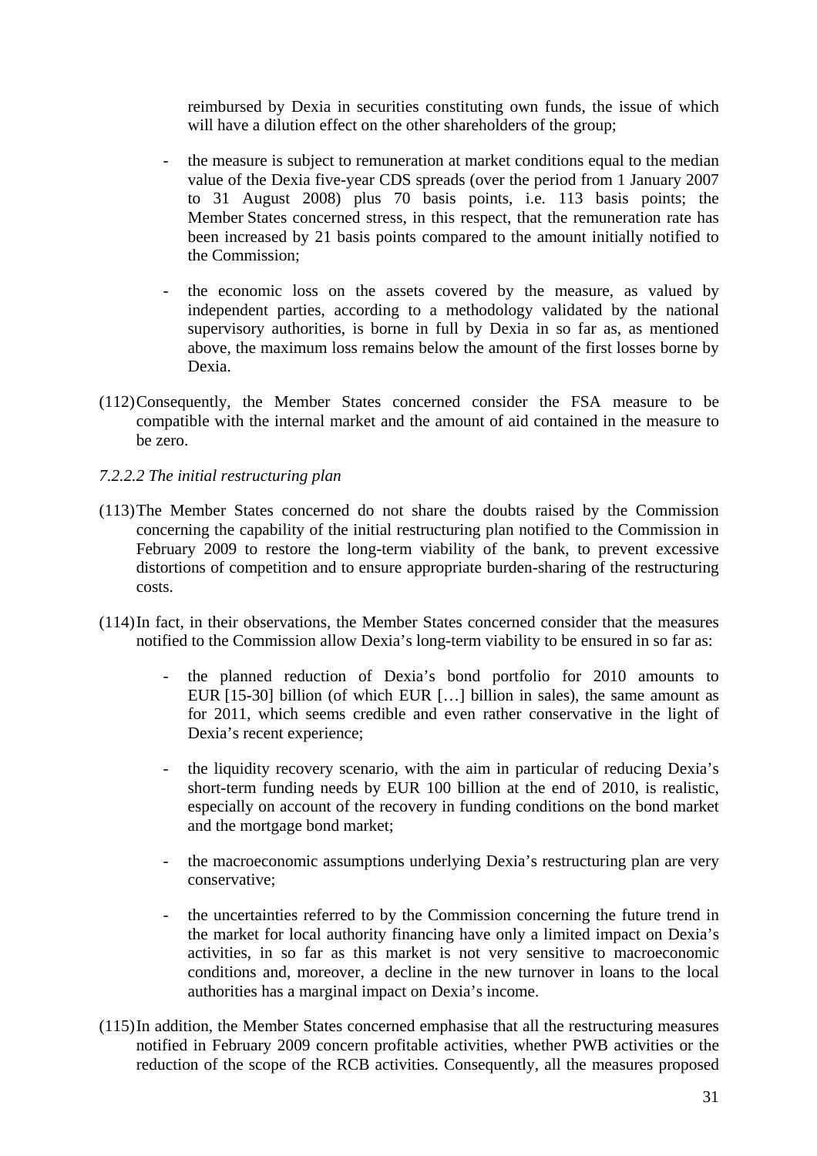reimbursed by Dexia in securities constituting own funds, the issue of which will have a dilution effect on the other shareholders of the group;

- the measure is subject to remuneration at market conditions equal to the median value of the Dexia five-year CDS spreads (over the period from 1 January 2007 to 31 August 2008) plus 70 basis points, i.e. 113 basis points; the Member States concerned stress, in this respect, that the remuneration rate has been increased by 21 basis points compared to the amount initially notified to the Commission;
- the economic loss on the assets covered by the measure, as valued by independent parties, according to a methodology validated by the national supervisory authorities, is borne in full by Dexia in so far as, as mentioned above, the maximum loss remains below the amount of the first losses borne by Dexia.
- (112)Consequently, the Member States concerned consider the FSA measure to be compatible with the internal market and the amount of aid contained in the measure to be zero.
- *7.2.2.2 The initial restructuring plan*
- (113)The Member States concerned do not share the doubts raised by the Commission concerning the capability of the initial restructuring plan notified to the Commission in February 2009 to restore the long-term viability of the bank, to prevent excessive distortions of competition and to ensure appropriate burden-sharing of the restructuring costs.
- (114)In fact, in their observations, the Member States concerned consider that the measures notified to the Commission allow Dexia's long-term viability to be ensured in so far as:
	- the planned reduction of Dexia's bond portfolio for 2010 amounts to EUR [15-30] billion (of which EUR […] billion in sales), the same amount as for 2011, which seems credible and even rather conservative in the light of Dexia's recent experience;
	- the liquidity recovery scenario, with the aim in particular of reducing Dexia's short-term funding needs by EUR 100 billion at the end of 2010, is realistic, especially on account of the recovery in funding conditions on the bond market and the mortgage bond market;
	- the macroeconomic assumptions underlying Dexia's restructuring plan are very conservative;
	- the uncertainties referred to by the Commission concerning the future trend in the market for local authority financing have only a limited impact on Dexia's activities, in so far as this market is not very sensitive to macroeconomic conditions and, moreover, a decline in the new turnover in loans to the local authorities has a marginal impact on Dexia's income.
- (115)In addition, the Member States concerned emphasise that all the restructuring measures notified in February 2009 concern profitable activities, whether PWB activities or the reduction of the scope of the RCB activities. Consequently, all the measures proposed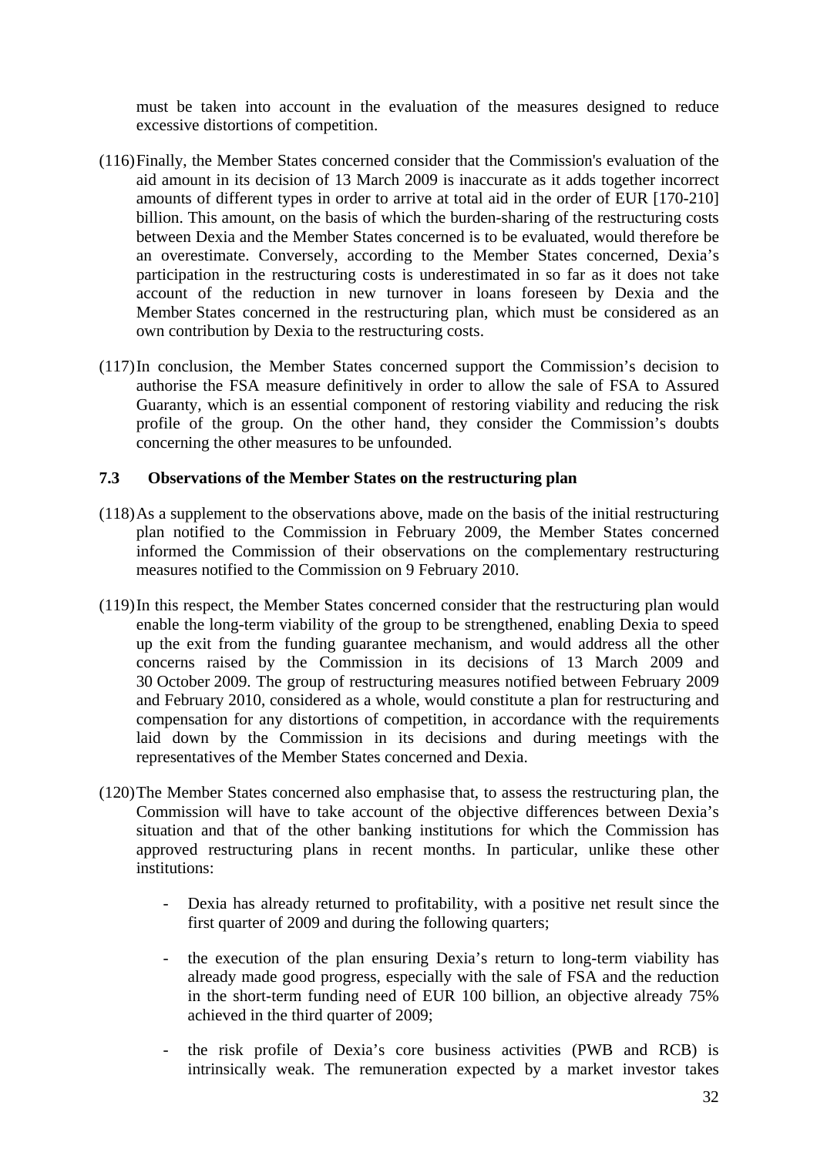must be taken into account in the evaluation of the measures designed to reduce excessive distortions of competition.

- (116)Finally, the Member States concerned consider that the Commission's evaluation of the aid amount in its decision of 13 March 2009 is inaccurate as it adds together incorrect amounts of different types in order to arrive at total aid in the order of EUR [170-210] billion. This amount, on the basis of which the burden-sharing of the restructuring costs between Dexia and the Member States concerned is to be evaluated, would therefore be an overestimate. Conversely, according to the Member States concerned, Dexia's participation in the restructuring costs is underestimated in so far as it does not take account of the reduction in new turnover in loans foreseen by Dexia and the Member States concerned in the restructuring plan, which must be considered as an own contribution by Dexia to the restructuring costs.
- (117)In conclusion, the Member States concerned support the Commission's decision to authorise the FSA measure definitively in order to allow the sale of FSA to Assured Guaranty, which is an essential component of restoring viability and reducing the risk profile of the group. On the other hand, they consider the Commission's doubts concerning the other measures to be unfounded.

### **7.3 Observations of the Member States on the restructuring plan**

- (118)As a supplement to the observations above, made on the basis of the initial restructuring plan notified to the Commission in February 2009, the Member States concerned informed the Commission of their observations on the complementary restructuring measures notified to the Commission on 9 February 2010.
- (119)In this respect, the Member States concerned consider that the restructuring plan would enable the long-term viability of the group to be strengthened, enabling Dexia to speed up the exit from the funding guarantee mechanism, and would address all the other concerns raised by the Commission in its decisions of 13 March 2009 and 30 October 2009. The group of restructuring measures notified between February 2009 and February 2010, considered as a whole, would constitute a plan for restructuring and compensation for any distortions of competition, in accordance with the requirements laid down by the Commission in its decisions and during meetings with the representatives of the Member States concerned and Dexia.
- (120)The Member States concerned also emphasise that, to assess the restructuring plan, the Commission will have to take account of the objective differences between Dexia's situation and that of the other banking institutions for which the Commission has approved restructuring plans in recent months. In particular, unlike these other institutions:
	- Dexia has already returned to profitability, with a positive net result since the first quarter of 2009 and during the following quarters;
	- the execution of the plan ensuring Dexia's return to long-term viability has already made good progress, especially with the sale of FSA and the reduction in the short-term funding need of EUR 100 billion, an objective already 75% achieved in the third quarter of 2009;
	- the risk profile of Dexia's core business activities (PWB and RCB) is intrinsically weak. The remuneration expected by a market investor takes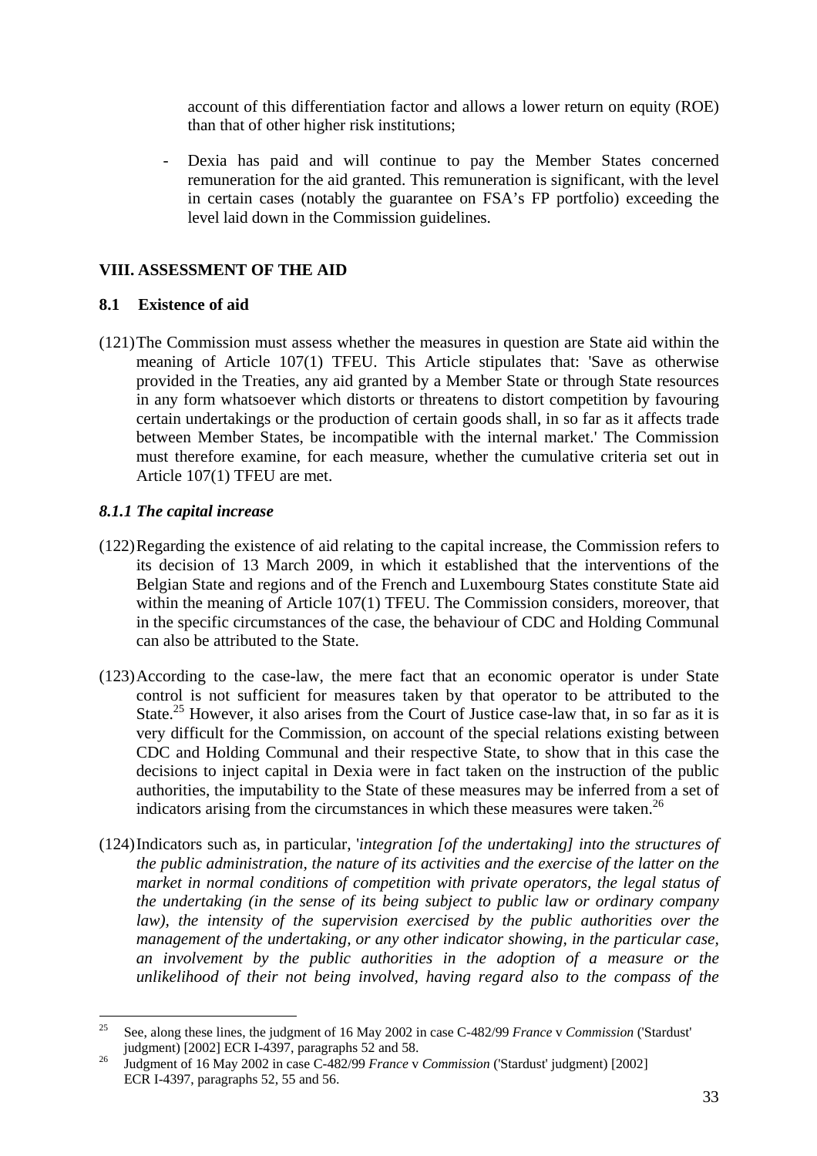account of this differentiation factor and allows a lower return on equity (ROE) than that of other higher risk institutions;

Dexia has paid and will continue to pay the Member States concerned remuneration for the aid granted. This remuneration is significant, with the level in certain cases (notably the guarantee on FSA's FP portfolio) exceeding the level laid down in the Commission guidelines.

# **VIII. ASSESSMENT OF THE AID**

# **8.1 Existence of aid**

(121)The Commission must assess whether the measures in question are State aid within the meaning of Article 107(1) TFEU. This Article stipulates that: 'Save as otherwise provided in the Treaties, any aid granted by a Member State or through State resources in any form whatsoever which distorts or threatens to distort competition by favouring certain undertakings or the production of certain goods shall, in so far as it affects trade between Member States, be incompatible with the internal market.' The Commission must therefore examine, for each measure, whether the cumulative criteria set out in Article 107(1) TFEU are met.

# *8.1.1 The capital increase*

- (122)Regarding the existence of aid relating to the capital increase, the Commission refers to its decision of 13 March 2009, in which it established that the interventions of the Belgian State and regions and of the French and Luxembourg States constitute State aid within the meaning of Article 107(1) TFEU. The Commission considers, moreover, that in the specific circumstances of the case, the behaviour of CDC and Holding Communal can also be attributed to the State.
- (123)According to the case-law, the mere fact that an economic operator is under State control is not sufficient for measures taken by that operator to be attributed to the State.<sup>25</sup> However, it also arises from the Court of Justice case-law that, in so far as it is very difficult for the Commission, on account of the special relations existing between CDC and Holding Communal and their respective State, to show that in this case the decisions to inject capital in Dexia were in fact taken on the instruction of the public authorities, the imputability to the State of these measures may be inferred from a set of indicators arising from the circumstances in which these measures were taken.<sup>26</sup>
- (124)Indicators such as, in particular, '*integration [of the undertaking] into the structures of the public administration, the nature of its activities and the exercise of the latter on the market in normal conditions of competition with private operators, the legal status of the undertaking (in the sense of its being subject to public law or ordinary company law*), the intensity of the supervision exercised by the public authorities over the *management of the undertaking, or any other indicator showing, in the particular case, an involvement by the public authorities in the adoption of a measure or the unlikelihood of their not being involved, having regard also to the compass of the*

 $25$ 25 See, along these lines, the judgment of 16 May 2002 in case C-482/99 *France* v *Commission* ('Stardust'

<sup>&</sup>lt;sup>26</sup> Judgment of 16 May 2002 in case C-482/99 *France* v *Commission* ('Stardust' judgment) [2002] ECR I-4397, paragraphs 52, 55 and 56.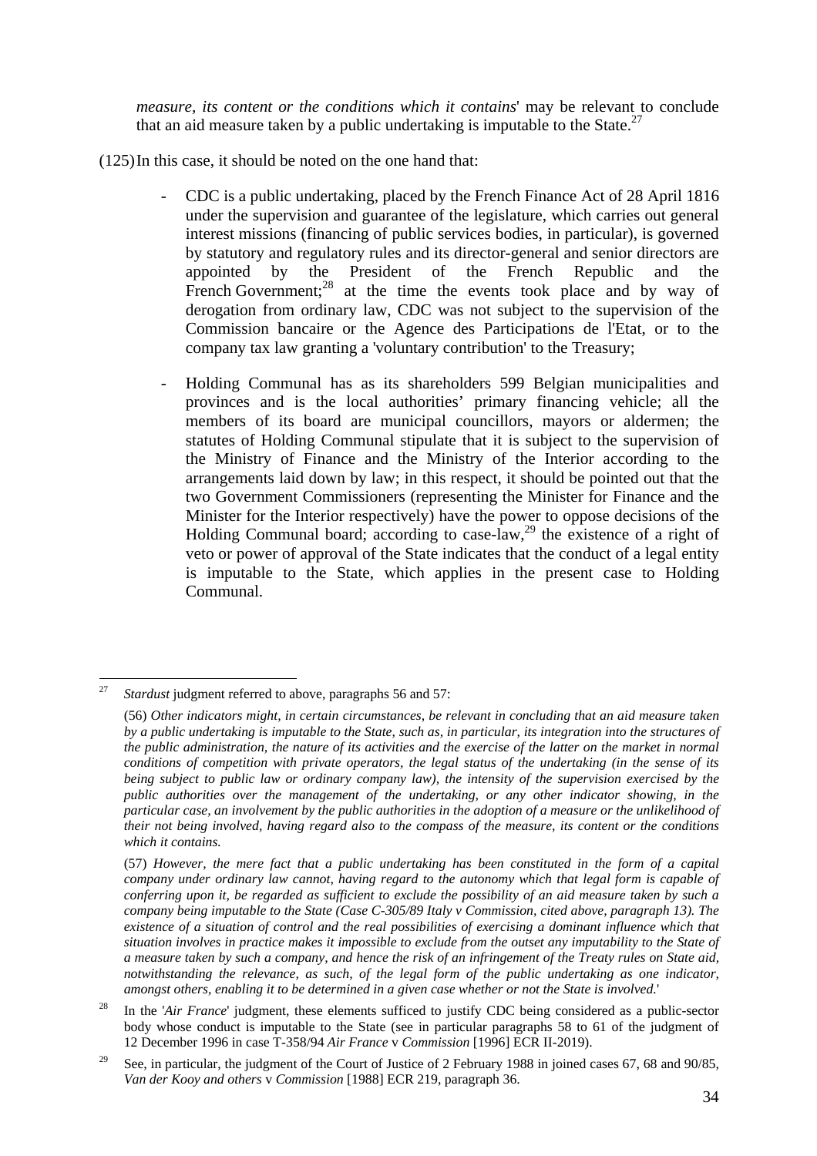*measure, its content or the conditions which it contains*' may be relevant to conclude that an aid measure taken by a public undertaking is imputable to the State.<sup>27</sup>

- (125)In this case, it should be noted on the one hand that:
	- CDC is a public undertaking, placed by the French Finance Act of 28 April 1816 under the supervision and guarantee of the legislature, which carries out general interest missions (financing of public services bodies, in particular), is governed by statutory and regulatory rules and its director-general and senior directors are appointed by the President of the French Republic and the French Government; $^{28}$  at the time the events took place and by way of derogation from ordinary law, CDC was not subject to the supervision of the Commission bancaire or the Agence des Participations de l'Etat, or to the company tax law granting a 'voluntary contribution' to the Treasury;
	- Holding Communal has as its shareholders 599 Belgian municipalities and provinces and is the local authorities' primary financing vehicle; all the members of its board are municipal councillors, mayors or aldermen; the statutes of Holding Communal stipulate that it is subject to the supervision of the Ministry of Finance and the Ministry of the Interior according to the arrangements laid down by law; in this respect, it should be pointed out that the two Government Commissioners (representing the Minister for Finance and the Minister for the Interior respectively) have the power to oppose decisions of the Holding Communal board; according to case-law,<sup>29</sup> the existence of a right of veto or power of approval of the State indicates that the conduct of a legal entity is imputable to the State, which applies in the present case to Holding Communal.

 $27$ Stardust judgment referred to above, paragraphs 56 and 57:

<sup>(56)</sup> *Other indicators might, in certain circumstances, be relevant in concluding that an aid measure taken by a public undertaking is imputable to the State, such as, in particular, its integration into the structures of the public administration, the nature of its activities and the exercise of the latter on the market in normal conditions of competition with private operators, the legal status of the undertaking (in the sense of its being subject to public law or ordinary company law), the intensity of the supervision exercised by the public authorities over the management of the undertaking, or any other indicator showing, in the particular case, an involvement by the public authorities in the adoption of a measure or the unlikelihood of their not being involved, having regard also to the compass of the measure, its content or the conditions which it contains.* 

<sup>(57)</sup> *However, the mere fact that a public undertaking has been constituted in the form of a capital company under ordinary law cannot, having regard to the autonomy which that legal form is capable of conferring upon it, be regarded as sufficient to exclude the possibility of an aid measure taken by such a company being imputable to the State (Case C-305/89 Italy v Commission, cited above, paragraph 13). The existence of a situation of control and the real possibilities of exercising a dominant influence which that situation involves in practice makes it impossible to exclude from the outset any imputability to the State of a measure taken by such a company, and hence the risk of an infringement of the Treaty rules on State aid, notwithstanding the relevance, as such, of the legal form of the public undertaking as one indicator, amongst others, enabling it to be determined in a given case whether or not the State is involved.*'

<sup>28</sup> In the '*Air France*' judgment, these elements sufficed to justify CDC being considered as a public-sector body whose conduct is imputable to the State (see in particular paragraphs 58 to 61 of the judgment of 12 December 1996 in case T-358/94 *Air France* v *Commission* [1996] ECR II-2019).

<sup>29</sup> See, in particular, the judgment of the Court of Justice of 2 February 1988 in joined cases 67, 68 and 90/85, *Van der Kooy and others* v *Commission* [1988] ECR 219, paragraph 36.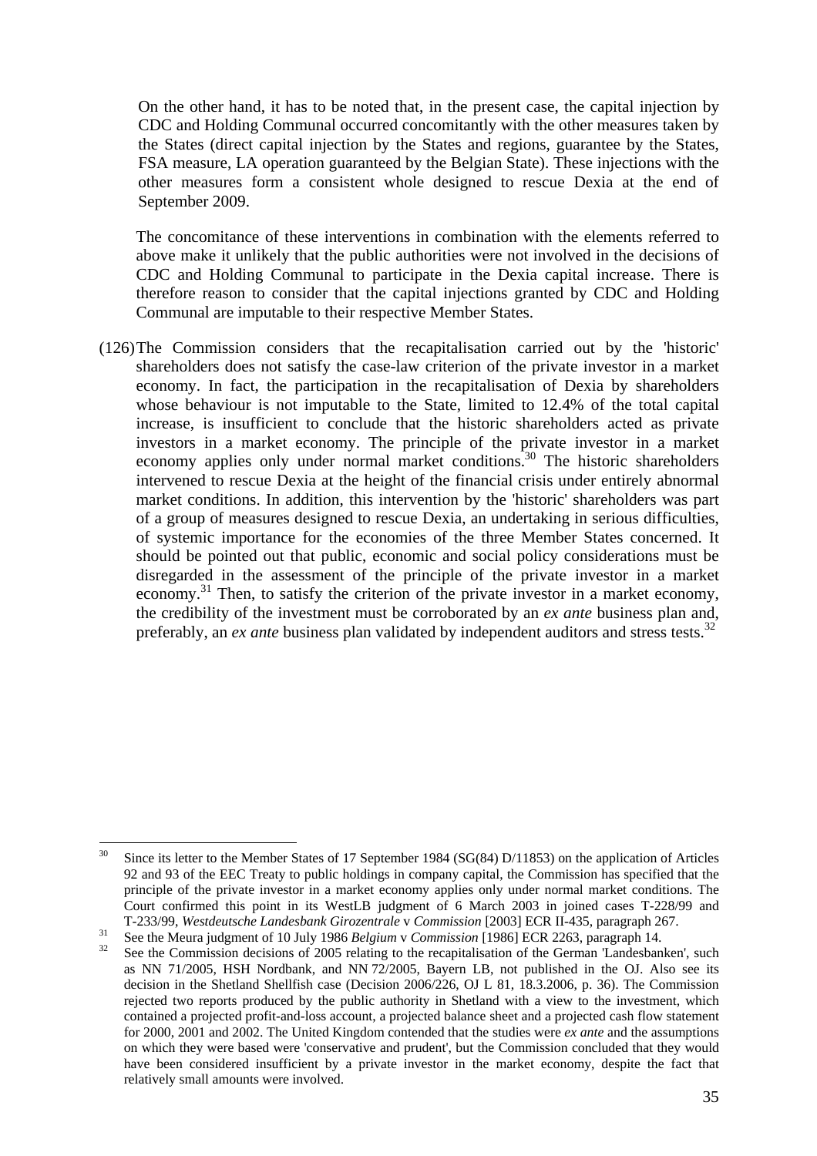On the other hand, it has to be noted that, in the present case, the capital injection by CDC and Holding Communal occurred concomitantly with the other measures taken by the States (direct capital injection by the States and regions, guarantee by the States, FSA measure, LA operation guaranteed by the Belgian State). These injections with the other measures form a consistent whole designed to rescue Dexia at the end of September 2009.

The concomitance of these interventions in combination with the elements referred to above make it unlikely that the public authorities were not involved in the decisions of CDC and Holding Communal to participate in the Dexia capital increase. There is therefore reason to consider that the capital injections granted by CDC and Holding Communal are imputable to their respective Member States.

(126)The Commission considers that the recapitalisation carried out by the 'historic' shareholders does not satisfy the case-law criterion of the private investor in a market economy. In fact, the participation in the recapitalisation of Dexia by shareholders whose behaviour is not imputable to the State, limited to 12.4% of the total capital increase, is insufficient to conclude that the historic shareholders acted as private investors in a market economy. The principle of the private investor in a market economy applies only under normal market conditions.<sup>30</sup> The historic shareholders intervened to rescue Dexia at the height of the financial crisis under entirely abnormal market conditions. In addition, this intervention by the 'historic' shareholders was part of a group of measures designed to rescue Dexia, an undertaking in serious difficulties, of systemic importance for the economies of the three Member States concerned. It should be pointed out that public, economic and social policy considerations must be disregarded in the assessment of the principle of the private investor in a market economy.<sup>31</sup> Then, to satisfy the criterion of the private investor in a market economy, the credibility of the investment must be corroborated by an *ex ante* business plan and, preferably, an *ex ante* business plan validated by independent auditors and stress tests.<sup>32</sup>

 $30^{\circ}$ Since its letter to the Member States of 17 September 1984 (SG(84) D/11853) on the application of Articles 92 and 93 of the EEC Treaty to public holdings in company capital, the Commission has specified that the principle of the private investor in a market economy applies only under normal market conditions. The Court confirmed this point in its WestLB judgment of 6 March 2003 in joined cases T-228/99 and T-233/99, Westdeutsche Landesbank Girozentrale v Commission [2003] ECR II-435, paragraph 267.<br>See the Meura judgment of 10 July 1986 Belgium v Commission [1986] ECR 2263, paragraph 14.<br>See the Commission decisions of 2005

as NN 71/2005, HSH Nordbank, and NN 72/2005, Bayern LB, not published in the OJ. Also see its decision in the Shetland Shellfish case (Decision 2006/226, OJ L 81, 18.3.2006, p. 36). The Commission rejected two reports produced by the public authority in Shetland with a view to the investment, which contained a projected profit-and-loss account, a projected balance sheet and a projected cash flow statement for 2000, 2001 and 2002. The United Kingdom contended that the studies were *ex ante* and the assumptions on which they were based were 'conservative and prudent', but the Commission concluded that they would have been considered insufficient by a private investor in the market economy, despite the fact that relatively small amounts were involved.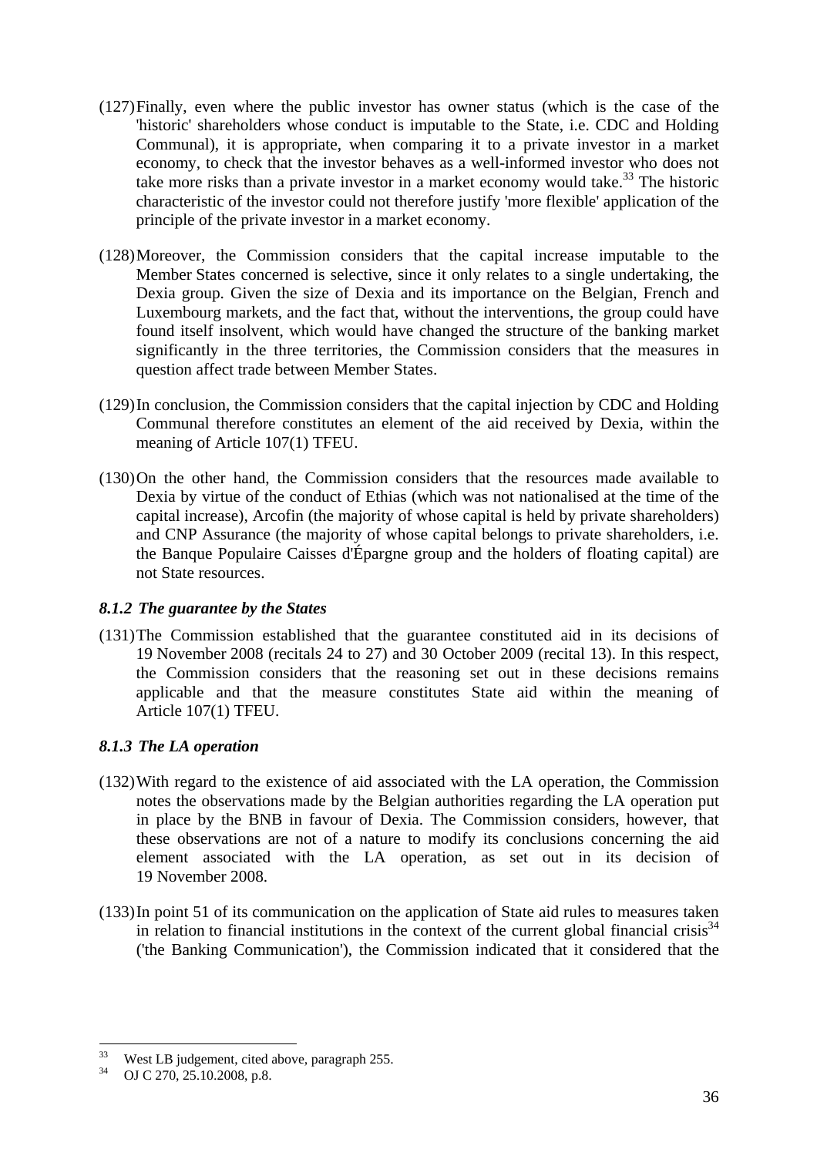- (127)Finally, even where the public investor has owner status (which is the case of the 'historic' shareholders whose conduct is imputable to the State, i.e. CDC and Holding Communal), it is appropriate, when comparing it to a private investor in a market economy, to check that the investor behaves as a well-informed investor who does not take more risks than a private investor in a market economy would take.<sup>33</sup> The historic characteristic of the investor could not therefore justify 'more flexible' application of the principle of the private investor in a market economy.
- (128)Moreover, the Commission considers that the capital increase imputable to the Member States concerned is selective, since it only relates to a single undertaking, the Dexia group. Given the size of Dexia and its importance on the Belgian, French and Luxembourg markets, and the fact that, without the interventions, the group could have found itself insolvent, which would have changed the structure of the banking market significantly in the three territories, the Commission considers that the measures in question affect trade between Member States.
- (129)In conclusion, the Commission considers that the capital injection by CDC and Holding Communal therefore constitutes an element of the aid received by Dexia, within the meaning of Article 107(1) TFEU.
- (130)On the other hand, the Commission considers that the resources made available to Dexia by virtue of the conduct of Ethias (which was not nationalised at the time of the capital increase), Arcofin (the majority of whose capital is held by private shareholders) and CNP Assurance (the majority of whose capital belongs to private shareholders, i.e. the Banque Populaire Caisses d'Épargne group and the holders of floating capital) are not State resources.

# *8.1.2 The guarantee by the States*

(131)The Commission established that the guarantee constituted aid in its decisions of 19 November 2008 (recitals 24 to 27) and 30 October 2009 (recital 13). In this respect, the Commission considers that the reasoning set out in these decisions remains applicable and that the measure constitutes State aid within the meaning of Article 107(1) TFEU.

# *8.1.3 The LA operation*

- (132)With regard to the existence of aid associated with the LA operation, the Commission notes the observations made by the Belgian authorities regarding the LA operation put in place by the BNB in favour of Dexia. The Commission considers, however, that these observations are not of a nature to modify its conclusions concerning the aid element associated with the LA operation, as set out in its decision of 19 November 2008.
- (133)In point 51 of its communication on the application of State aid rules to measures taken in relation to financial institutions in the context of the current global financial crisis<sup>34</sup> ('the Banking Communication'), the Commission indicated that it considered that the

West LB judgement, cited above, paragraph 255.

<sup>34</sup> OJ C 270, 25.10.2008, p.8.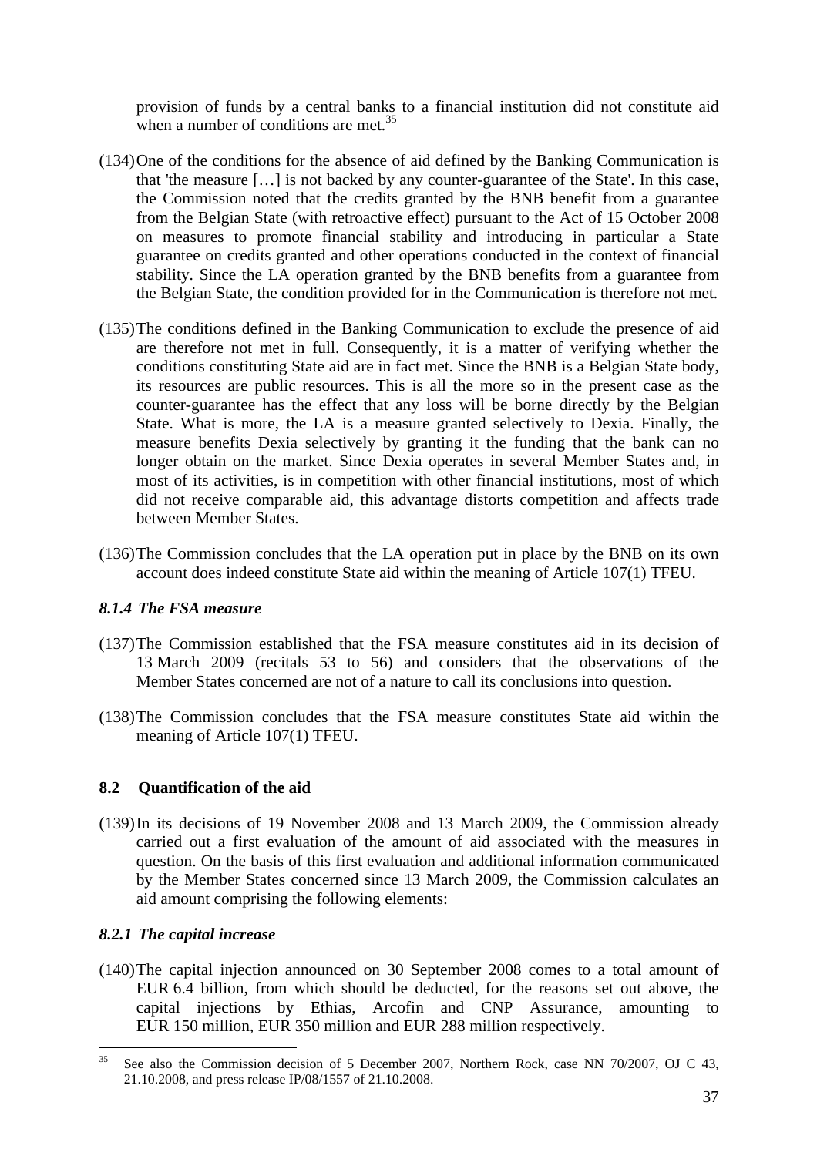provision of funds by a central banks to a financial institution did not constitute aid when a number of conditions are met.<sup>35</sup>

- (134)One of the conditions for the absence of aid defined by the Banking Communication is that 'the measure […] is not backed by any counter-guarantee of the State'. In this case, the Commission noted that the credits granted by the BNB benefit from a guarantee from the Belgian State (with retroactive effect) pursuant to the Act of 15 October 2008 on measures to promote financial stability and introducing in particular a State guarantee on credits granted and other operations conducted in the context of financial stability. Since the LA operation granted by the BNB benefits from a guarantee from the Belgian State, the condition provided for in the Communication is therefore not met.
- (135)The conditions defined in the Banking Communication to exclude the presence of aid are therefore not met in full. Consequently, it is a matter of verifying whether the conditions constituting State aid are in fact met. Since the BNB is a Belgian State body, its resources are public resources. This is all the more so in the present case as the counter-guarantee has the effect that any loss will be borne directly by the Belgian State. What is more, the LA is a measure granted selectively to Dexia. Finally, the measure benefits Dexia selectively by granting it the funding that the bank can no longer obtain on the market. Since Dexia operates in several Member States and, in most of its activities, is in competition with other financial institutions, most of which did not receive comparable aid, this advantage distorts competition and affects trade between Member States.
- (136)The Commission concludes that the LA operation put in place by the BNB on its own account does indeed constitute State aid within the meaning of Article 107(1) TFEU.

# *8.1.4 The FSA measure*

- (137)The Commission established that the FSA measure constitutes aid in its decision of 13 March 2009 (recitals 53 to 56) and considers that the observations of the Member States concerned are not of a nature to call its conclusions into question.
- (138)The Commission concludes that the FSA measure constitutes State aid within the meaning of Article 107(1) TFEU.

# **8.2 Quantification of the aid**

(139)In its decisions of 19 November 2008 and 13 March 2009, the Commission already carried out a first evaluation of the amount of aid associated with the measures in question. On the basis of this first evaluation and additional information communicated by the Member States concerned since 13 March 2009, the Commission calculates an aid amount comprising the following elements:

# *8.2.1 The capital increase*

(140)The capital injection announced on 30 September 2008 comes to a total amount of EUR 6.4 billion, from which should be deducted, for the reasons set out above, the capital injections by Ethias, Arcofin and CNP Assurance, amounting to EUR 150 million, EUR 350 million and EUR 288 million respectively.

 $35$ See also the Commission decision of 5 December 2007, Northern Rock, case NN 70/2007, OJ C 43, 21.10.2008, and press release IP/08/1557 of 21.10.2008.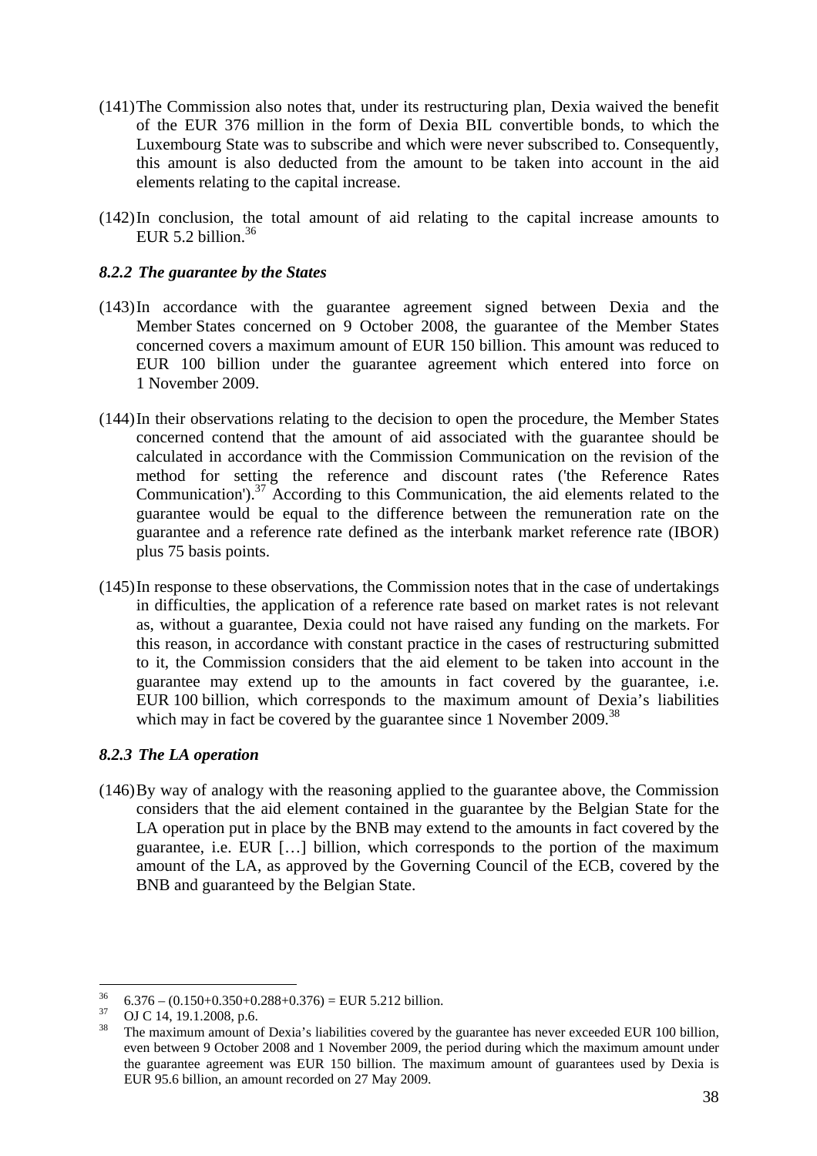- (141)The Commission also notes that, under its restructuring plan, Dexia waived the benefit of the EUR 376 million in the form of Dexia BIL convertible bonds, to which the Luxembourg State was to subscribe and which were never subscribed to. Consequently, this amount is also deducted from the amount to be taken into account in the aid elements relating to the capital increase.
- (142)In conclusion, the total amount of aid relating to the capital increase amounts to EUR  $5.2$  billion.<sup>36</sup>

# *8.2.2 The guarantee by the States*

- (143)In accordance with the guarantee agreement signed between Dexia and the Member States concerned on 9 October 2008, the guarantee of the Member States concerned covers a maximum amount of EUR 150 billion. This amount was reduced to EUR 100 billion under the guarantee agreement which entered into force on 1 November 2009.
- (144)In their observations relating to the decision to open the procedure, the Member States concerned contend that the amount of aid associated with the guarantee should be calculated in accordance with the Commission Communication on the revision of the method for setting the reference and discount rates ('the Reference Rates Communication'). $37$  According to this Communication, the aid elements related to the guarantee would be equal to the difference between the remuneration rate on the guarantee and a reference rate defined as the interbank market reference rate (IBOR) plus 75 basis points.
- (145)In response to these observations, the Commission notes that in the case of undertakings in difficulties, the application of a reference rate based on market rates is not relevant as, without a guarantee, Dexia could not have raised any funding on the markets. For this reason, in accordance with constant practice in the cases of restructuring submitted to it, the Commission considers that the aid element to be taken into account in the guarantee may extend up to the amounts in fact covered by the guarantee, i.e. EUR 100 billion, which corresponds to the maximum amount of Dexia's liabilities which may in fact be covered by the guarantee since 1 November 2009.<sup>38</sup>

#### *8.2.3 The LA operation*

(146)By way of analogy with the reasoning applied to the guarantee above, the Commission considers that the aid element contained in the guarantee by the Belgian State for the LA operation put in place by the BNB may extend to the amounts in fact covered by the guarantee, i.e. EUR […] billion, which corresponds to the portion of the maximum amount of the LA, as approved by the Governing Council of the ECB, covered by the BNB and guaranteed by the Belgian State.

 $36^{\circ}$  $^{36}$  6.376 – (0.150+0.350+0.288+0.376) = EUR 5.212 billion.<br><sup>37</sup> OLC 14, 19,12008, p.6

 $^{37}$  OJ C 14, 19.1.2008, p.6.

The maximum amount of Dexia's liabilities covered by the guarantee has never exceeded EUR 100 billion, even between 9 October 2008 and 1 November 2009, the period during which the maximum amount under the guarantee agreement was EUR 150 billion. The maximum amount of guarantees used by Dexia is EUR 95.6 billion, an amount recorded on 27 May 2009.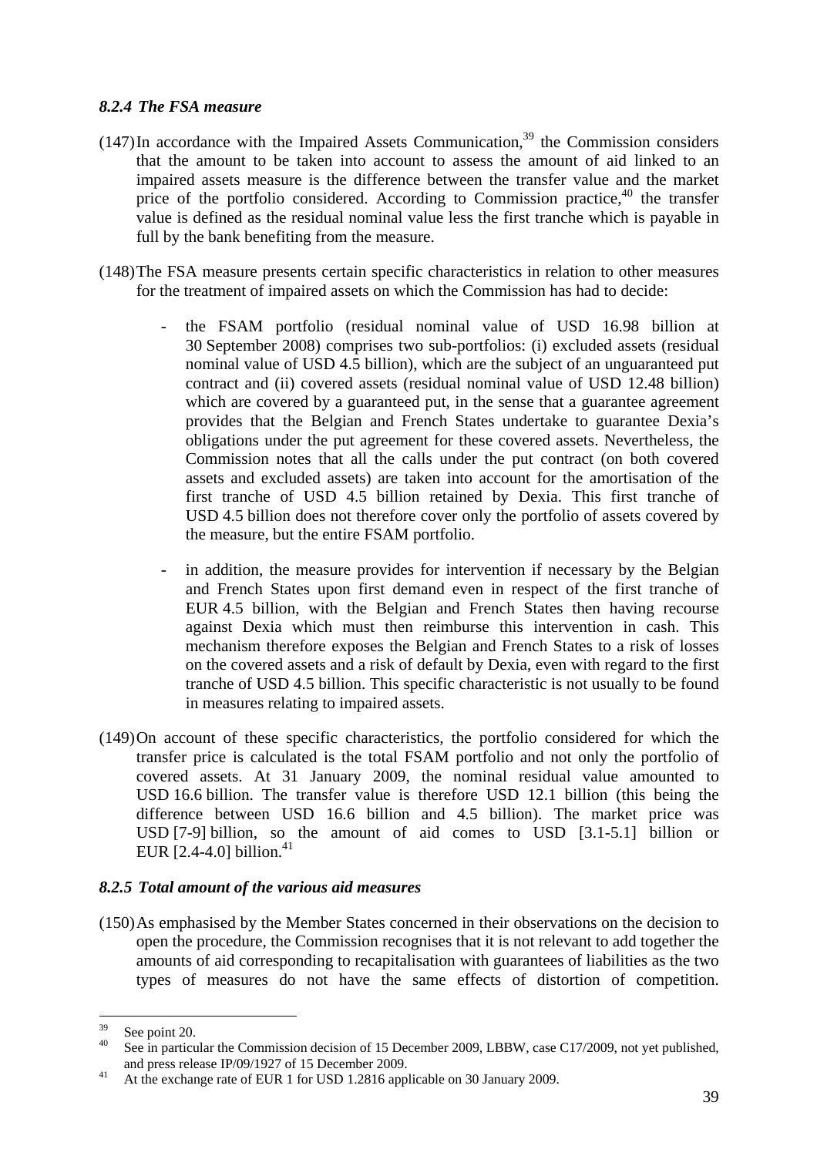### *8.2.4 The FSA measure*

- $(147)$ In accordance with the Impaired Assets Communication,<sup>39</sup> the Commission considers that the amount to be taken into account to assess the amount of aid linked to an impaired assets measure is the difference between the transfer value and the market price of the portfolio considered. According to Commission practice,  $40$  the transfer value is defined as the residual nominal value less the first tranche which is payable in full by the bank benefiting from the measure.
- (148)The FSA measure presents certain specific characteristics in relation to other measures for the treatment of impaired assets on which the Commission has had to decide:
	- the FSAM portfolio (residual nominal value of USD 16.98 billion at 30 September 2008) comprises two sub-portfolios: (i) excluded assets (residual nominal value of USD 4.5 billion), which are the subject of an unguaranteed put contract and (ii) covered assets (residual nominal value of USD 12.48 billion) which are covered by a guaranteed put, in the sense that a guarantee agreement provides that the Belgian and French States undertake to guarantee Dexia's obligations under the put agreement for these covered assets. Nevertheless, the Commission notes that all the calls under the put contract (on both covered assets and excluded assets) are taken into account for the amortisation of the first tranche of USD 4.5 billion retained by Dexia. This first tranche of USD 4.5 billion does not therefore cover only the portfolio of assets covered by the measure, but the entire FSAM portfolio.
	- in addition, the measure provides for intervention if necessary by the Belgian and French States upon first demand even in respect of the first tranche of EUR 4.5 billion, with the Belgian and French States then having recourse against Dexia which must then reimburse this intervention in cash. This mechanism therefore exposes the Belgian and French States to a risk of losses on the covered assets and a risk of default by Dexia, even with regard to the first tranche of USD 4.5 billion. This specific characteristic is not usually to be found in measures relating to impaired assets.
- (149)On account of these specific characteristics, the portfolio considered for which the transfer price is calculated is the total FSAM portfolio and not only the portfolio of covered assets. At 31 January 2009, the nominal residual value amounted to USD 16.6 billion. The transfer value is therefore USD 12.1 billion (this being the difference between USD 16.6 billion and 4.5 billion). The market price was USD [7-9] billion, so the amount of aid comes to USD [3.1-5.1] billion or EUR  $[2.4-4.0]$  billion.<sup>41</sup>

# *8.2.5 Total amount of the various aid measures*

(150)As emphasised by the Member States concerned in their observations on the decision to open the procedure, the Commission recognises that it is not relevant to add together the amounts of aid corresponding to recapitalisation with guarantees of liabilities as the two types of measures do not have the same effects of distortion of competition.

 $39$  $rac{39}{40}$  See point 20.

See in particular the Commission decision of 15 December 2009, LBBW, case C17/2009, not yet published. and press release IP/09/1927 of 15 December 2009.<br>41 At the exchange rate of EUR 1 for USD 1.2816 applicable on 30 January 2009.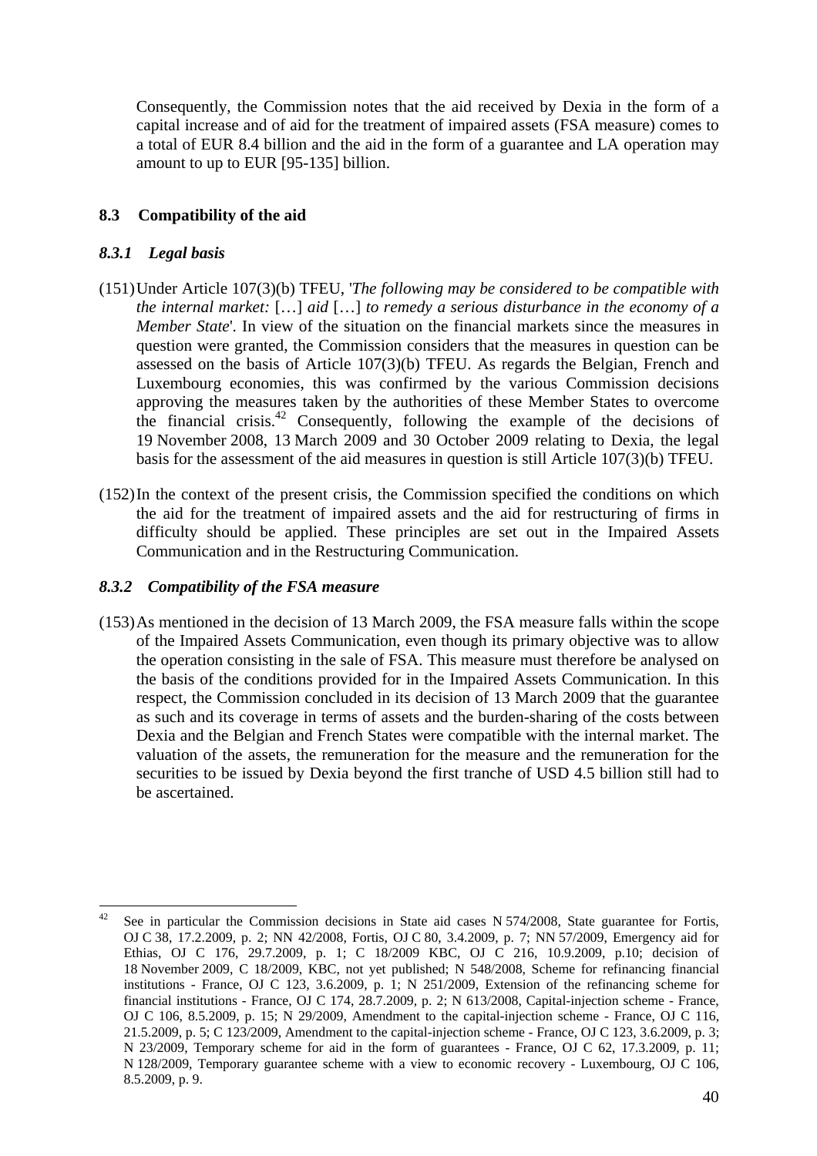Consequently, the Commission notes that the aid received by Dexia in the form of a capital increase and of aid for the treatment of impaired assets (FSA measure) comes to a total of EUR 8.4 billion and the aid in the form of a guarantee and LA operation may amount to up to EUR [95-135] billion.

# **8.3 Compatibility of the aid**

# *8.3.1 Legal basis*

- (151)Under Article 107(3)(b) TFEU, '*The following may be considered to be compatible with the internal market:* […] *aid* […] *to remedy a serious disturbance in the economy of a Member State*'. In view of the situation on the financial markets since the measures in question were granted, the Commission considers that the measures in question can be assessed on the basis of Article 107(3)(b) TFEU. As regards the Belgian, French and Luxembourg economies, this was confirmed by the various Commission decisions approving the measures taken by the authorities of these Member States to overcome the financial crisis.<sup>42</sup> Consequently, following the example of the decisions of 19 November 2008, 13 March 2009 and 30 October 2009 relating to Dexia, the legal basis for the assessment of the aid measures in question is still Article 107(3)(b) TFEU.
- (152)In the context of the present crisis, the Commission specified the conditions on which the aid for the treatment of impaired assets and the aid for restructuring of firms in difficulty should be applied. These principles are set out in the Impaired Assets Communication and in the Restructuring Communication.

# *8.3.2 Compatibility of the FSA measure*

(153)As mentioned in the decision of 13 March 2009, the FSA measure falls within the scope of the Impaired Assets Communication, even though its primary objective was to allow the operation consisting in the sale of FSA. This measure must therefore be analysed on the basis of the conditions provided for in the Impaired Assets Communication. In this respect, the Commission concluded in its decision of 13 March 2009 that the guarantee as such and its coverage in terms of assets and the burden-sharing of the costs between Dexia and the Belgian and French States were compatible with the internal market. The valuation of the assets, the remuneration for the measure and the remuneration for the securities to be issued by Dexia beyond the first tranche of USD 4.5 billion still had to be ascertained.

 $\overline{a}$ See in particular the Commission decisions in State aid cases N 574/2008, State guarantee for Fortis, OJ C 38, 17.2.2009, p. 2; NN 42/2008, Fortis, OJ C 80, 3.4.2009, p. 7; NN 57/2009, Emergency aid for Ethias, OJ C 176, 29.7.2009, p. 1; C 18/2009 KBC, OJ C 216, 10.9.2009, p.10; decision of 18 November 2009, C 18/2009, KBC, not yet published; N 548/2008, Scheme for refinancing financial institutions - France, OJ C 123, 3.6.2009, p. 1; N 251/2009, Extension of the refinancing scheme for financial institutions - France, OJ C 174, 28.7.2009, p. 2; N 613/2008, Capital-injection scheme - France, OJ C 106, 8.5.2009, p. 15; N 29/2009, Amendment to the capital-injection scheme - France, OJ C 116, 21.5.2009, p. 5; C 123/2009, Amendment to the capital-injection scheme - France, OJ C 123, 3.6.2009, p. 3; N 23/2009, Temporary scheme for aid in the form of guarantees - France, OJ C 62, 17.3.2009, p. 11; N 128/2009, Temporary guarantee scheme with a view to economic recovery - Luxembourg, OJ C 106, 8.5.2009, p. 9.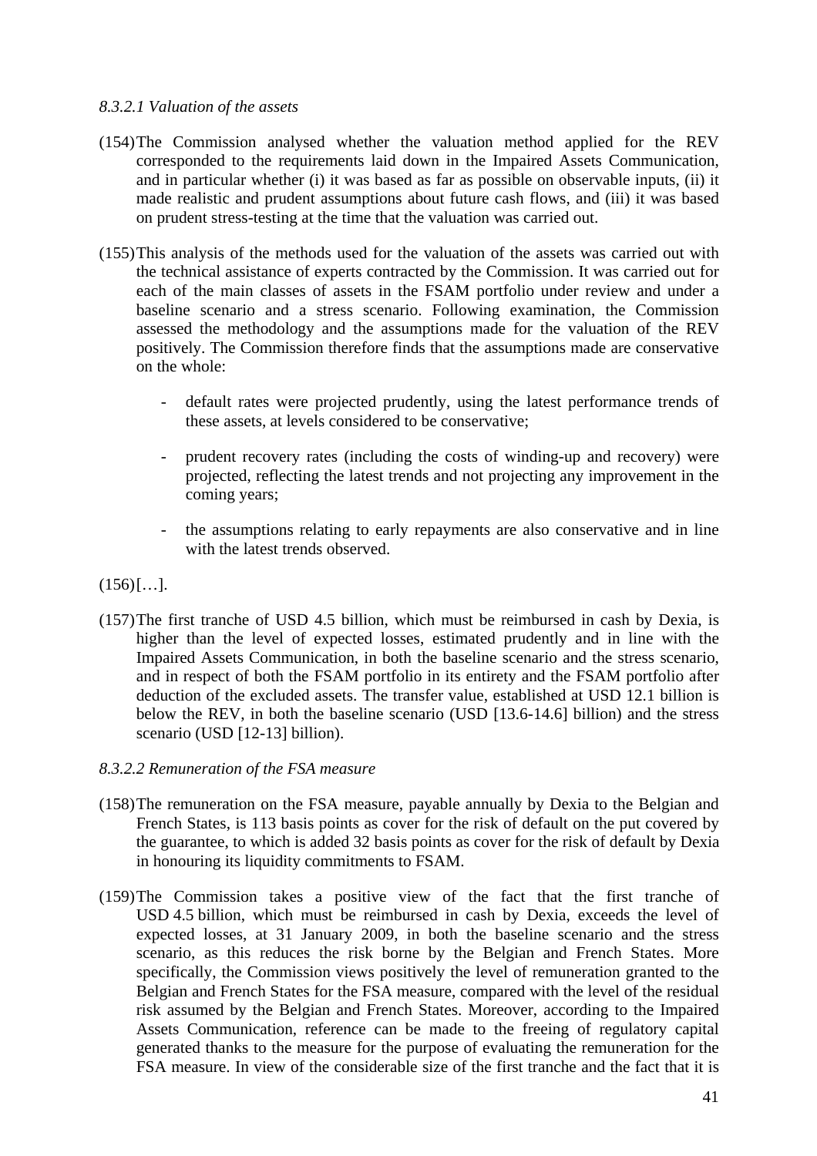#### *8.3.2.1 Valuation of the assets*

- (154)The Commission analysed whether the valuation method applied for the REV corresponded to the requirements laid down in the Impaired Assets Communication, and in particular whether (i) it was based as far as possible on observable inputs, (ii) it made realistic and prudent assumptions about future cash flows, and (iii) it was based on prudent stress-testing at the time that the valuation was carried out.
- (155)This analysis of the methods used for the valuation of the assets was carried out with the technical assistance of experts contracted by the Commission. It was carried out for each of the main classes of assets in the FSAM portfolio under review and under a baseline scenario and a stress scenario. Following examination, the Commission assessed the methodology and the assumptions made for the valuation of the REV positively. The Commission therefore finds that the assumptions made are conservative on the whole:
	- default rates were projected prudently, using the latest performance trends of these assets, at levels considered to be conservative;
	- prudent recovery rates (including the costs of winding-up and recovery) were projected, reflecting the latest trends and not projecting any improvement in the coming years;
	- the assumptions relating to early repayments are also conservative and in line with the latest trends observed.

#### $(156)[...]$ .

- (157)The first tranche of USD 4.5 billion, which must be reimbursed in cash by Dexia, is higher than the level of expected losses, estimated prudently and in line with the Impaired Assets Communication, in both the baseline scenario and the stress scenario, and in respect of both the FSAM portfolio in its entirety and the FSAM portfolio after deduction of the excluded assets. The transfer value, established at USD 12.1 billion is below the REV, in both the baseline scenario (USD [13.6-14.6] billion) and the stress scenario (USD [12-13] billion).
- *8.3.2.2 Remuneration of the FSA measure*
- <span id="page-40-0"></span>(158)The remuneration on the FSA measure, payable annually by Dexia to the Belgian and French States, is 113 basis points as cover for the risk of default on the put covered by the guarantee, to which is added 32 basis points as cover for the risk of default by Dexia in honouring its liquidity commitments to FSAM.
- (159)The Commission takes a positive view of the fact that the first tranche of USD 4.5 billion, which must be reimbursed in cash by Dexia, exceeds the level of expected losses, at 31 January 2009, in both the baseline scenario and the stress scenario, as this reduces the risk borne by the Belgian and French States. More specifically, the Commission views positively the level of remuneration granted to the Belgian and French States for the FSA measure, compared with the level of the residual risk assumed by the Belgian and French States. Moreover, according to the Impaired Assets Communication, reference can be made to the freeing of regulatory capital generated thanks to the measure for the purpose of evaluating the remuneration for the FSA measure. In view of the considerable size of the first tranche and the fact that it is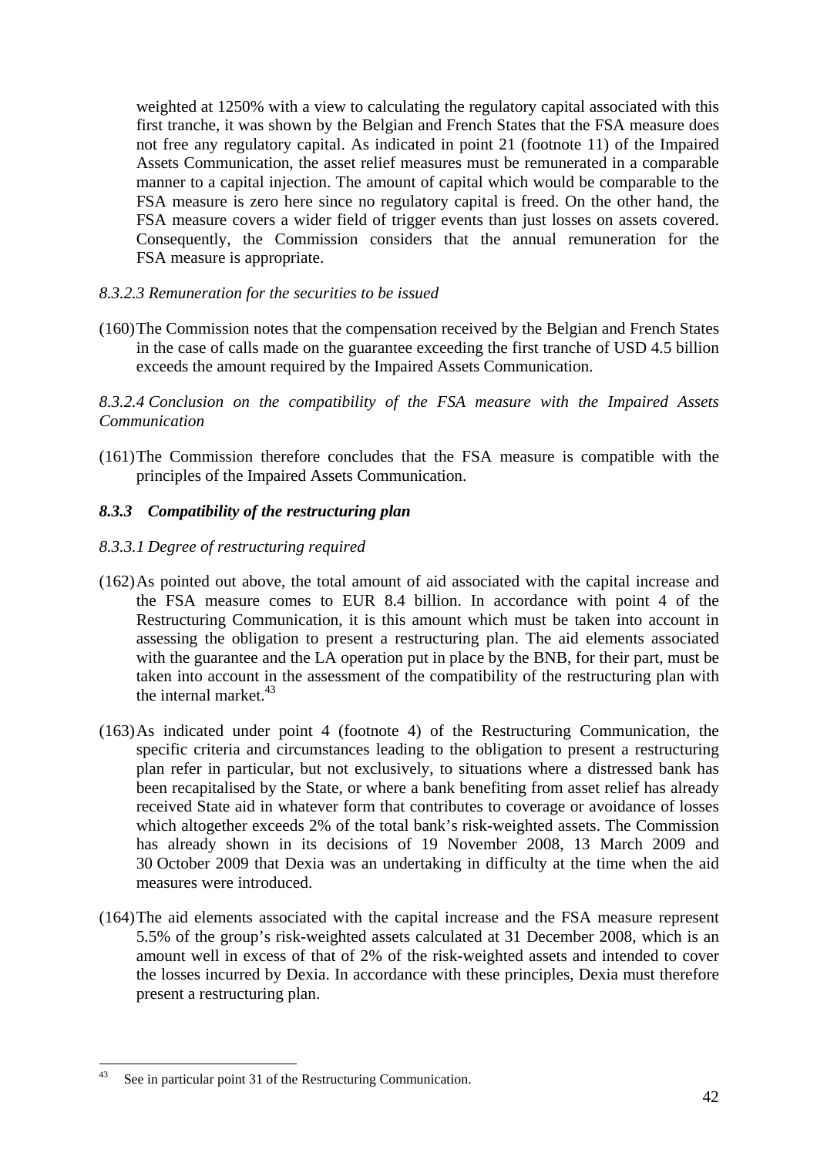weighted at 1250% with a view to calculating the regulatory capital associated with this first tranche, it was shown by the Belgian and French States that the FSA measure does not free any regulatory capital. As indicated in point 21 (footnote 11) of the Impaired Assets Communication, the asset relief measures must be remunerated in a comparable manner to a capital injection. The amount of capital which would be comparable to the FSA measure is zero here since no regulatory capital is freed. On the other hand, the FSA measure covers a wider field of trigger events than just losses on assets covered. Consequently, the Commission considers that the annual remuneration for the FSA measure is appropriate.

### *8.3.2.3 Remuneration for the securities to be issued*

(160)The Commission notes that the compensation received by the Belgian and French States in the case of calls made on the guarantee exceeding the first tranche of USD 4.5 billion exceeds the amount required by the Impaired Assets Communication.

*8.3.2.4 Conclusion on the compatibility of the FSA measure with the Impaired Assets Communication* 

(161)The Commission therefore concludes that the FSA measure is compatible with the principles of the Impaired Assets Communication.

# *8.3.3 Compatibility of the restructuring plan*

### *8.3.3.1 Degree of restructuring required*

- (162)As pointed out above, the total amount of aid associated with the capital increase and the FSA measure comes to EUR 8.4 billion. In accordance with point 4 of the Restructuring Communication, it is this amount which must be taken into account in assessing the obligation to present a restructuring plan. The aid elements associated with the guarantee and the LA operation put in place by the BNB, for their part, must be taken into account in the assessment of the compatibility of the restructuring plan with the internal market.<sup>43</sup>
- (163)As indicated under point 4 (footnote 4) of the Restructuring Communication, the specific criteria and circumstances leading to the obligation to present a restructuring plan refer in particular, but not exclusively, to situations where a distressed bank has been recapitalised by the State, or where a bank benefiting from asset relief has already received State aid in whatever form that contributes to coverage or avoidance of losses which altogether exceeds 2% of the total bank's risk-weighted assets. The Commission has already shown in its decisions of 19 November 2008, 13 March 2009 and 30 October 2009 that Dexia was an undertaking in difficulty at the time when the aid measures were introduced.
- <span id="page-41-0"></span>(164)The aid elements associated with the capital increase and the FSA measure represent 5.5% of the group's risk-weighted assets calculated at 31 December 2008, which is an amount well in excess of that of 2% of the risk-weighted assets and intended to cover the losses incurred by Dexia. In accordance with these principles, Dexia must therefore present a restructuring plan.

 $\overline{a}$ 

See in particular point 31 of the Restructuring Communication.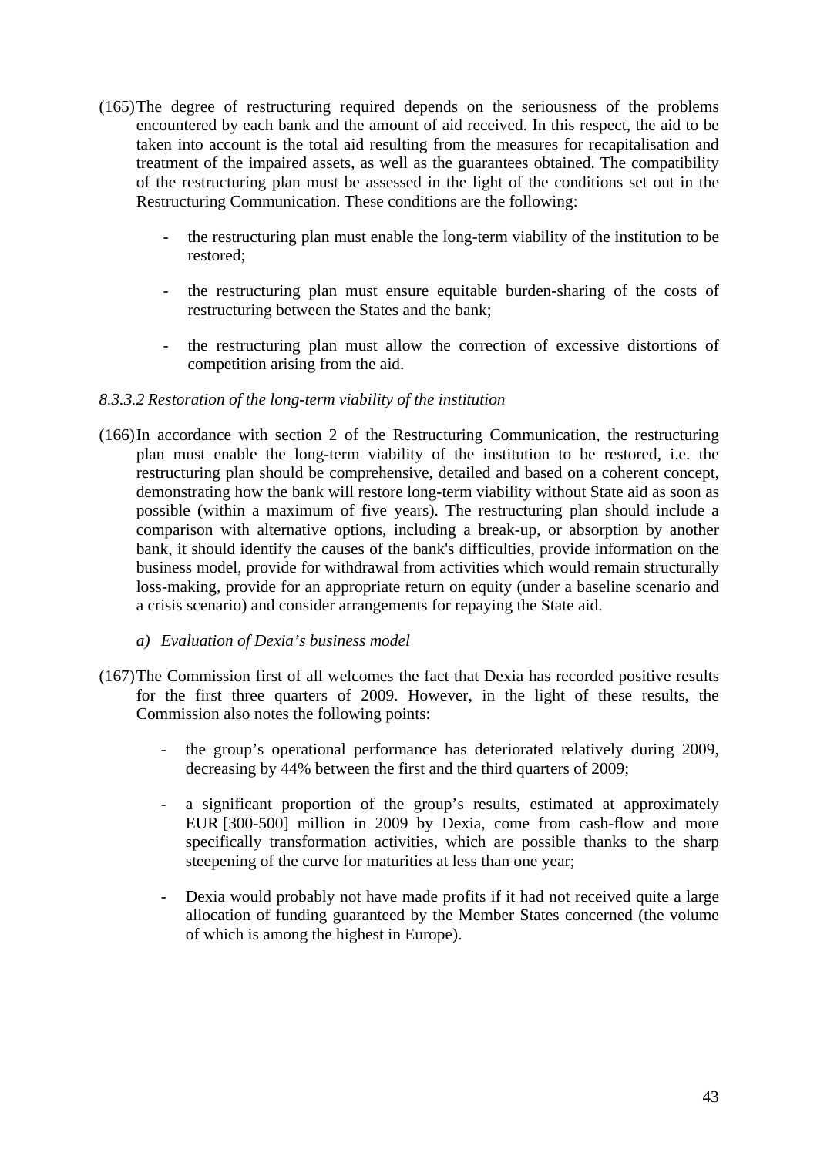- (165)The degree of restructuring required depends on the seriousness of the problems encountered by each bank and the amount of aid received. In this respect, the aid to be taken into account is the total aid resulting from the measures for recapitalisation and treatment of the impaired assets, as well as the guarantees obtained. The compatibility of the restructuring plan must be assessed in the light of the conditions set out in the Restructuring Communication. These conditions are the following:
	- the restructuring plan must enable the long-term viability of the institution to be restored;
	- the restructuring plan must ensure equitable burden-sharing of the costs of restructuring between the States and the bank;
	- the restructuring plan must allow the correction of excessive distortions of competition arising from the aid.

### *8.3.3.2 Restoration of the long-term viability of the institution*

- (166)In accordance with section 2 of the Restructuring Communication, the restructuring plan must enable the long-term viability of the institution to be restored, i.e. the restructuring plan should be comprehensive, detailed and based on a coherent concept, demonstrating how the bank will restore long-term viability without State aid as soon as possible (within a maximum of five years). The restructuring plan should include a comparison with alternative options, including a break-up, or absorption by another bank, it should identify the causes of the bank's difficulties, provide information on the business model, provide for withdrawal from activities which would remain structurally loss-making, provide for an appropriate return on equity (under a baseline scenario and a crisis scenario) and consider arrangements for repaying the State aid.
	- *a) Evaluation of Dexia's business model*
- (167)The Commission first of all welcomes the fact that Dexia has recorded positive results for the first three quarters of 2009. However, in the light of these results, the Commission also notes the following points:
	- the group's operational performance has deteriorated relatively during 2009, decreasing by 44% between the first and the third quarters of 2009;
	- a significant proportion of the group's results, estimated at approximately EUR [300-500] million in 2009 by Dexia, come from cash-flow and more specifically transformation activities, which are possible thanks to the sharp steepening of the curve for maturities at less than one year;
	- Dexia would probably not have made profits if it had not received quite a large allocation of funding guaranteed by the Member States concerned (the volume of which is among the highest in Europe).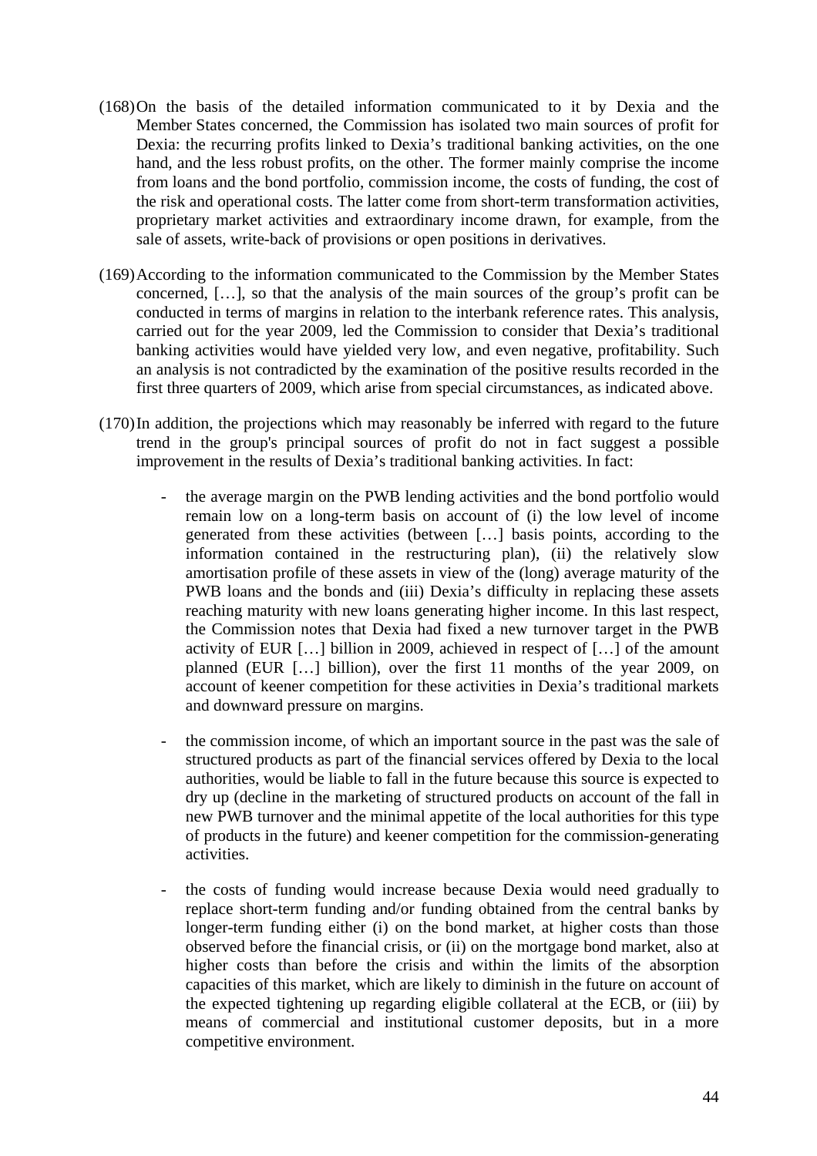- (168)On the basis of the detailed information communicated to it by Dexia and the Member States concerned, the Commission has isolated two main sources of profit for Dexia: the recurring profits linked to Dexia's traditional banking activities, on the one hand, and the less robust profits, on the other. The former mainly comprise the income from loans and the bond portfolio, commission income, the costs of funding, the cost of the risk and operational costs. The latter come from short-term transformation activities, proprietary market activities and extraordinary income drawn, for example, from the sale of assets, write-back of provisions or open positions in derivatives.
- (169)According to the information communicated to the Commission by the Member States concerned, […], so that the analysis of the main sources of the group's profit can be conducted in terms of margins in relation to the interbank reference rates. This analysis, carried out for the year 2009, led the Commission to consider that Dexia's traditional banking activities would have yielded very low, and even negative, profitability. Such an analysis is not contradicted by the examination of the positive results recorded in the first three quarters of 2009, which arise from special circumstances, as indicated above.
- (170)In addition, the projections which may reasonably be inferred with regard to the future trend in the group's principal sources of profit do not in fact suggest a possible improvement in the results of Dexia's traditional banking activities. In fact:
	- the average margin on the PWB lending activities and the bond portfolio would remain low on a long-term basis on account of (i) the low level of income generated from these activities (between […] basis points, according to the information contained in the restructuring plan), (ii) the relatively slow amortisation profile of these assets in view of the (long) average maturity of the PWB loans and the bonds and (iii) Dexia's difficulty in replacing these assets reaching maturity with new loans generating higher income. In this last respect, the Commission notes that Dexia had fixed a new turnover target in the PWB activity of EUR […] billion in 2009, achieved in respect of […] of the amount planned (EUR […] billion), over the first 11 months of the year 2009, on account of keener competition for these activities in Dexia's traditional markets and downward pressure on margins.
	- the commission income, of which an important source in the past was the sale of structured products as part of the financial services offered by Dexia to the local authorities, would be liable to fall in the future because this source is expected to dry up (decline in the marketing of structured products on account of the fall in new PWB turnover and the minimal appetite of the local authorities for this type of products in the future) and keener competition for the commission-generating activities.
	- the costs of funding would increase because Dexia would need gradually to replace short-term funding and/or funding obtained from the central banks by longer-term funding either (i) on the bond market, at higher costs than those observed before the financial crisis, or (ii) on the mortgage bond market, also at higher costs than before the crisis and within the limits of the absorption capacities of this market, which are likely to diminish in the future on account of the expected tightening up regarding eligible collateral at the ECB, or (iii) by means of commercial and institutional customer deposits, but in a more competitive environment.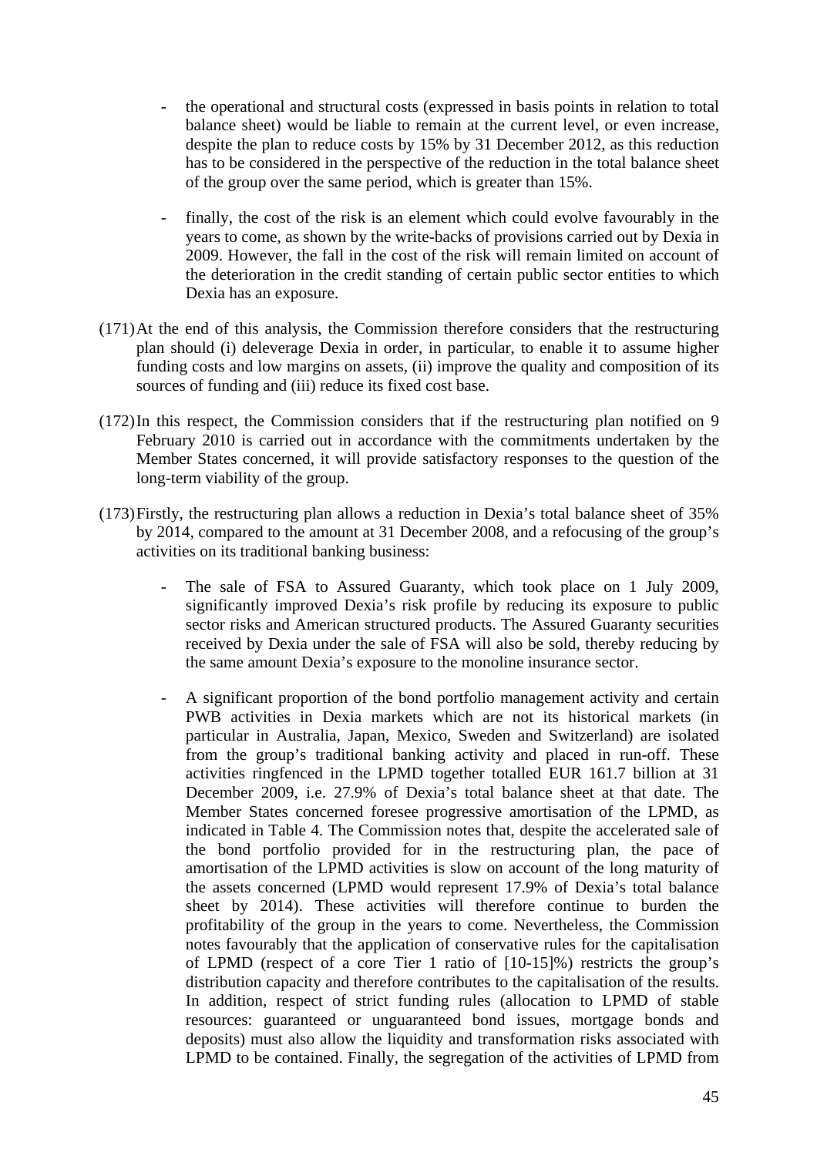- the operational and structural costs (expressed in basis points in relation to total balance sheet) would be liable to remain at the current level, or even increase, despite the plan to reduce costs by 15% by 31 December 2012, as this reduction has to be considered in the perspective of the reduction in the total balance sheet of the group over the same period, which is greater than 15%.
- finally, the cost of the risk is an element which could evolve favourably in the years to come, as shown by the write-backs of provisions carried out by Dexia in 2009. However, the fall in the cost of the risk will remain limited on account of the deterioration in the credit standing of certain public sector entities to which Dexia has an exposure.
- (171)At the end of this analysis, the Commission therefore considers that the restructuring plan should (i) deleverage Dexia in order, in particular, to enable it to assume higher funding costs and low margins on assets, (ii) improve the quality and composition of its sources of funding and (iii) reduce its fixed cost base.
- (172)In this respect, the Commission considers that if the restructuring plan notified on 9 February 2010 is carried out in accordance with the commitments undertaken by the Member States concerned, it will provide satisfactory responses to the question of the long-term viability of the group.
- (173)Firstly, the restructuring plan allows a reduction in Dexia's total balance sheet of 35% by 2014, compared to the amount at 31 December 2008, and a refocusing of the group's activities on its traditional banking business:
	- The sale of FSA to Assured Guaranty, which took place on 1 July 2009, significantly improved Dexia's risk profile by reducing its exposure to public sector risks and American structured products. The Assured Guaranty securities received by Dexia under the sale of FSA will also be sold, thereby reducing by the same amount Dexia's exposure to the monoline insurance sector.
	- A significant proportion of the bond portfolio management activity and certain PWB activities in Dexia markets which are not its historical markets (in particular in Australia, Japan, Mexico, Sweden and Switzerland) are isolated from the group's traditional banking activity and placed in run-off. These activities ringfenced in the LPMD together totalled EUR 161.7 billion at 31 December 2009, i.e. 27.9% of Dexia's total balance sheet at that date. The Member States concerned foresee progressive amortisation of the LPMD, as indicated in Table 4. The Commission notes that, despite the accelerated sale of the bond portfolio provided for in the restructuring plan, the pace of amortisation of the LPMD activities is slow on account of the long maturity of the assets concerned (LPMD would represent 17.9% of Dexia's total balance sheet by 2014). These activities will therefore continue to burden the profitability of the group in the years to come. Nevertheless, the Commission notes favourably that the application of conservative rules for the capitalisation of LPMD (respect of a core Tier 1 ratio of [10-15]%) restricts the group's distribution capacity and therefore contributes to the capitalisation of the results. In addition, respect of strict funding rules (allocation to LPMD of stable resources: guaranteed or unguaranteed bond issues, mortgage bonds and deposits) must also allow the liquidity and transformation risks associated with LPMD to be contained. Finally, the segregation of the activities of LPMD from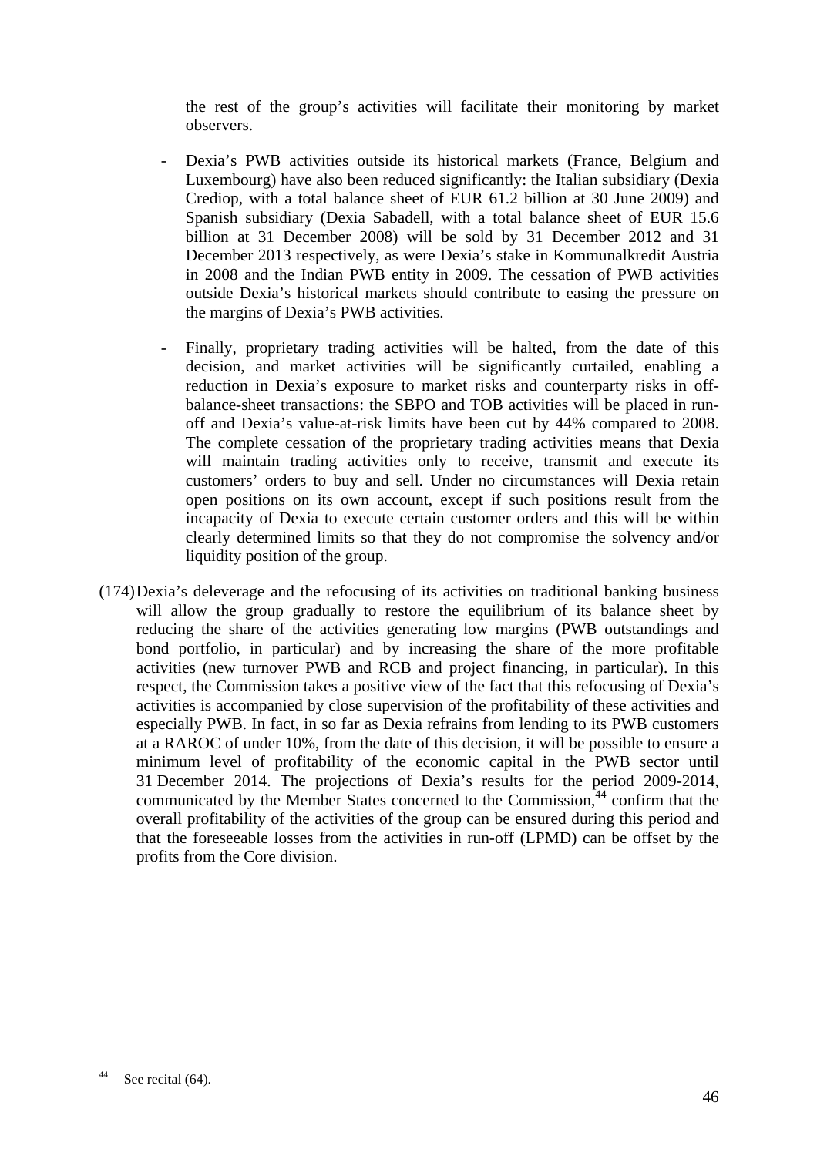the rest of the group's activities will facilitate their monitoring by market observers.

- Dexia's PWB activities outside its historical markets (France, Belgium and Luxembourg) have also been reduced significantly: the Italian subsidiary (Dexia Crediop, with a total balance sheet of EUR 61.2 billion at 30 June 2009) and Spanish subsidiary (Dexia Sabadell, with a total balance sheet of EUR 15.6 billion at 31 December 2008) will be sold by 31 December 2012 and 31 December 2013 respectively, as were Dexia's stake in Kommunalkredit Austria in 2008 and the Indian PWB entity in 2009. The cessation of PWB activities outside Dexia's historical markets should contribute to easing the pressure on the margins of Dexia's PWB activities.
- Finally, proprietary trading activities will be halted, from the date of this decision, and market activities will be significantly curtailed, enabling a reduction in Dexia's exposure to market risks and counterparty risks in offbalance-sheet transactions: the SBPO and TOB activities will be placed in runoff and Dexia's value-at-risk limits have been cut by 44% compared to 2008. The complete cessation of the proprietary trading activities means that Dexia will maintain trading activities only to receive, transmit and execute its customers' orders to buy and sell. Under no circumstances will Dexia retain open positions on its own account, except if such positions result from the incapacity of Dexia to execute certain customer orders and this will be within clearly determined limits so that they do not compromise the solvency and/or liquidity position of the group.
- (174)Dexia's deleverage and the refocusing of its activities on traditional banking business will allow the group gradually to restore the equilibrium of its balance sheet by reducing the share of the activities generating low margins (PWB outstandings and bond portfolio, in particular) and by increasing the share of the more profitable activities (new turnover PWB and RCB and project financing, in particular). In this respect, the Commission takes a positive view of the fact that this refocusing of Dexia's activities is accompanied by close supervision of the profitability of these activities and especially PWB. In fact, in so far as Dexia refrains from lending to its PWB customers at a RAROC of under 10%, from the date of this decision, it will be possible to ensure a minimum level of profitability of the economic capital in the PWB sector until 31 December 2014. The projections of Dexia's results for the period 2009-2014, communicated by the Member States concerned to the Commission,<sup>44</sup> confirm that the overall profitability of the activities of the group can be ensured during this period and that the foreseeable losses from the activities in run-off (LPMD) can be offset by the profits from the Core division.

 $\overline{a}$ 

See recital (64).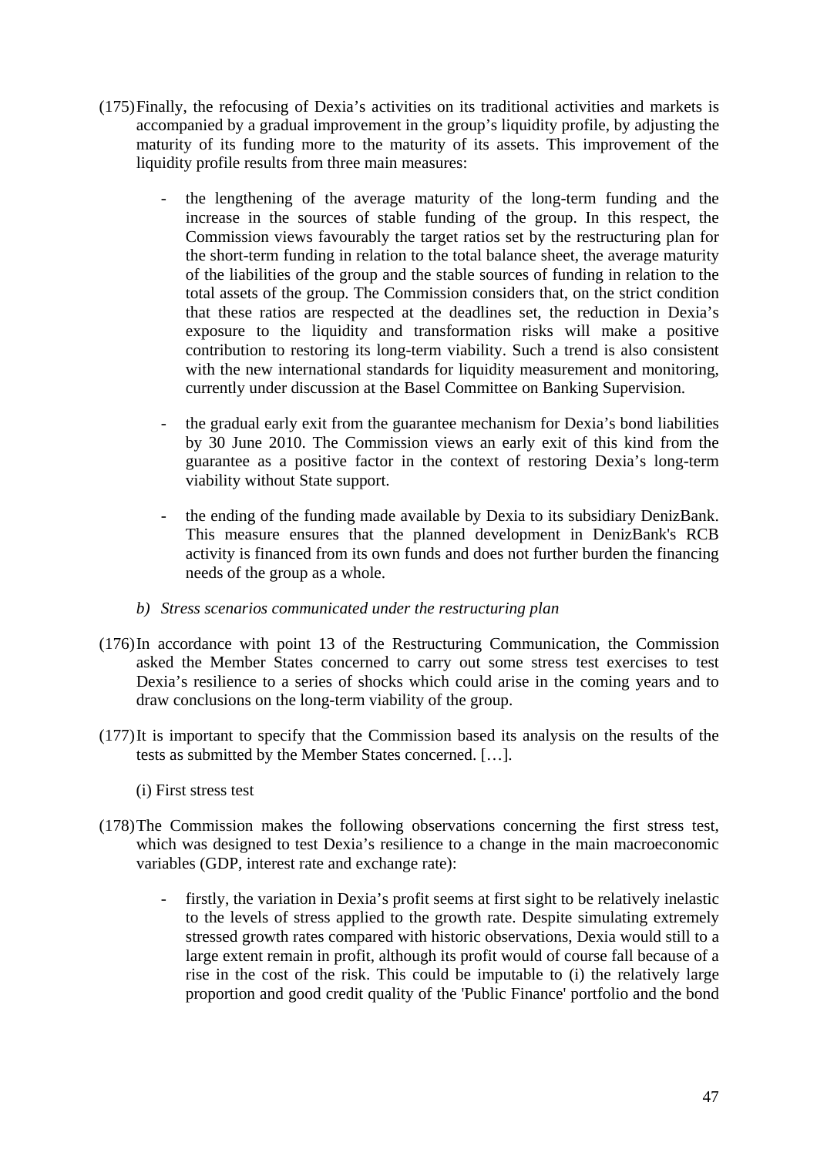- (175)Finally, the refocusing of Dexia's activities on its traditional activities and markets is accompanied by a gradual improvement in the group's liquidity profile, by adjusting the maturity of its funding more to the maturity of its assets. This improvement of the liquidity profile results from three main measures:
	- the lengthening of the average maturity of the long-term funding and the increase in the sources of stable funding of the group. In this respect, the Commission views favourably the target ratios set by the restructuring plan for the short-term funding in relation to the total balance sheet, the average maturity of the liabilities of the group and the stable sources of funding in relation to the total assets of the group. The Commission considers that, on the strict condition that these ratios are respected at the deadlines set, the reduction in Dexia's exposure to the liquidity and transformation risks will make a positive contribution to restoring its long-term viability. Such a trend is also consistent with the new international standards for liquidity measurement and monitoring, currently under discussion at the Basel Committee on Banking Supervision.
	- the gradual early exit from the guarantee mechanism for Dexia's bond liabilities by 30 June 2010. The Commission views an early exit of this kind from the guarantee as a positive factor in the context of restoring Dexia's long-term viability without State support.
	- the ending of the funding made available by Dexia to its subsidiary DenizBank. This measure ensures that the planned development in DenizBank's RCB activity is financed from its own funds and does not further burden the financing needs of the group as a whole.
	- *b) Stress scenarios communicated under the restructuring plan*
- (176)In accordance with point 13 of the Restructuring Communication, the Commission asked the Member States concerned to carry out some stress test exercises to test Dexia's resilience to a series of shocks which could arise in the coming years and to draw conclusions on the long-term viability of the group.
- (177)It is important to specify that the Commission based its analysis on the results of the tests as submitted by the Member States concerned. […].
	- (i) First stress test
- (178)The Commission makes the following observations concerning the first stress test, which was designed to test Dexia's resilience to a change in the main macroeconomic variables (GDP, interest rate and exchange rate):
	- firstly, the variation in Dexia's profit seems at first sight to be relatively inelastic to the levels of stress applied to the growth rate. Despite simulating extremely stressed growth rates compared with historic observations, Dexia would still to a large extent remain in profit, although its profit would of course fall because of a rise in the cost of the risk. This could be imputable to (i) the relatively large proportion and good credit quality of the 'Public Finance' portfolio and the bond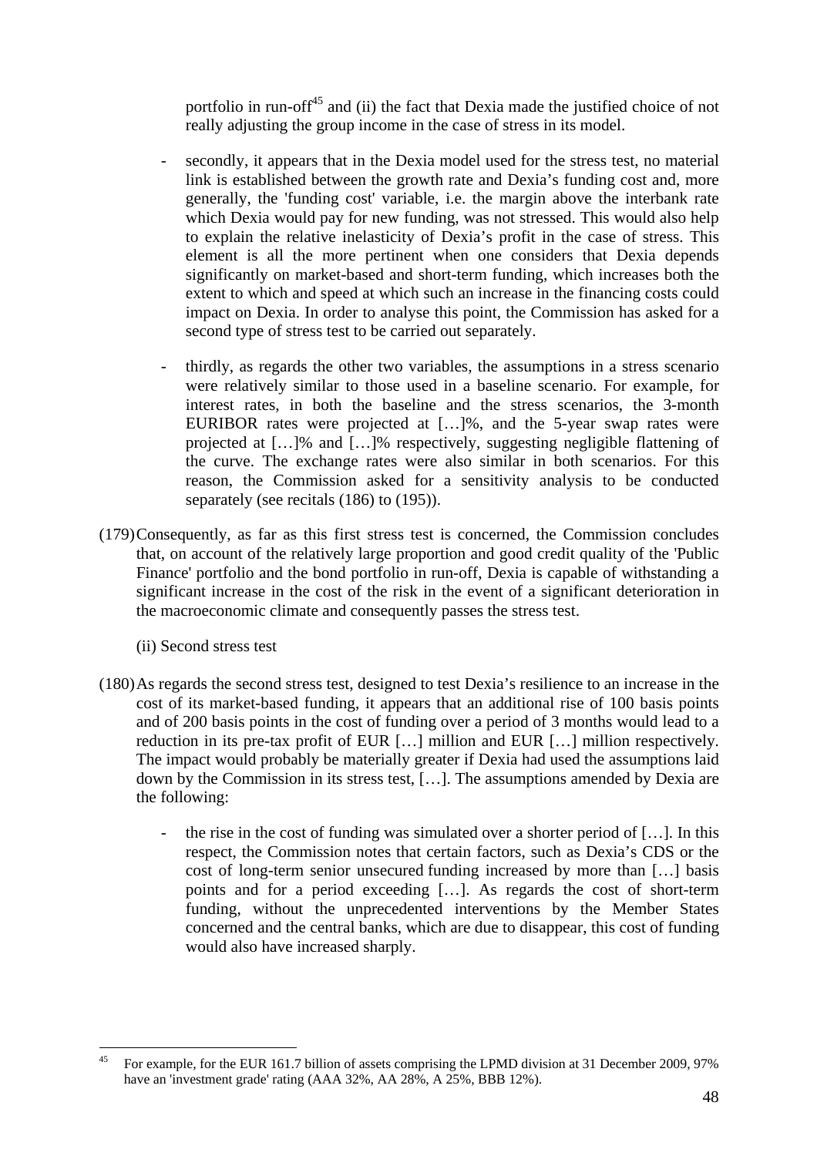portfolio in run-off<sup>45</sup> and (ii) the fact that Dexia made the justified choice of not really adjusting the group income in the case of stress in its model.

- secondly, it appears that in the Dexia model used for the stress test, no material link is established between the growth rate and Dexia's funding cost and, more generally, the 'funding cost' variable, i.e. the margin above the interbank rate which Dexia would pay for new funding, was not stressed. This would also help to explain the relative inelasticity of Dexia's profit in the case of stress. This element is all the more pertinent when one considers that Dexia depends significantly on market-based and short-term funding, which increases both the extent to which and speed at which such an increase in the financing costs could impact on Dexia. In order to analyse this point, the Commission has asked for a second type of stress test to be carried out separately.
- thirdly, as regards the other two variables, the assumptions in a stress scenario were relatively similar to those used in a baseline scenario. For example, for interest rates, in both the baseline and the stress scenarios, the 3-month EURIBOR rates were projected at […]%, and the 5-year swap rates were projected at […]% and […]% respectively, suggesting negligible flattening of the curve. The exchange rates were also similar in both scenarios. For this reason, the Commission asked for a sensitivity analysis to be conducted separately (see recitals (186) to (195)).
- (179)Consequently, as far as this first stress test is concerned, the Commission concludes that, on account of the relatively large proportion and good credit quality of the 'Public Finance' portfolio and the bond portfolio in run-off, Dexia is capable of withstanding a significant increase in the cost of the risk in the event of a significant deterioration in the macroeconomic climate and consequently passes the stress test.

(ii) Second stress test

- (180)As regards the second stress test, designed to test Dexia's resilience to an increase in the cost of its market-based funding, it appears that an additional rise of 100 basis points and of 200 basis points in the cost of funding over a period of 3 months would lead to a reduction in its pre-tax profit of EUR […] million and EUR […] million respectively. The impact would probably be materially greater if Dexia had used the assumptions laid down by the Commission in its stress test, […]. The assumptions amended by Dexia are the following:
	- the rise in the cost of funding was simulated over a shorter period of  $[\dots]$ . In this respect, the Commission notes that certain factors, such as Dexia's CDS or the cost of long-term senior unsecured funding increased by more than […] basis points and for a period exceeding […]. As regards the cost of short-term funding, without the unprecedented interventions by the Member States concerned and the central banks, which are due to disappear, this cost of funding would also have increased sharply.

 $45\,$ 45 For example, for the EUR 161.7 billion of assets comprising the LPMD division at 31 December 2009, 97% have an 'investment grade' rating (AAA 32%, AA 28%, A 25%, BBB 12%).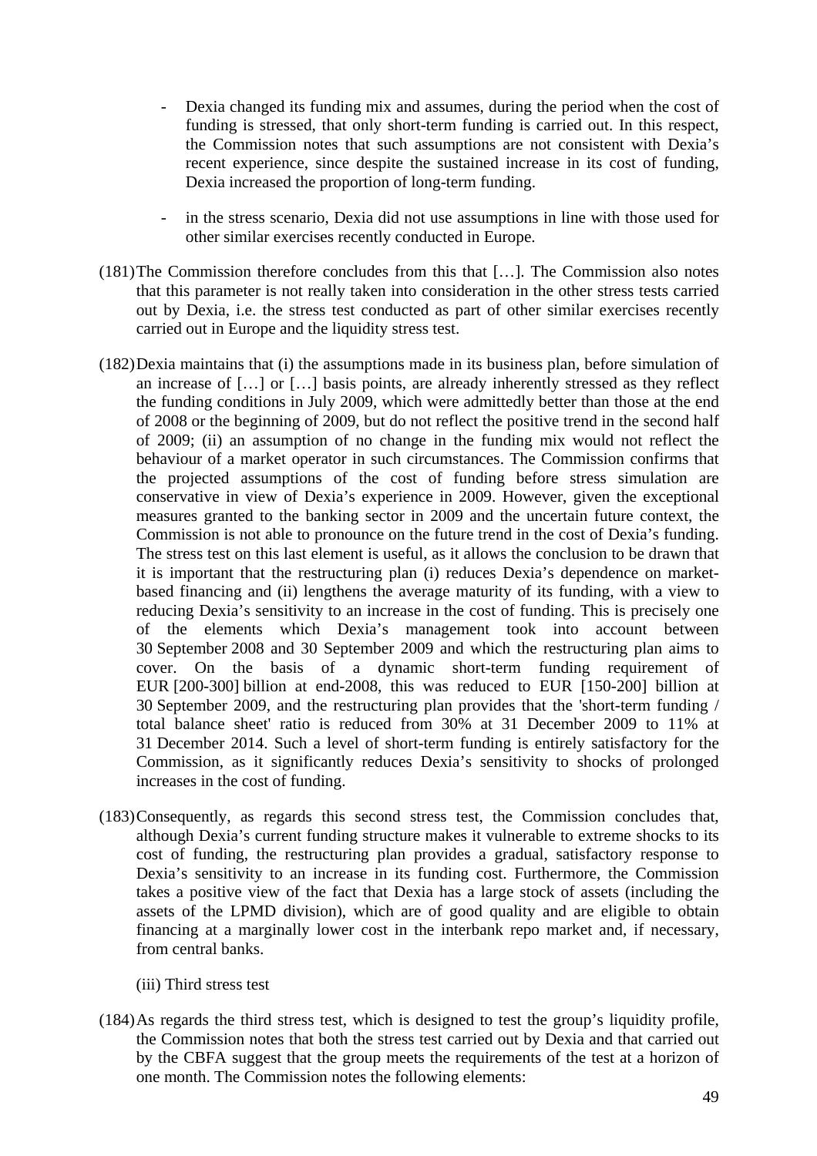- Dexia changed its funding mix and assumes, during the period when the cost of funding is stressed, that only short-term funding is carried out. In this respect, the Commission notes that such assumptions are not consistent with Dexia's recent experience, since despite the sustained increase in its cost of funding, Dexia increased the proportion of long-term funding.
- in the stress scenario, Dexia did not use assumptions in line with those used for other similar exercises recently conducted in Europe.
- (181)The Commission therefore concludes from this that […]. The Commission also notes that this parameter is not really taken into consideration in the other stress tests carried out by Dexia, i.e. the stress test conducted as part of other similar exercises recently carried out in Europe and the liquidity stress test.
- (182)Dexia maintains that (i) the assumptions made in its business plan, before simulation of an increase of […] or […] basis points, are already inherently stressed as they reflect the funding conditions in July 2009, which were admittedly better than those at the end of 2008 or the beginning of 2009, but do not reflect the positive trend in the second half of 2009; (ii) an assumption of no change in the funding mix would not reflect the behaviour of a market operator in such circumstances. The Commission confirms that the projected assumptions of the cost of funding before stress simulation are conservative in view of Dexia's experience in 2009. However, given the exceptional measures granted to the banking sector in 2009 and the uncertain future context, the Commission is not able to pronounce on the future trend in the cost of Dexia's funding. The stress test on this last element is useful, as it allows the conclusion to be drawn that it is important that the restructuring plan (i) reduces Dexia's dependence on marketbased financing and (ii) lengthens the average maturity of its funding, with a view to reducing Dexia's sensitivity to an increase in the cost of funding. This is precisely one of the elements which Dexia's management took into account between 30 September 2008 and 30 September 2009 and which the restructuring plan aims to cover. On the basis of a dynamic short-term funding requirement of EUR [200-300] billion at end-2008, this was reduced to EUR [150-200] billion at 30 September 2009, and the restructuring plan provides that the 'short-term funding / total balance sheet' ratio is reduced from 30% at 31 December 2009 to 11% at 31 December 2014. Such a level of short-term funding is entirely satisfactory for the Commission, as it significantly reduces Dexia's sensitivity to shocks of prolonged increases in the cost of funding.
- (183)Consequently, as regards this second stress test, the Commission concludes that, although Dexia's current funding structure makes it vulnerable to extreme shocks to its cost of funding, the restructuring plan provides a gradual, satisfactory response to Dexia's sensitivity to an increase in its funding cost. Furthermore, the Commission takes a positive view of the fact that Dexia has a large stock of assets (including the assets of the LPMD division), which are of good quality and are eligible to obtain financing at a marginally lower cost in the interbank repo market and, if necessary, from central banks.

(iii) Third stress test

(184)As regards the third stress test, which is designed to test the group's liquidity profile, the Commission notes that both the stress test carried out by Dexia and that carried out by the CBFA suggest that the group meets the requirements of the test at a horizon of one month. The Commission notes the following elements: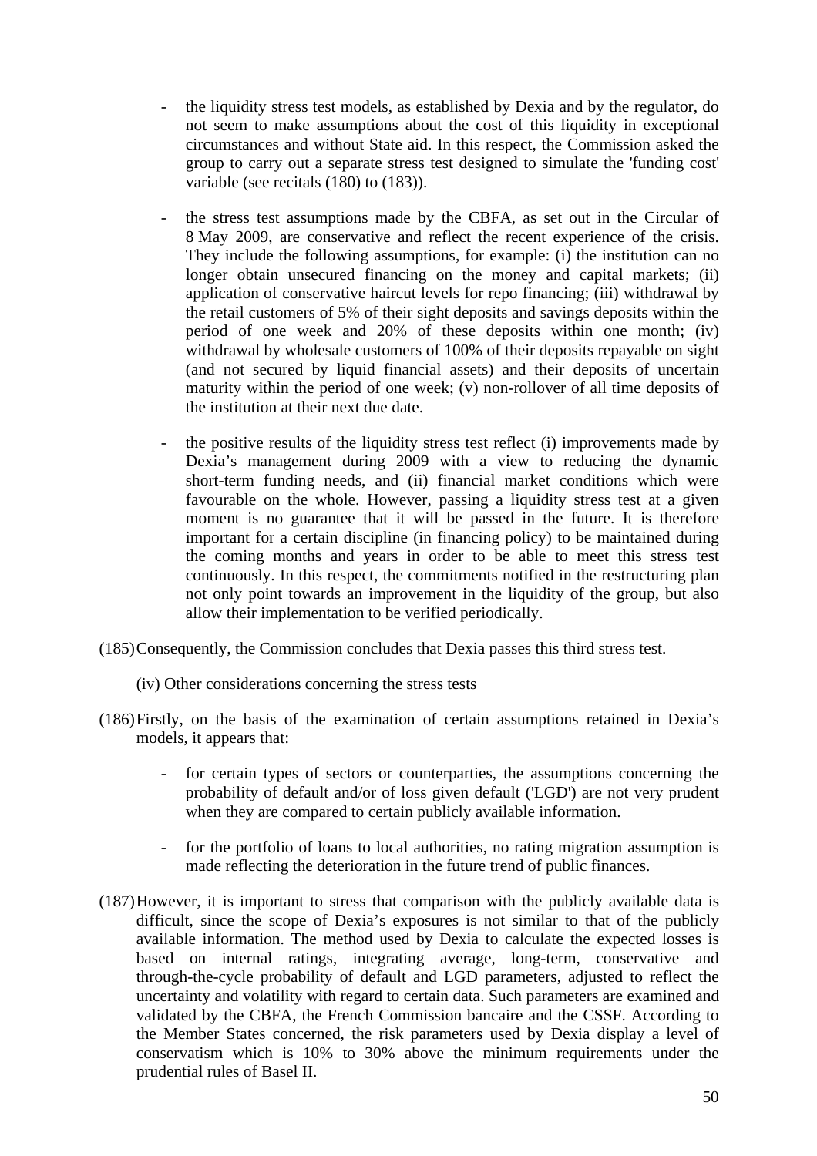- the liquidity stress test models, as established by Dexia and by the regulator, do not seem to make assumptions about the cost of this liquidity in exceptional circumstances and without State aid. In this respect, the Commission asked the group to carry out a separate stress test designed to simulate the 'funding cost' variable (see recitals (180) to (183)).
- the stress test assumptions made by the CBFA, as set out in the Circular of 8 May 2009, are conservative and reflect the recent experience of the crisis. They include the following assumptions, for example: (i) the institution can no longer obtain unsecured financing on the money and capital markets; (ii) application of conservative haircut levels for repo financing; (iii) withdrawal by the retail customers of 5% of their sight deposits and savings deposits within the period of one week and 20% of these deposits within one month; (iv) withdrawal by wholesale customers of 100% of their deposits repayable on sight (and not secured by liquid financial assets) and their deposits of uncertain maturity within the period of one week; (v) non-rollover of all time deposits of the institution at their next due date.
- the positive results of the liquidity stress test reflect (i) improvements made by Dexia's management during 2009 with a view to reducing the dynamic short-term funding needs, and (ii) financial market conditions which were favourable on the whole. However, passing a liquidity stress test at a given moment is no guarantee that it will be passed in the future. It is therefore important for a certain discipline (in financing policy) to be maintained during the coming months and years in order to be able to meet this stress test continuously. In this respect, the commitments notified in the restructuring plan not only point towards an improvement in the liquidity of the group, but also allow their implementation to be verified periodically.
- (185)Consequently, the Commission concludes that Dexia passes this third stress test.
	- (iv) Other considerations concerning the stress tests
- (186)Firstly, on the basis of the examination of certain assumptions retained in Dexia's models, it appears that:
	- for certain types of sectors or counterparties, the assumptions concerning the probability of default and/or of loss given default ('LGD') are not very prudent when they are compared to certain publicly available information.
	- for the portfolio of loans to local authorities, no rating migration assumption is made reflecting the deterioration in the future trend of public finances.
- (187)However, it is important to stress that comparison with the publicly available data is difficult, since the scope of Dexia's exposures is not similar to that of the publicly available information. The method used by Dexia to calculate the expected losses is based on internal ratings, integrating average, long-term, conservative and through-the-cycle probability of default and LGD parameters, adjusted to reflect the uncertainty and volatility with regard to certain data. Such parameters are examined and validated by the CBFA, the French Commission bancaire and the CSSF. According to the Member States concerned, the risk parameters used by Dexia display a level of conservatism which is 10% to 30% above the minimum requirements under the prudential rules of Basel II.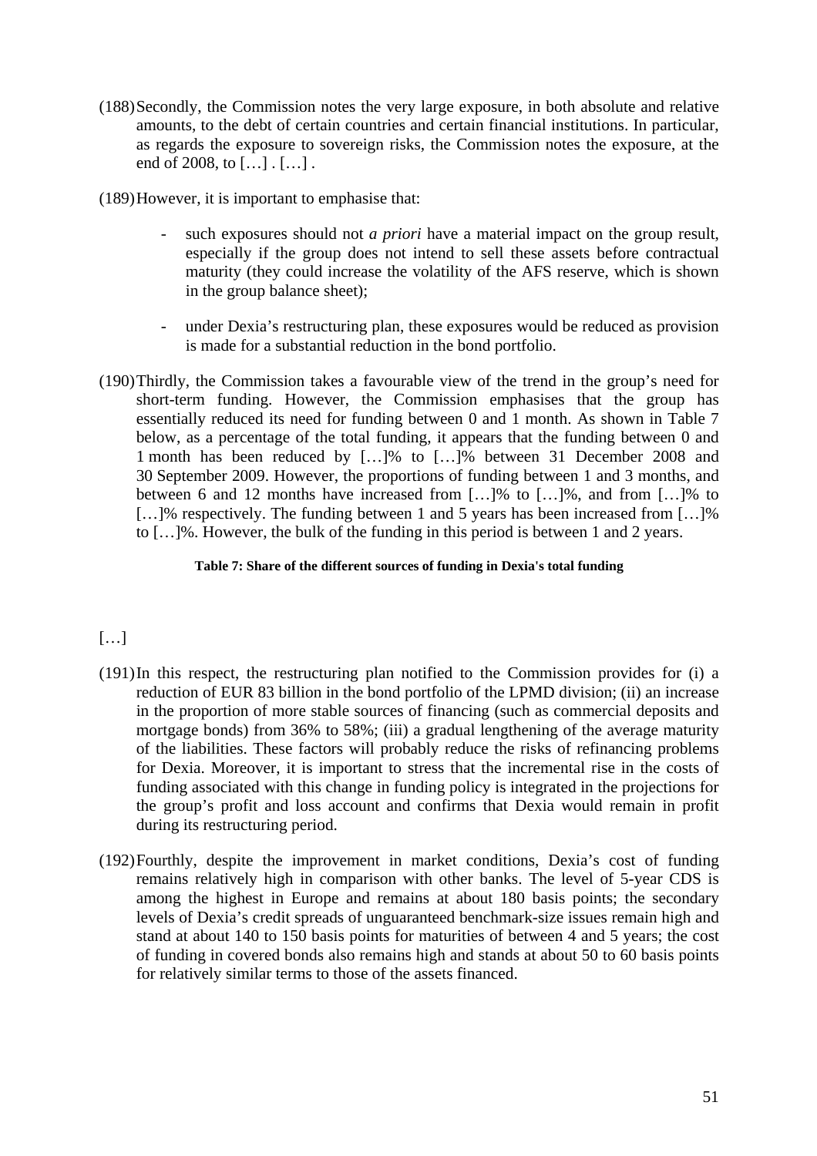- (188)Secondly, the Commission notes the very large exposure, in both absolute and relative amounts, to the debt of certain countries and certain financial institutions. In particular, as regards the exposure to sovereign risks, the Commission notes the exposure, at the end of 2008, to […] . […] .
- (189)However, it is important to emphasise that:
	- such exposures should not *a priori* have a material impact on the group result, especially if the group does not intend to sell these assets before contractual maturity (they could increase the volatility of the AFS reserve, which is shown in the group balance sheet);
	- under Dexia's restructuring plan, these exposures would be reduced as provision is made for a substantial reduction in the bond portfolio.
- (190)Thirdly, the Commission takes a favourable view of the trend in the group's need for short-term funding. However, the Commission emphasises that the group has essentially reduced its need for funding between 0 and 1 month. As shown in Table 7 below, as a percentage of the total funding, it appears that the funding between 0 and 1 month has been reduced by […]% to […]% between 31 December 2008 and 30 September 2009. However, the proportions of funding between 1 and 3 months, and between 6 and 12 months have increased from […]% to […]%, and from […]% to [...]% respectively. The funding between 1 and 5 years has been increased from [...]% to […]%. However, the bulk of the funding in this period is between 1 and 2 years.

#### **Table 7: Share of the different sources of funding in Dexia's total funding**

# […]

- (191)In this respect, the restructuring plan notified to the Commission provides for (i) a reduction of EUR 83 billion in the bond portfolio of the LPMD division; (ii) an increase in the proportion of more stable sources of financing (such as commercial deposits and mortgage bonds) from 36% to 58%; (iii) a gradual lengthening of the average maturity of the liabilities. These factors will probably reduce the risks of refinancing problems for Dexia. Moreover, it is important to stress that the incremental rise in the costs of funding associated with this change in funding policy is integrated in the projections for the group's profit and loss account and confirms that Dexia would remain in profit during its restructuring period.
- (192)Fourthly, despite the improvement in market conditions, Dexia's cost of funding remains relatively high in comparison with other banks. The level of 5-year CDS is among the highest in Europe and remains at about 180 basis points; the secondary levels of Dexia's credit spreads of unguaranteed benchmark-size issues remain high and stand at about 140 to 150 basis points for maturities of between 4 and 5 years; the cost of funding in covered bonds also remains high and stands at about 50 to 60 basis points for relatively similar terms to those of the assets financed.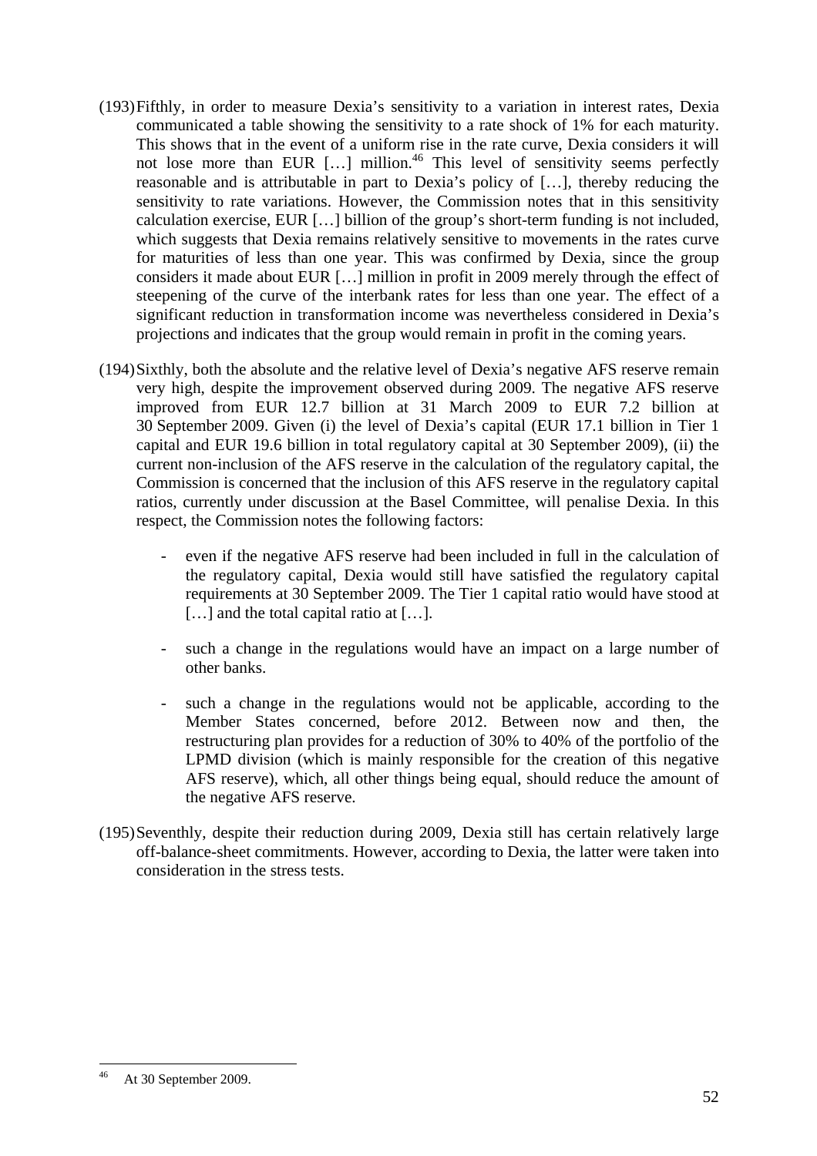- (193)Fifthly, in order to measure Dexia's sensitivity to a variation in interest rates, Dexia communicated a table showing the sensitivity to a rate shock of 1% for each maturity. This shows that in the event of a uniform rise in the rate curve, Dexia considers it will not lose more than EUR  $[\dots]$  million.<sup>46</sup> This level of sensitivity seems perfectly reasonable and is attributable in part to Dexia's policy of […], thereby reducing the sensitivity to rate variations. However, the Commission notes that in this sensitivity calculation exercise, EUR […] billion of the group's short-term funding is not included, which suggests that Dexia remains relatively sensitive to movements in the rates curve for maturities of less than one year. This was confirmed by Dexia, since the group considers it made about EUR […] million in profit in 2009 merely through the effect of steepening of the curve of the interbank rates for less than one year. The effect of a significant reduction in transformation income was nevertheless considered in Dexia's projections and indicates that the group would remain in profit in the coming years.
- (194)Sixthly, both the absolute and the relative level of Dexia's negative AFS reserve remain very high, despite the improvement observed during 2009. The negative AFS reserve improved from EUR 12.7 billion at 31 March 2009 to EUR 7.2 billion at 30 September 2009. Given (i) the level of Dexia's capital (EUR 17.1 billion in Tier 1 capital and EUR 19.6 billion in total regulatory capital at 30 September 2009), (ii) the current non-inclusion of the AFS reserve in the calculation of the regulatory capital, the Commission is concerned that the inclusion of this AFS reserve in the regulatory capital ratios, currently under discussion at the Basel Committee, will penalise Dexia. In this respect, the Commission notes the following factors:
	- even if the negative AFS reserve had been included in full in the calculation of the regulatory capital, Dexia would still have satisfied the regulatory capital requirements at 30 September 2009. The Tier 1 capital ratio would have stood at [...] and the total capital ratio at [...].
	- such a change in the regulations would have an impact on a large number of other banks.
	- such a change in the regulations would not be applicable, according to the Member States concerned, before 2012. Between now and then, the restructuring plan provides for a reduction of 30% to 40% of the portfolio of the LPMD division (which is mainly responsible for the creation of this negative AFS reserve), which, all other things being equal, should reduce the amount of the negative AFS reserve.
- (195)Seventhly, despite their reduction during 2009, Dexia still has certain relatively large off-balance-sheet commitments. However, according to Dexia, the latter were taken into consideration in the stress tests.

 $\overline{a}$ At 30 September 2009.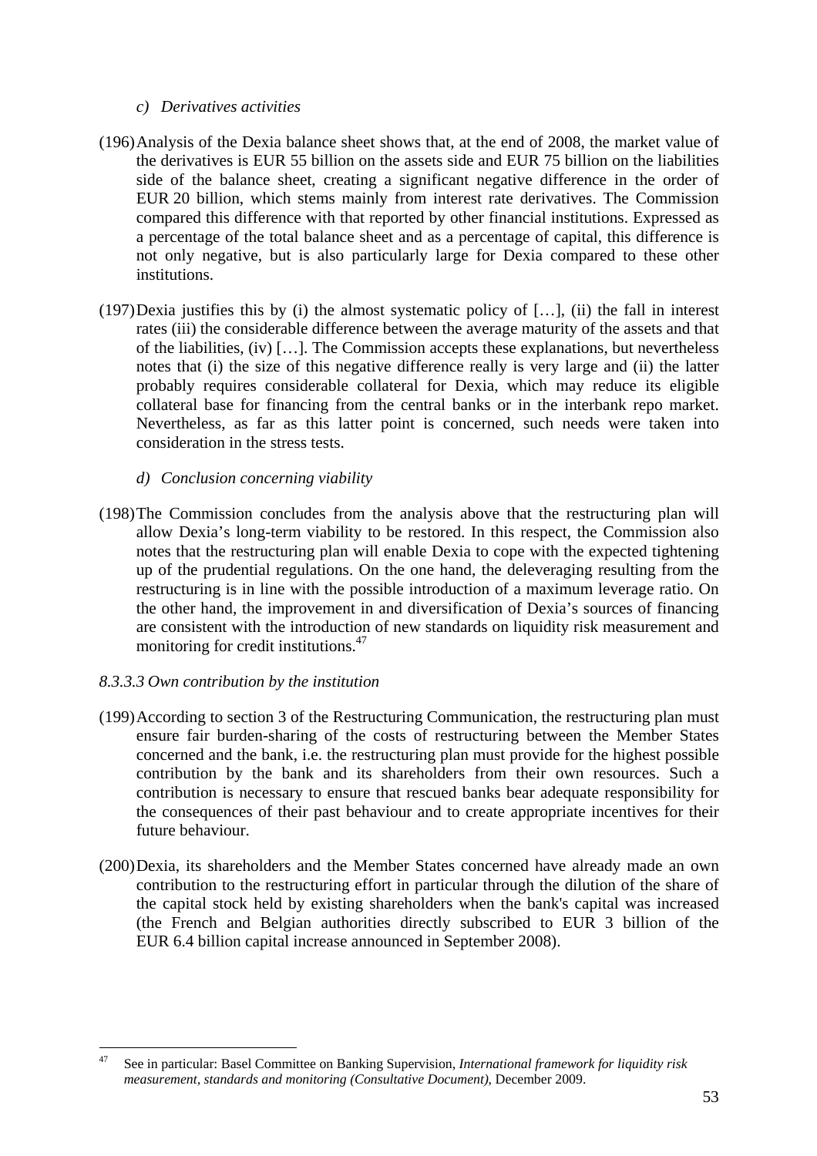- *c) Derivatives activities*
- (196)Analysis of the Dexia balance sheet shows that, at the end of 2008, the market value of the derivatives is EUR 55 billion on the assets side and EUR 75 billion on the liabilities side of the balance sheet, creating a significant negative difference in the order of EUR 20 billion, which stems mainly from interest rate derivatives. The Commission compared this difference with that reported by other financial institutions. Expressed as a percentage of the total balance sheet and as a percentage of capital, this difference is not only negative, but is also particularly large for Dexia compared to these other institutions.
- (197)Dexia justifies this by (i) the almost systematic policy of […], (ii) the fall in interest rates (iii) the considerable difference between the average maturity of the assets and that of the liabilities, (iv) […]. The Commission accepts these explanations, but nevertheless notes that (i) the size of this negative difference really is very large and (ii) the latter probably requires considerable collateral for Dexia, which may reduce its eligible collateral base for financing from the central banks or in the interbank repo market. Nevertheless, as far as this latter point is concerned, such needs were taken into consideration in the stress tests.
	- *d) Conclusion concerning viability*
- (198)The Commission concludes from the analysis above that the restructuring plan will allow Dexia's long-term viability to be restored. In this respect, the Commission also notes that the restructuring plan will enable Dexia to cope with the expected tightening up of the prudential regulations. On the one hand, the deleveraging resulting from the restructuring is in line with the possible introduction of a maximum leverage ratio. On the other hand, the improvement in and diversification of Dexia's sources of financing are consistent with the introduction of new standards on liquidity risk measurement and monitoring for credit institutions.<sup>47</sup>
- *8.3.3.3 Own contribution by the institution*
- (199)According to section 3 of the Restructuring Communication, the restructuring plan must ensure fair burden-sharing of the costs of restructuring between the Member States concerned and the bank, i.e. the restructuring plan must provide for the highest possible contribution by the bank and its shareholders from their own resources. Such a contribution is necessary to ensure that rescued banks bear adequate responsibility for the consequences of their past behaviour and to create appropriate incentives for their future behaviour.
- (200)Dexia, its shareholders and the Member States concerned have already made an own contribution to the restructuring effort in particular through the dilution of the share of the capital stock held by existing shareholders when the bank's capital was increased (the French and Belgian authorities directly subscribed to EUR 3 billion of the EUR 6.4 billion capital increase announced in September 2008).

<sup>47</sup> 47 See in particular: Basel Committee on Banking Supervision, *International framework for liquidity risk measurement, standards and monitoring (Consultative Document)*, December 2009.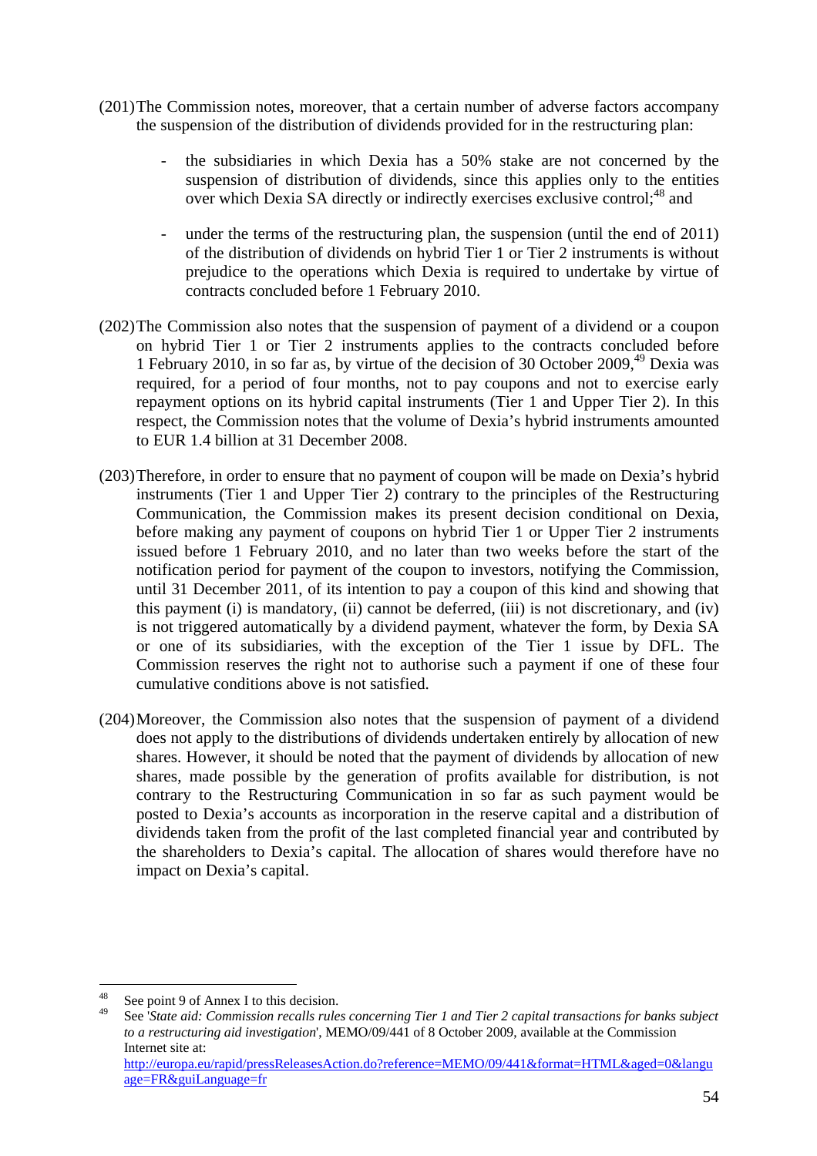- (201)The Commission notes, moreover, that a certain number of adverse factors accompany the suspension of the distribution of dividends provided for in the restructuring plan:
	- the subsidiaries in which Dexia has a 50% stake are not concerned by the suspension of distribution of dividends, since this applies only to the entities over which Dexia SA directly or indirectly exercises exclusive control;<sup>48</sup> and
	- under the terms of the restructuring plan, the suspension (until the end of  $2011$ ) of the distribution of dividends on hybrid Tier 1 or Tier 2 instruments is without prejudice to the operations which Dexia is required to undertake by virtue of contracts concluded before 1 February 2010.
- (202)The Commission also notes that the suspension of payment of a dividend or a coupon on hybrid Tier 1 or Tier 2 instruments applies to the contracts concluded before 1 February 2010, in so far as, by virtue of the decision of 30 October 2009,49 Dexia was required, for a period of four months, not to pay coupons and not to exercise early repayment options on its hybrid capital instruments (Tier 1 and Upper Tier 2). In this respect, the Commission notes that the volume of Dexia's hybrid instruments amounted to EUR 1.4 billion at 31 December 2008.
- (203)Therefore, in order to ensure that no payment of coupon will be made on Dexia's hybrid instruments (Tier 1 and Upper Tier 2) contrary to the principles of the Restructuring Communication, the Commission makes its present decision conditional on Dexia, before making any payment of coupons on hybrid Tier 1 or Upper Tier 2 instruments issued before 1 February 2010, and no later than two weeks before the start of the notification period for payment of the coupon to investors, notifying the Commission, until 31 December 2011, of its intention to pay a coupon of this kind and showing that this payment (i) is mandatory, (ii) cannot be deferred, (iii) is not discretionary, and (iv) is not triggered automatically by a dividend payment, whatever the form, by Dexia SA or one of its subsidiaries, with the exception of the Tier 1 issue by DFL. The Commission reserves the right not to authorise such a payment if one of these four cumulative conditions above is not satisfied.
- <span id="page-53-0"></span>(204)Moreover, the Commission also notes that the suspension of payment of a dividend does not apply to the distributions of dividends undertaken entirely by allocation of new shares. However, it should be noted that the payment of dividends by allocation of new shares, made possible by the generation of profits available for distribution, is not contrary to the Restructuring Communication in so far as such payment would be posted to Dexia's accounts as incorporation in the reserve capital and a distribution of dividends taken from the profit of the last completed financial year and contributed by the shareholders to Dexia's capital. The allocation of shares would therefore have no impact on Dexia's capital.

<sup>48</sup> <sup>48</sup> See point 9 of Annex I to this decision.

<sup>49</sup> See '*State aid: Commission recalls rules concerning Tier 1 and Tier 2 capital transactions for banks subject to a restructuring aid investigation*', MEMO/09/441 of 8 October 2009, available at the Commission Internet site at: [http://europa.eu/rapid/pressReleasesAction.do?reference=MEMO/09/441&format=HTML&aged=0&langu](http://europa.eu/rapid/pressReleasesAction.do?reference=MEMO/09/441&format=HTML&aged=0&language=FR&guiLanguage=fr)

[age=FR&guiLanguage=fr](http://europa.eu/rapid/pressReleasesAction.do?reference=MEMO/09/441&format=HTML&aged=0&language=FR&guiLanguage=fr)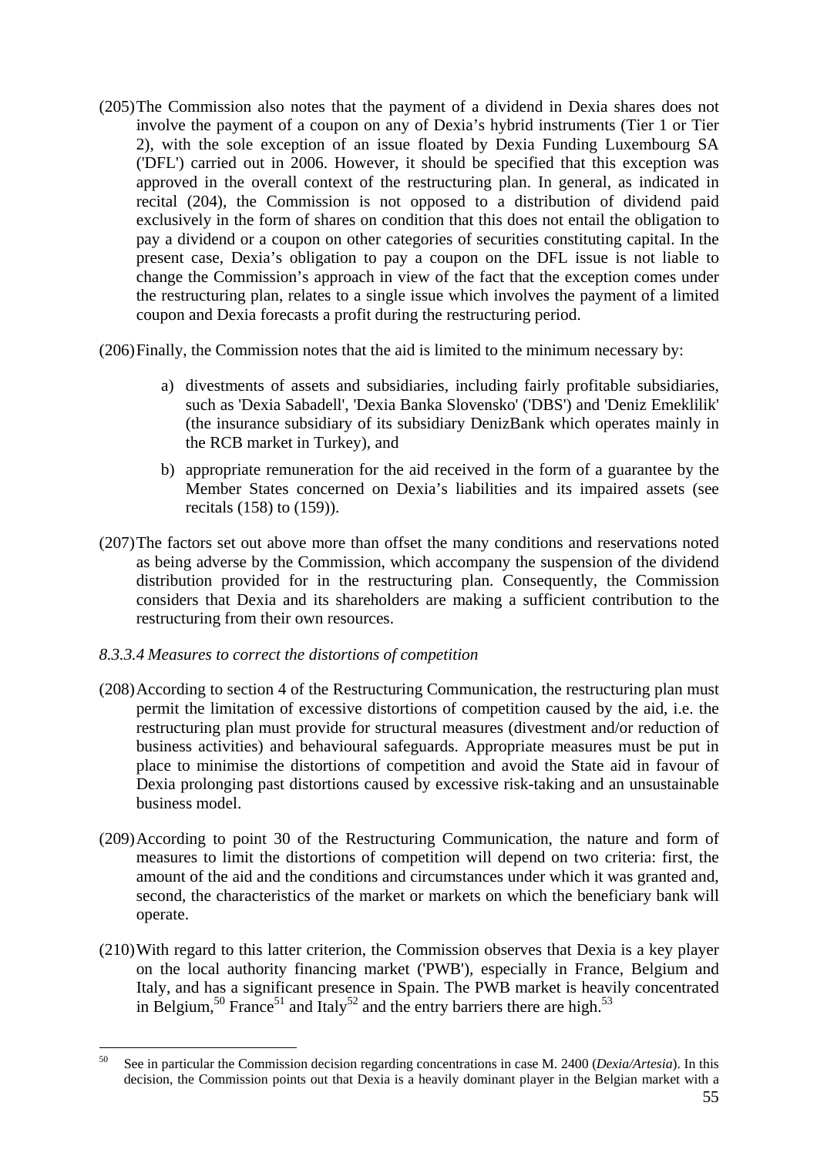(205)The Commission also notes that the payment of a dividend in Dexia shares does not involve the payment of a coupon on any of Dexia's hybrid instruments (Tier 1 or Tier 2), with the sole exception of an issue floated by Dexia Funding Luxembourg SA ('DFL') carried out in 2006. However, it should be specified that this exception was approved in the overall context of the restructuring plan. In general, as indicated in recital [\(204\),](#page-53-0) the Commission is not opposed to a distribution of dividend paid exclusively in the form of shares on condition that this does not entail the obligation to pay a dividend or a coupon on other categories of securities constituting capital. In the present case, Dexia's obligation to pay a coupon on the DFL issue is not liable to change the Commission's approach in view of the fact that the exception comes under the restructuring plan, relates to a single issue which involves the payment of a limited coupon and Dexia forecasts a profit during the restructuring period.

(206)Finally, the Commission notes that the aid is limited to the minimum necessary by:

- a) divestments of assets and subsidiaries, including fairly profitable subsidiaries, such as 'Dexia Sabadell', 'Dexia Banka Slovensko' ('DBS') and 'Deniz Emeklilik' (the insurance subsidiary of its subsidiary DenizBank which operates mainly in the RCB market in Turkey), and
- b) appropriate remuneration for the aid received in the form of a guarantee by the Member States concerned on Dexia's liabilities and its impaired assets (see recital[s \(158\)](#page-40-0) t[o \(159\)\)](#page-41-0).
- (207)The factors set out above more than offset the many conditions and reservations noted as being adverse by the Commission, which accompany the suspension of the dividend distribution provided for in the restructuring plan. Consequently, the Commission considers that Dexia and its shareholders are making a sufficient contribution to the restructuring from their own resources.

# *8.3.3.4 Measures to correct the distortions of competition*

- (208)According to section 4 of the Restructuring Communication, the restructuring plan must permit the limitation of excessive distortions of competition caused by the aid, i.e. the restructuring plan must provide for structural measures (divestment and/or reduction of business activities) and behavioural safeguards. Appropriate measures must be put in place to minimise the distortions of competition and avoid the State aid in favour of Dexia prolonging past distortions caused by excessive risk-taking and an unsustainable business model.
- (209)According to point 30 of the Restructuring Communication, the nature and form of measures to limit the distortions of competition will depend on two criteria: first, the amount of the aid and the conditions and circumstances under which it was granted and, second, the characteristics of the market or markets on which the beneficiary bank will operate.
- (210)With regard to this latter criterion, the Commission observes that Dexia is a key player on the local authority financing market ('PWB'), especially in France, Belgium and Italy, and has a significant presence in Spain. The PWB market is heavily concentrated in Belgium,<sup>50</sup> France<sup>51</sup> and Italy<sup>52</sup> and the entry barriers there are high.<sup>53</sup>

<sup>50</sup> 50 See in particular the Commission decision regarding concentrations in case M. 2400 (*Dexia/Artesia*). In this decision, the Commission points out that Dexia is a heavily dominant player in the Belgian market with a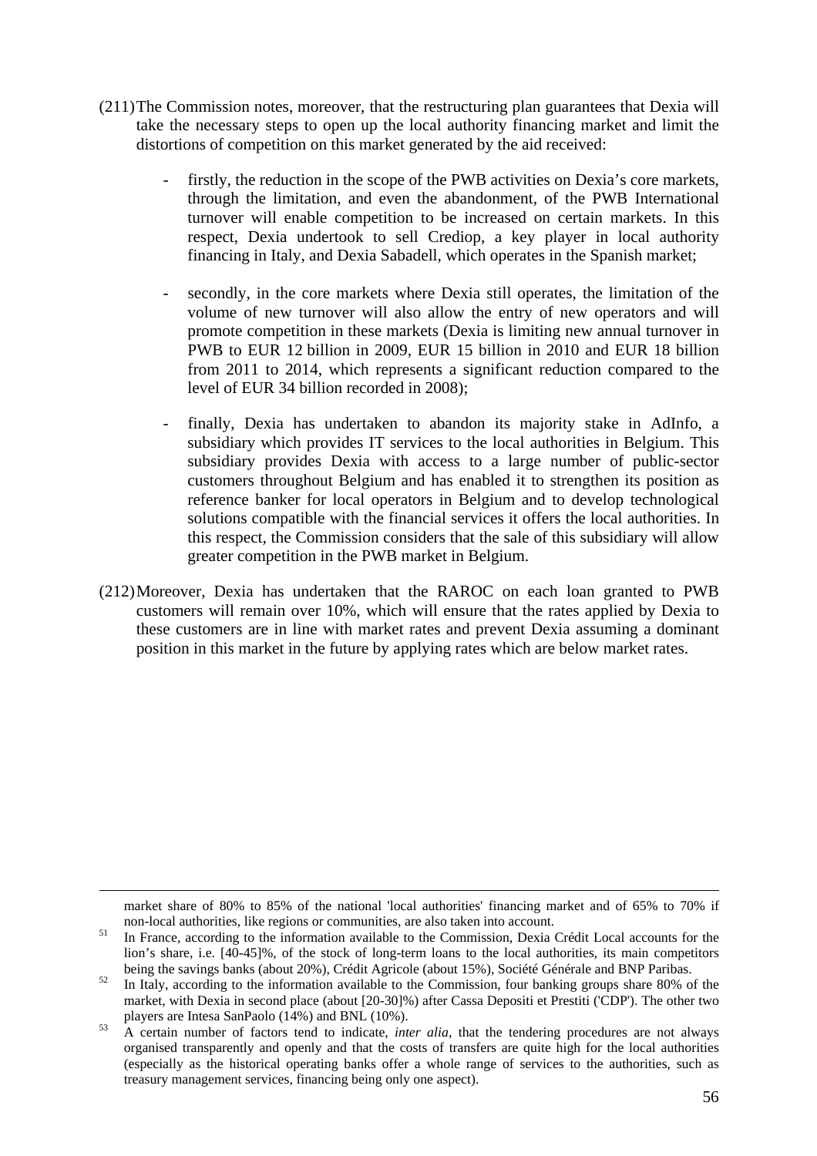- (211)The Commission notes, moreover, that the restructuring plan guarantees that Dexia will take the necessary steps to open up the local authority financing market and limit the distortions of competition on this market generated by the aid received:
	- firstly, the reduction in the scope of the PWB activities on Dexia's core markets, through the limitation, and even the abandonment, of the PWB International turnover will enable competition to be increased on certain markets. In this respect, Dexia undertook to sell Crediop, a key player in local authority financing in Italy, and Dexia Sabadell, which operates in the Spanish market;
	- secondly, in the core markets where Dexia still operates, the limitation of the volume of new turnover will also allow the entry of new operators and will promote competition in these markets (Dexia is limiting new annual turnover in PWB to EUR 12 billion in 2009, EUR 15 billion in 2010 and EUR 18 billion from 2011 to 2014, which represents a significant reduction compared to the level of EUR 34 billion recorded in 2008);
	- finally, Dexia has undertaken to abandon its majority stake in AdInfo, a subsidiary which provides IT services to the local authorities in Belgium. This subsidiary provides Dexia with access to a large number of public-sector customers throughout Belgium and has enabled it to strengthen its position as reference banker for local operators in Belgium and to develop technological solutions compatible with the financial services it offers the local authorities. In this respect, the Commission considers that the sale of this subsidiary will allow greater competition in the PWB market in Belgium.
- (212)Moreover, Dexia has undertaken that the RAROC on each loan granted to PWB customers will remain over 10%, which will ensure that the rates applied by Dexia to these customers are in line with market rates and prevent Dexia assuming a dominant position in this market in the future by applying rates which are below market rates.

 market share of 80% to 85% of the national 'local authorities' financing market and of 65% to 70% if non-local authorities, like regions or communities, are also taken into account.<br><sup>51</sup> In France, according to the information available to the Commission, Dexia Crédit Local accounts for the

lion's share, i.e. [40-45]%, of the stock of long-term loans to the local authorities, its main competitors

being the savings banks (about 20%), Crédit Agricole (about 15%), Société Générale and BNP Paribas.<br>In Italy, according to the information available to the Commission, four banking groups share 80% of the market, with Dexia in second place (about [20-30]%) after Cassa Depositi et Prestiti ('CDP'). The other two players are Intesa SanPaolo (14%) and BNL (10%).<br>53 A certain number of factors tend to indicate, *inter alia*, that the tendering procedures are not always

organised transparently and openly and that the costs of transfers are quite high for the local authorities (especially as the historical operating banks offer a whole range of services to the authorities, such as treasury management services, financing being only one aspect).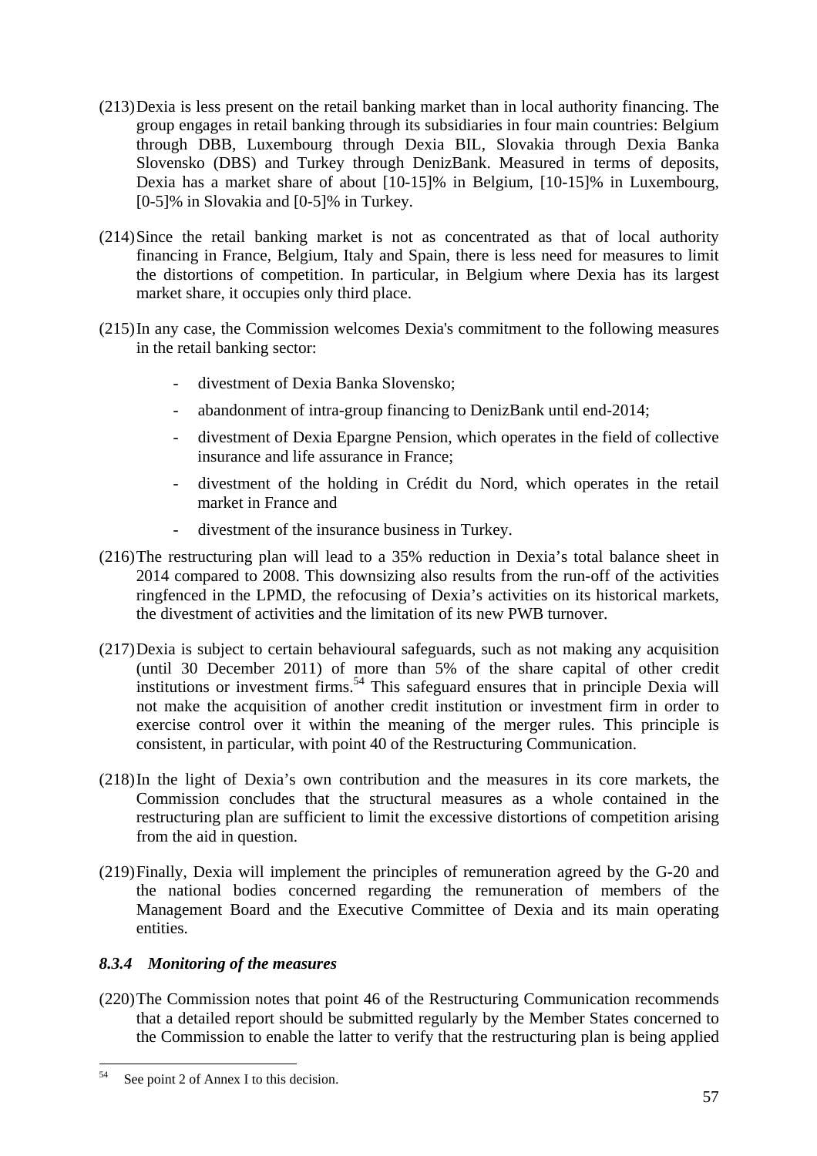- (213)Dexia is less present on the retail banking market than in local authority financing. The group engages in retail banking through its subsidiaries in four main countries: Belgium through DBB, Luxembourg through Dexia BIL, Slovakia through Dexia Banka Slovensko (DBS) and Turkey through DenizBank. Measured in terms of deposits, Dexia has a market share of about [10-15]% in Belgium, [10-15]% in Luxembourg, [0-5]% in Slovakia and [0-5]% in Turkey.
- (214)Since the retail banking market is not as concentrated as that of local authority financing in France, Belgium, Italy and Spain, there is less need for measures to limit the distortions of competition. In particular, in Belgium where Dexia has its largest market share, it occupies only third place.
- (215)In any case, the Commission welcomes Dexia's commitment to the following measures in the retail banking sector:
	- divestment of Dexia Banka Slovensko;
	- abandonment of intra-group financing to DenizBank until end-2014;
	- divestment of Dexia Epargne Pension, which operates in the field of collective insurance and life assurance in France;
	- divestment of the holding in Crédit du Nord, which operates in the retail market in France and
	- divestment of the insurance business in Turkey.
- (216)The restructuring plan will lead to a 35% reduction in Dexia's total balance sheet in 2014 compared to 2008. This downsizing also results from the run-off of the activities ringfenced in the LPMD, the refocusing of Dexia's activities on its historical markets, the divestment of activities and the limitation of its new PWB turnover.
- (217)Dexia is subject to certain behavioural safeguards, such as not making any acquisition (until 30 December 2011) of more than 5% of the share capital of other credit institutions or investment firms.<sup>54</sup> This safeguard ensures that in principle Dexia will not make the acquisition of another credit institution or investment firm in order to exercise control over it within the meaning of the merger rules. This principle is consistent, in particular, with point 40 of the Restructuring Communication.
- (218)In the light of Dexia's own contribution and the measures in its core markets, the Commission concludes that the structural measures as a whole contained in the restructuring plan are sufficient to limit the excessive distortions of competition arising from the aid in question.
- (219)Finally, Dexia will implement the principles of remuneration agreed by the G-20 and the national bodies concerned regarding the remuneration of members of the Management Board and the Executive Committee of Dexia and its main operating entities.

# *8.3.4 Monitoring of the measures*

(220)The Commission notes that point 46 of the Restructuring Communication recommends that a detailed report should be submitted regularly by the Member States concerned to the Commission to enable the latter to verify that the restructuring plan is being applied

 $\overline{a}$ 

See point 2 of Annex I to this decision.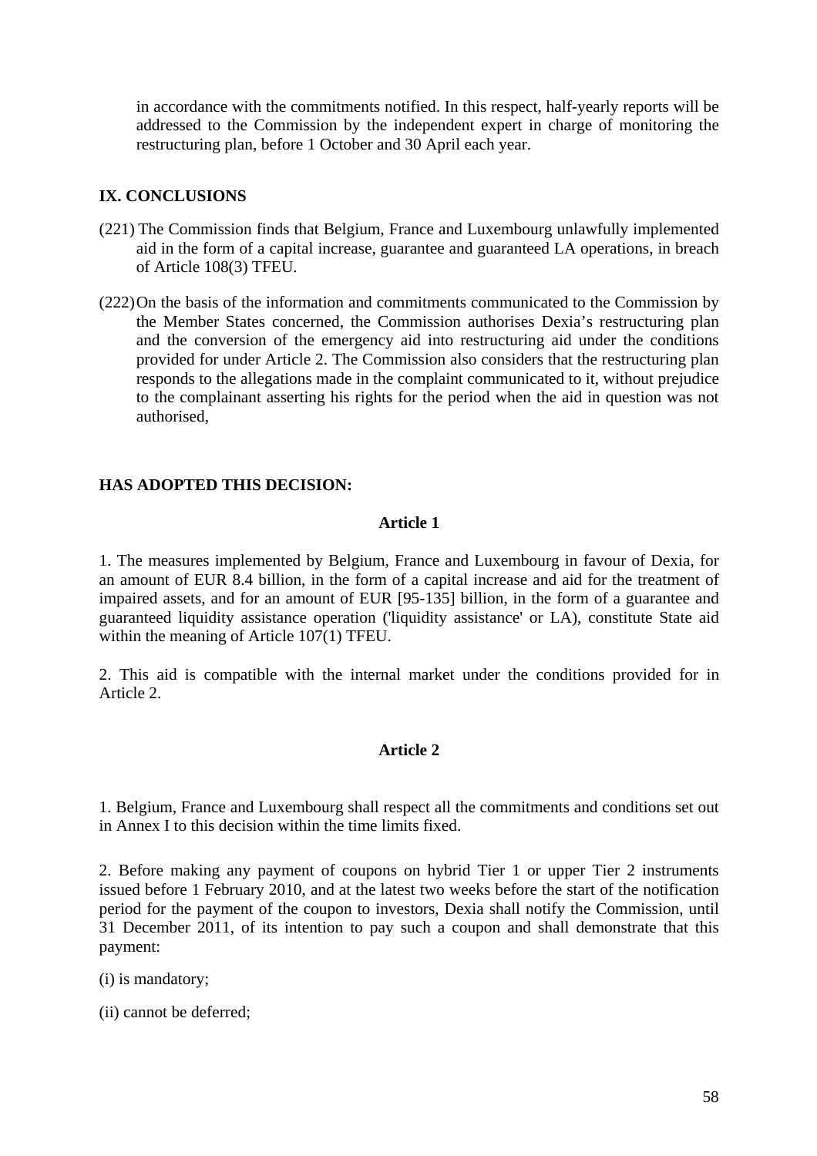in accordance with the commitments notified. In this respect, half-yearly reports will be addressed to the Commission by the independent expert in charge of monitoring the restructuring plan, before 1 October and 30 April each year.

# **IX. CONCLUSIONS**

- (221) The Commission finds that Belgium, France and Luxembourg unlawfully implemented aid in the form of a capital increase, guarantee and guaranteed LA operations, in breach of Article 108(3) TFEU.
- (222)On the basis of the information and commitments communicated to the Commission by the Member States concerned, the Commission authorises Dexia's restructuring plan and the conversion of the emergency aid into restructuring aid under the conditions provided for under Article 2. The Commission also considers that the restructuring plan responds to the allegations made in the complaint communicated to it, without prejudice to the complainant asserting his rights for the period when the aid in question was not authorised,

# **HAS ADOPTED THIS DECISION:**

### **Article 1**

1. The measures implemented by Belgium, France and Luxembourg in favour of Dexia, for an amount of EUR 8.4 billion, in the form of a capital increase and aid for the treatment of impaired assets, and for an amount of EUR [95-135] billion, in the form of a guarantee and guaranteed liquidity assistance operation ('liquidity assistance' or LA), constitute State aid within the meaning of Article 107(1) TFEU.

2. This aid is compatible with the internal market under the conditions provided for in Article 2.

#### **Article 2**

1. Belgium, France and Luxembourg shall respect all the commitments and conditions set out in Annex I to this decision within the time limits fixed.

2. Before making any payment of coupons on hybrid Tier 1 or upper Tier 2 instruments issued before 1 February 2010, and at the latest two weeks before the start of the notification period for the payment of the coupon to investors, Dexia shall notify the Commission, until 31 December 2011, of its intention to pay such a coupon and shall demonstrate that this payment:

- (i) is mandatory;
- (ii) cannot be deferred;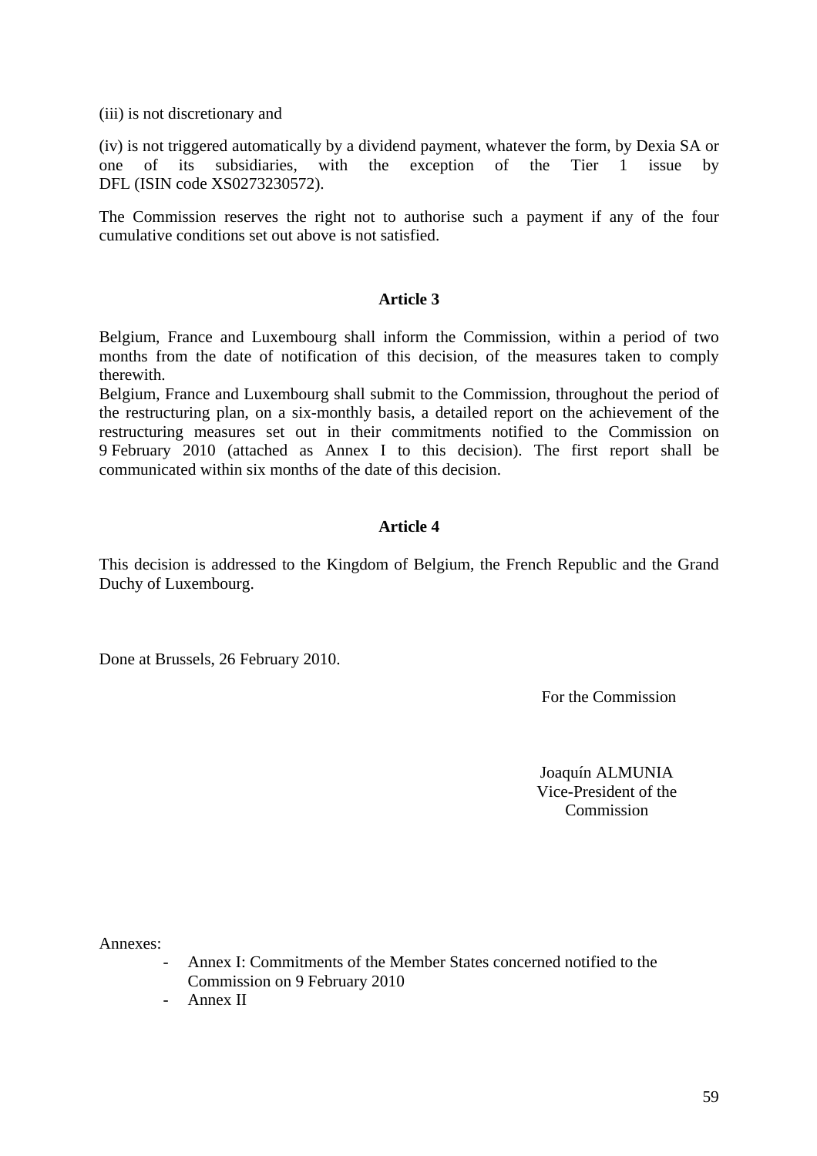(iii) is not discretionary and

(iv) is not triggered automatically by a dividend payment, whatever the form, by Dexia SA or one of its subsidiaries, with the exception of the Tier 1 issue by DFL (ISIN code XS0273230572).

The Commission reserves the right not to authorise such a payment if any of the four cumulative conditions set out above is not satisfied.

#### **Article 3**

Belgium, France and Luxembourg shall inform the Commission, within a period of two months from the date of notification of this decision, of the measures taken to comply therewith.

Belgium, France and Luxembourg shall submit to the Commission, throughout the period of the restructuring plan, on a six-monthly basis, a detailed report on the achievement of the restructuring measures set out in their commitments notified to the Commission on 9 February 2010 (attached as Annex I to this decision). The first report shall be communicated within six months of the date of this decision.

### **Article 4**

This decision is addressed to the Kingdom of Belgium, the French Republic and the Grand Duchy of Luxembourg.

Done at Brussels, 26 February 2010.

For the Commission

Joaquín ALMUNIA Vice-President of the Commission

Annexes:

- Annex I: Commitments of the Member States concerned notified to the Commission on 9 February 2010
- Annex II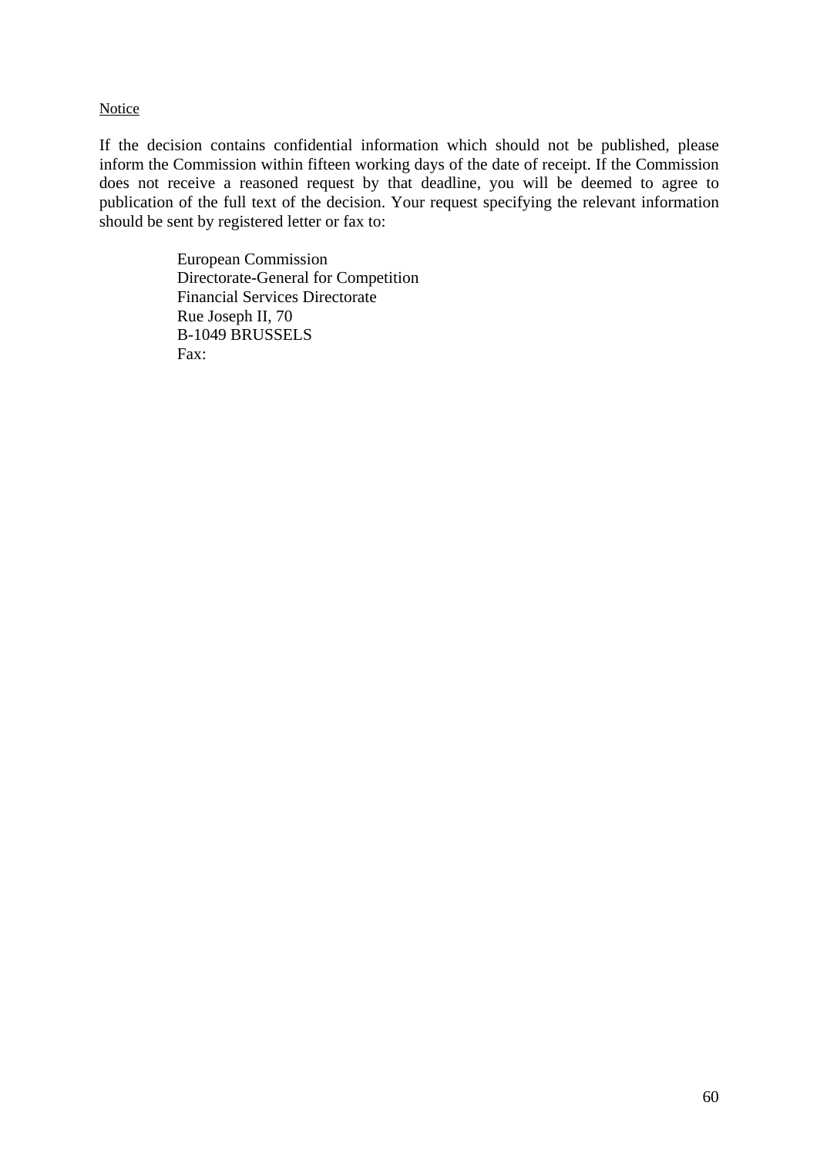**Notice** 

If the decision contains confidential information which should not be published, please inform the Commission within fifteen working days of the date of receipt. If the Commission does not receive a reasoned request by that deadline, you will be deemed to agree to publication of the full text of the decision. Your request specifying the relevant information should be sent by registered letter or fax to:

> European Commission Directorate-General for Competition Financial Services Directorate Rue Joseph II, 70 B-1049 BRUSSELS Fax: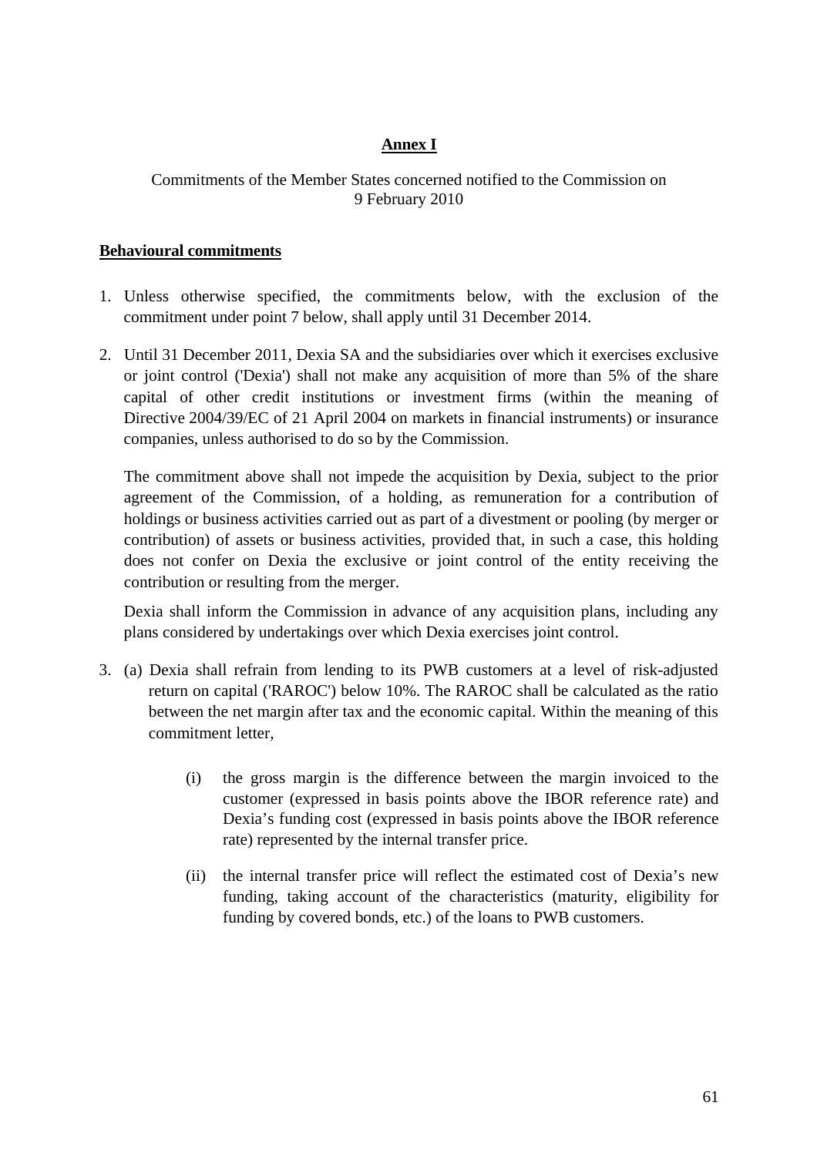# **Annex I**

# Commitments of the Member States concerned notified to the Commission on 9 February 2010

### **Behavioural commitments**

- 1. Unless otherwise specified, the commitments below, with the exclusion of the commitment under point 7 below, shall apply until 31 December 2014.
- 2. Until 31 December 2011, Dexia SA and the subsidiaries over which it exercises exclusive or joint control ('Dexia') shall not make any acquisition of more than 5% of the share capital of other credit institutions or investment firms (within the meaning of Directive 2004/39/EC of 21 April 2004 on markets in financial instruments) or insurance companies, unless authorised to do so by the Commission.

The commitment above shall not impede the acquisition by Dexia, subject to the prior agreement of the Commission, of a holding, as remuneration for a contribution of holdings or business activities carried out as part of a divestment or pooling (by merger or contribution) of assets or business activities, provided that, in such a case, this holding does not confer on Dexia the exclusive or joint control of the entity receiving the contribution or resulting from the merger.

Dexia shall inform the Commission in advance of any acquisition plans, including any plans considered by undertakings over which Dexia exercises joint control.

- 3. (a) Dexia shall refrain from lending to its PWB customers at a level of risk-adjusted return on capital ('RAROC') below 10%. The RAROC shall be calculated as the ratio between the net margin after tax and the economic capital. Within the meaning of this commitment letter,
	- (i) the gross margin is the difference between the margin invoiced to the customer (expressed in basis points above the IBOR reference rate) and Dexia's funding cost (expressed in basis points above the IBOR reference rate) represented by the internal transfer price.
	- (ii) the internal transfer price will reflect the estimated cost of Dexia's new funding, taking account of the characteristics (maturity, eligibility for funding by covered bonds, etc.) of the loans to PWB customers.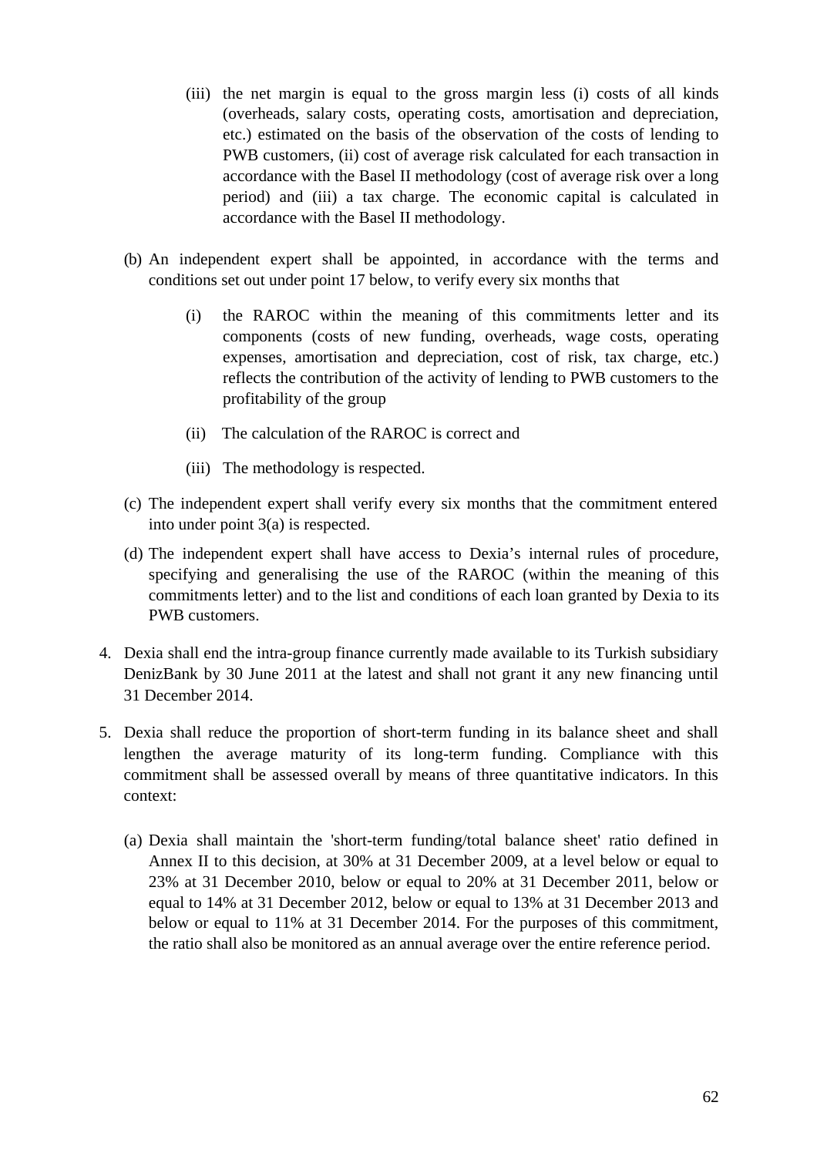- (iii) the net margin is equal to the gross margin less (i) costs of all kinds (overheads, salary costs, operating costs, amortisation and depreciation, etc.) estimated on the basis of the observation of the costs of lending to PWB customers, (ii) cost of average risk calculated for each transaction in accordance with the Basel II methodology (cost of average risk over a long period) and (iii) a tax charge. The economic capital is calculated in accordance with the Basel II methodology.
- (b) An independent expert shall be appointed, in accordance with the terms and conditions set out under point 17 below, to verify every six months that
	- (i) the RAROC within the meaning of this commitments letter and its components (costs of new funding, overheads, wage costs, operating expenses, amortisation and depreciation, cost of risk, tax charge, etc.) reflects the contribution of the activity of lending to PWB customers to the profitability of the group
	- (ii) The calculation of the RAROC is correct and
	- (iii) The methodology is respected.
- (c) The independent expert shall verify every six months that the commitment entered into under point 3(a) is respected.
- (d) The independent expert shall have access to Dexia's internal rules of procedure, specifying and generalising the use of the RAROC (within the meaning of this commitments letter) and to the list and conditions of each loan granted by Dexia to its PWB customers.
- 4. Dexia shall end the intra-group finance currently made available to its Turkish subsidiary DenizBank by 30 June 2011 at the latest and shall not grant it any new financing until 31 December 2014.
- 5. Dexia shall reduce the proportion of short-term funding in its balance sheet and shall lengthen the average maturity of its long-term funding. Compliance with this commitment shall be assessed overall by means of three quantitative indicators. In this context:
	- (a) Dexia shall maintain the 'short-term funding/total balance sheet' ratio defined in Annex II to this decision, at 30% at 31 December 2009, at a level below or equal to 23% at 31 December 2010, below or equal to 20% at 31 December 2011, below or equal to 14% at 31 December 2012, below or equal to 13% at 31 December 2013 and below or equal to 11% at 31 December 2014. For the purposes of this commitment, the ratio shall also be monitored as an annual average over the entire reference period.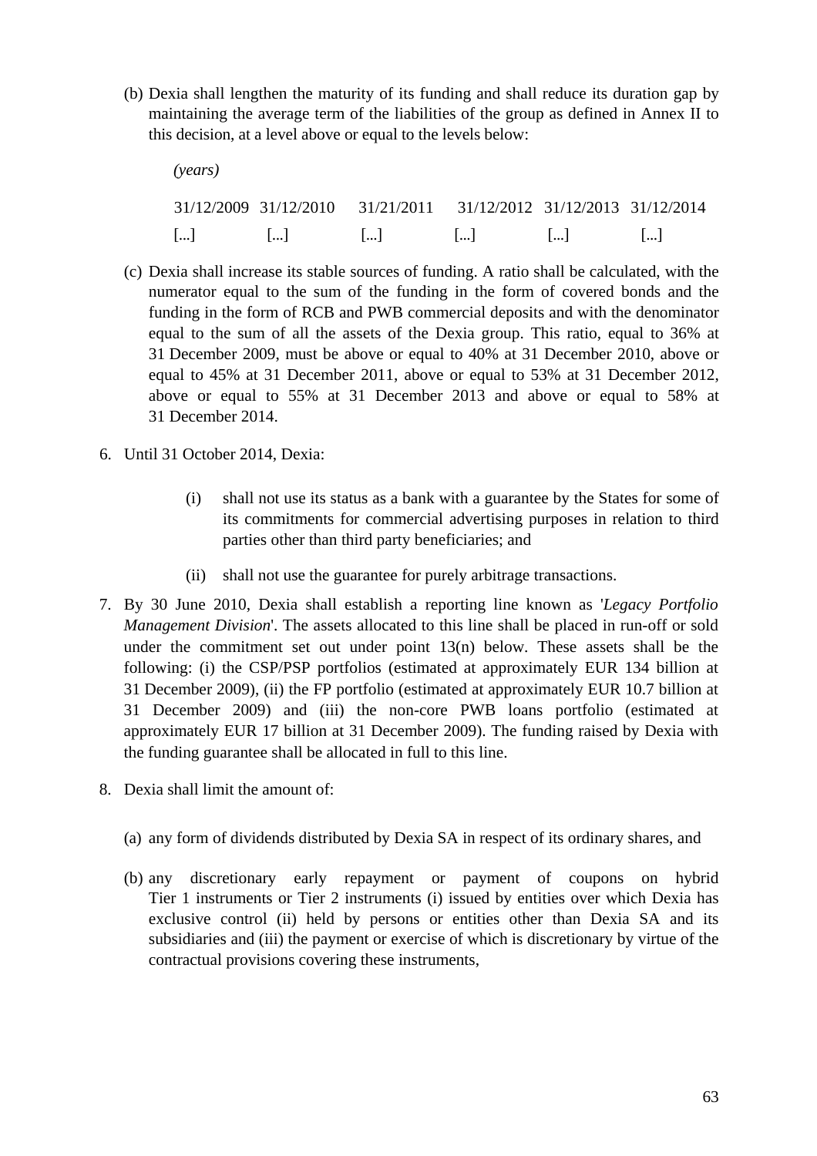(b) Dexia shall lengthen the maturity of its funding and shall reduce its duration gap by maintaining the average term of the liabilities of the group as defined in Annex II to this decision, at a level above or equal to the levels below:

*(years)* 31/12/2009 31/12/2010 31/21/2011 31/12/2012 31/12/2013 31/12/2014 [...] [...] [...] [...] [...] [...]

- (c) Dexia shall increase its stable sources of funding. A ratio shall be calculated, with the numerator equal to the sum of the funding in the form of covered bonds and the funding in the form of RCB and PWB commercial deposits and with the denominator equal to the sum of all the assets of the Dexia group. This ratio, equal to 36% at 31 December 2009, must be above or equal to 40% at 31 December 2010, above or equal to 45% at 31 December 2011, above or equal to 53% at 31 December 2012, above or equal to 55% at 31 December 2013 and above or equal to 58% at 31 December 2014.
- 6. Until 31 October 2014, Dexia:
	- (i) shall not use its status as a bank with a guarantee by the States for some of its commitments for commercial advertising purposes in relation to third parties other than third party beneficiaries; and
	- (ii) shall not use the guarantee for purely arbitrage transactions.
- 7. By 30 June 2010, Dexia shall establish a reporting line known as '*Legacy Portfolio Management Division*'. The assets allocated to this line shall be placed in run-off or sold under the commitment set out under point  $13(n)$  below. These assets shall be the following: (i) the CSP/PSP portfolios (estimated at approximately EUR 134 billion at 31 December 2009), (ii) the FP portfolio (estimated at approximately EUR 10.7 billion at 31 December 2009) and (iii) the non-core PWB loans portfolio (estimated at approximately EUR 17 billion at 31 December 2009). The funding raised by Dexia with the funding guarantee shall be allocated in full to this line.
- 8. Dexia shall limit the amount of:
	- (a) any form of dividends distributed by Dexia SA in respect of its ordinary shares, and
	- (b) any discretionary early repayment or payment of coupons on hybrid Tier 1 instruments or Tier 2 instruments (i) issued by entities over which Dexia has exclusive control (ii) held by persons or entities other than Dexia SA and its subsidiaries and (iii) the payment or exercise of which is discretionary by virtue of the contractual provisions covering these instruments,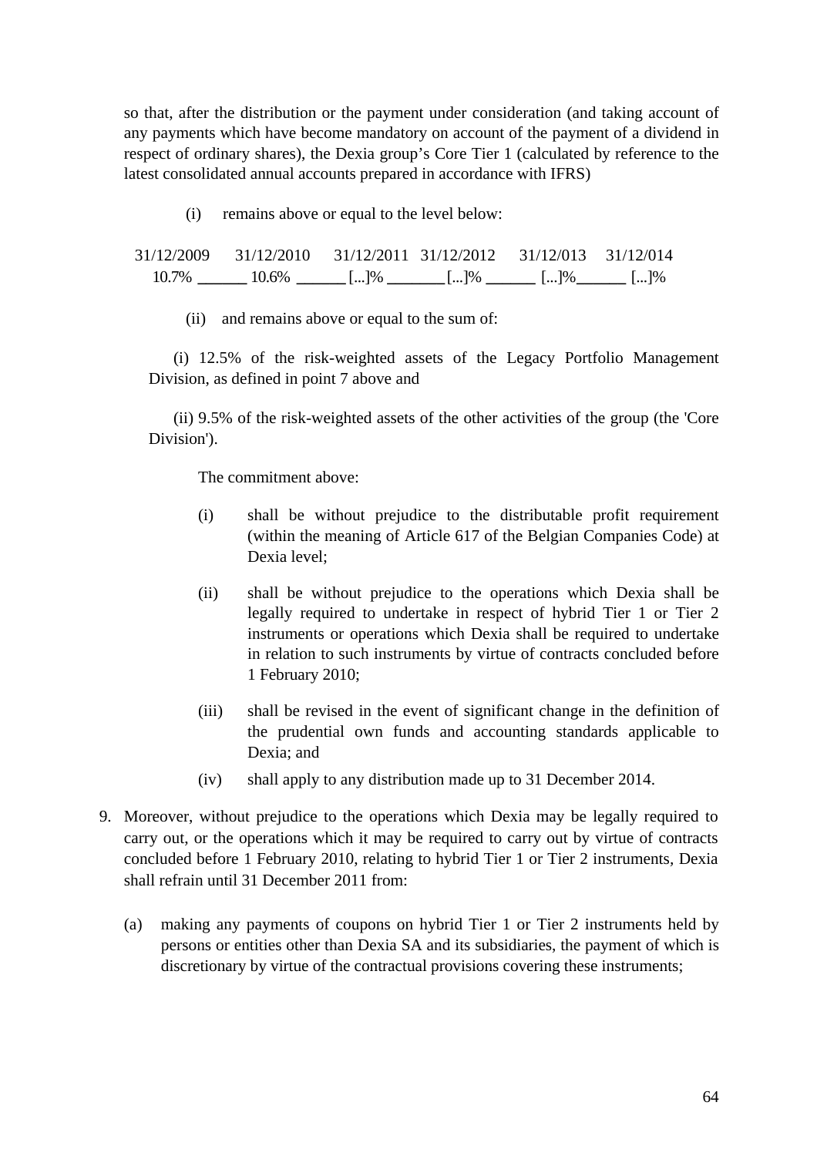so that, after the distribution or the payment under consideration (and taking account of any payments which have become mandatory on account of the payment of a dividend in respect of ordinary shares), the Dexia group's Core Tier 1 (calculated by reference to the latest consolidated annual accounts prepared in accordance with IFRS)

(i) remains above or equal to the level below:

| 31/12/2009 | $31/12/2010$ $31/12/2011$ $31/12/2012$ $31/12/013$ $31/12/014$ |  |                         |
|------------|----------------------------------------------------------------|--|-------------------------|
| 10.7%      | $10.6\%$ []% []% []%                                           |  | $\left[\ldots\right]\%$ |

(ii) and remains above or equal to the sum of:

(i) 12.5% of the risk-weighted assets of the Legacy Portfolio Management Division, as defined in point 7 above and

(ii) 9.5% of the risk-weighted assets of the other activities of the group (the 'Core Division').

The commitment above:

- (i) shall be without prejudice to the distributable profit requirement (within the meaning of Article 617 of the Belgian Companies Code) at Dexia level;
- (ii) shall be without prejudice to the operations which Dexia shall be legally required to undertake in respect of hybrid Tier 1 or Tier 2 instruments or operations which Dexia shall be required to undertake in relation to such instruments by virtue of contracts concluded before 1 February 2010;
- (iii) shall be revised in the event of significant change in the definition of the prudential own funds and accounting standards applicable to Dexia; and
- (iv) shall apply to any distribution made up to 31 December 2014.
- 9. Moreover, without prejudice to the operations which Dexia may be legally required to carry out, or the operations which it may be required to carry out by virtue of contracts concluded before 1 February 2010, relating to hybrid Tier 1 or Tier 2 instruments*,* Dexia shall refrain until 31 December 2011 from:
	- (a) making any payments of coupons on hybrid Tier 1 or Tier 2 instruments held by persons or entities other than Dexia SA and its subsidiaries, the payment of which is discretionary by virtue of the contractual provisions covering these instruments;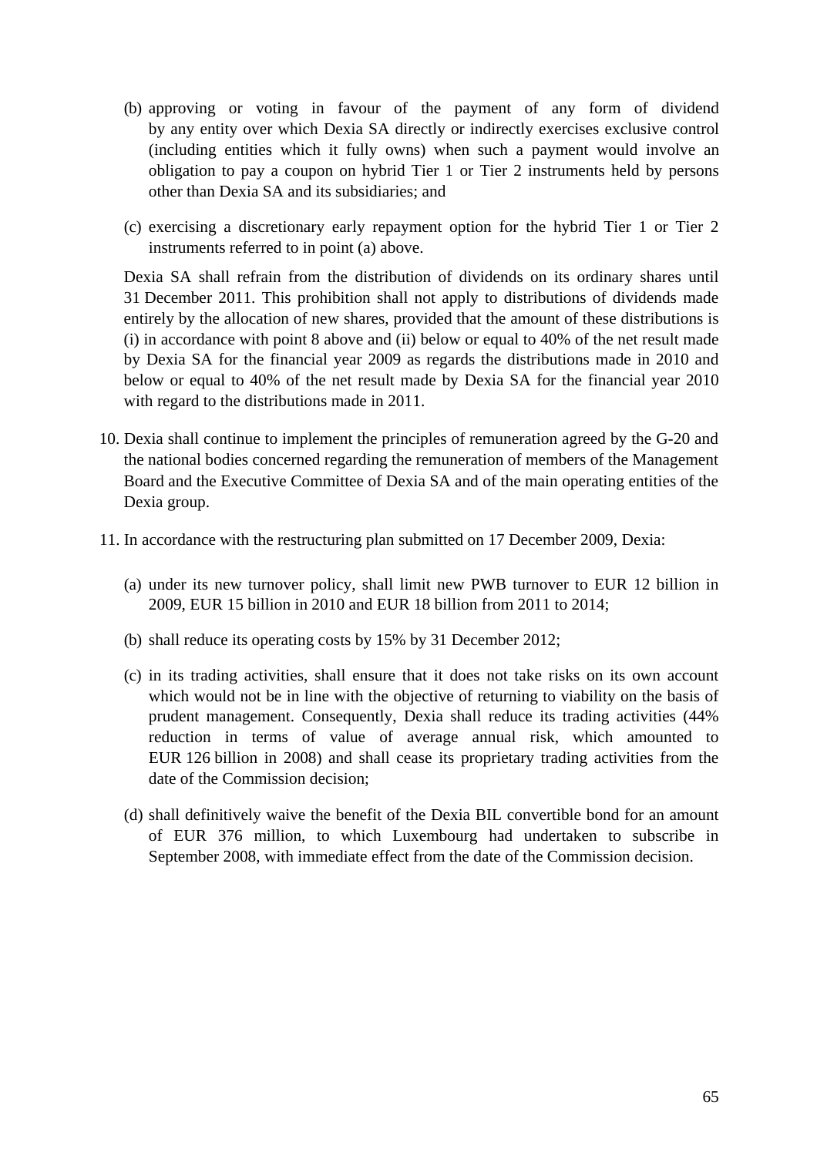- (b) approving or voting in favour of the payment of any form of dividend by any entity over which Dexia SA directly or indirectly exercises exclusive control (including entities which it fully owns) when such a payment would involve an obligation to pay a coupon on hybrid Tier 1 or Tier 2 instruments held by persons other than Dexia SA and its subsidiaries; and
- (c) exercising a discretionary early repayment option for the hybrid Tier 1 or Tier 2 instruments referred to in point (a) above.

Dexia SA shall refrain from the distribution of dividends on its ordinary shares until 31 December 2011. This prohibition shall not apply to distributions of dividends made entirely by the allocation of new shares, provided that the amount of these distributions is (i) in accordance with point 8 above and (ii) below or equal to 40% of the net result made by Dexia SA for the financial year 2009 as regards the distributions made in 2010 and below or equal to 40% of the net result made by Dexia SA for the financial year 2010 with regard to the distributions made in 2011.

- 10. Dexia shall continue to implement the principles of remuneration agreed by the G-20 and the national bodies concerned regarding the remuneration of members of the Management Board and the Executive Committee of Dexia SA and of the main operating entities of the Dexia group.
- 11. In accordance with the restructuring plan submitted on 17 December 2009, Dexia:
	- (a) under its new turnover policy, shall limit new PWB turnover to EUR 12 billion in 2009, EUR 15 billion in 2010 and EUR 18 billion from 2011 to 2014;
	- (b) shall reduce its operating costs by 15% by 31 December 2012;
	- (c) in its trading activities, shall ensure that it does not take risks on its own account which would not be in line with the objective of returning to viability on the basis of prudent management. Consequently, Dexia shall reduce its trading activities (44% reduction in terms of value of average annual risk, which amounted to EUR 126 billion in 2008) and shall cease its proprietary trading activities from the date of the Commission decision;
	- (d) shall definitively waive the benefit of the Dexia BIL convertible bond for an amount of EUR 376 million, to which Luxembourg had undertaken to subscribe in September 2008, with immediate effect from the date of the Commission decision.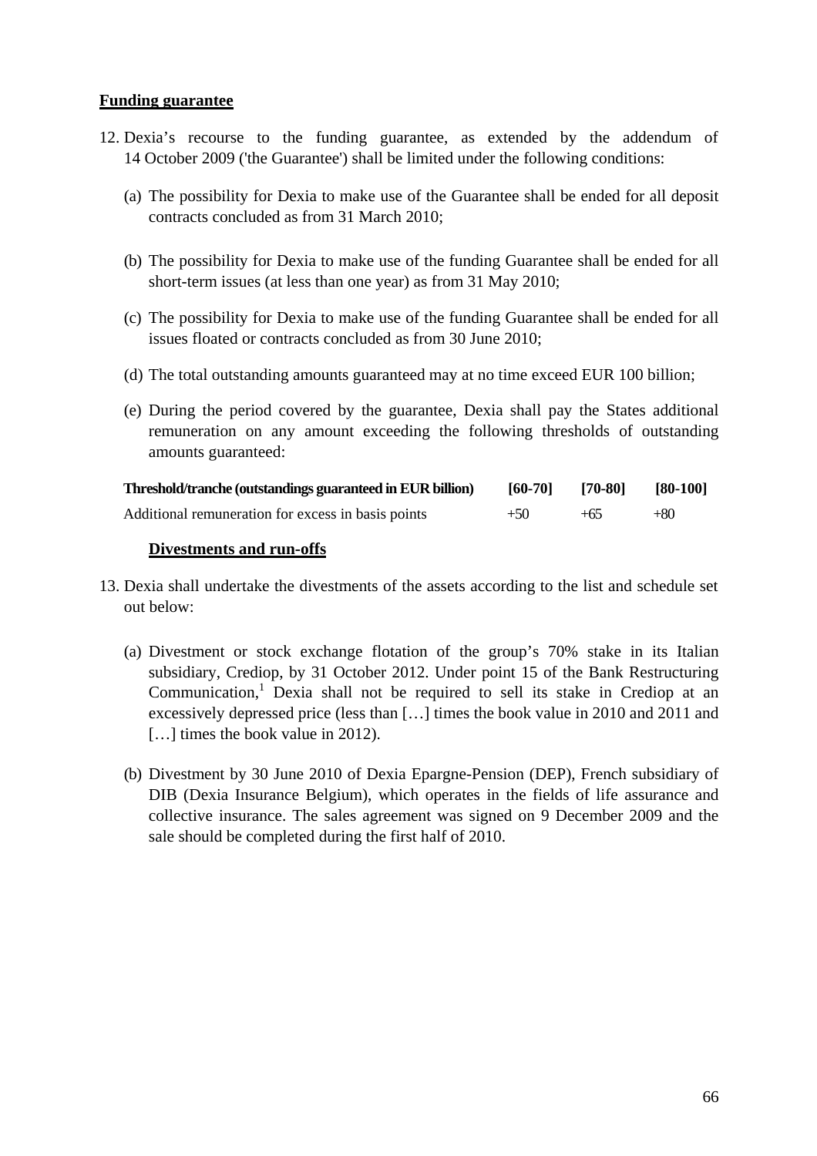### **Funding guarantee**

- 12. Dexia's recourse to the funding guarantee, as extended by the addendum of 14 October 2009 ('the Guarantee') shall be limited under the following conditions:
	- (a) The possibility for Dexia to make use of the Guarantee shall be ended for all deposit contracts concluded as from 31 March 2010;
	- (b) The possibility for Dexia to make use of the funding Guarantee shall be ended for all short-term issues (at less than one year) as from 31 May 2010;
	- (c) The possibility for Dexia to make use of the funding Guarantee shall be ended for all issues floated or contracts concluded as from 30 June 2010;
	- (d) The total outstanding amounts guaranteed may at no time exceed EUR 100 billion;
	- (e) During the period covered by the guarantee, Dexia shall pay the States additional remuneration on any amount exceeding the following thresholds of outstanding amounts guaranteed:

| Threshold/tranche (outstandings guaranteed in EUR billion) | $[60-70]$ | $[70-80]$ | $[80-100]$ |
|------------------------------------------------------------|-----------|-----------|------------|
| Additional remuneration for excess in basis points         | $+50$     | $+65$     | $+80$      |

#### **Divestments and run-offs**

- 13. Dexia shall undertake the divestments of the assets according to the list and schedule set out below:
	- (a) Divestment or stock exchange flotation of the group's 70% stake in its Italian subsidiary, Crediop, by 31 October 2012. Under point 15 of the Bank Restructuring Communication,<sup>1</sup> Dexia shall not be required to sell its stake in Crediop at an excessively depressed price (less than […] times the book value in 2010 and 2011 and [...] times the book value in 2012).
	- (b) Divestment by 30 June 2010 of Dexia Epargne-Pension (DEP), French subsidiary of DIB (Dexia Insurance Belgium), which operates in the fields of life assurance and collective insurance. The sales agreement was signed on 9 December 2009 and the sale should be completed during the first half of 2010.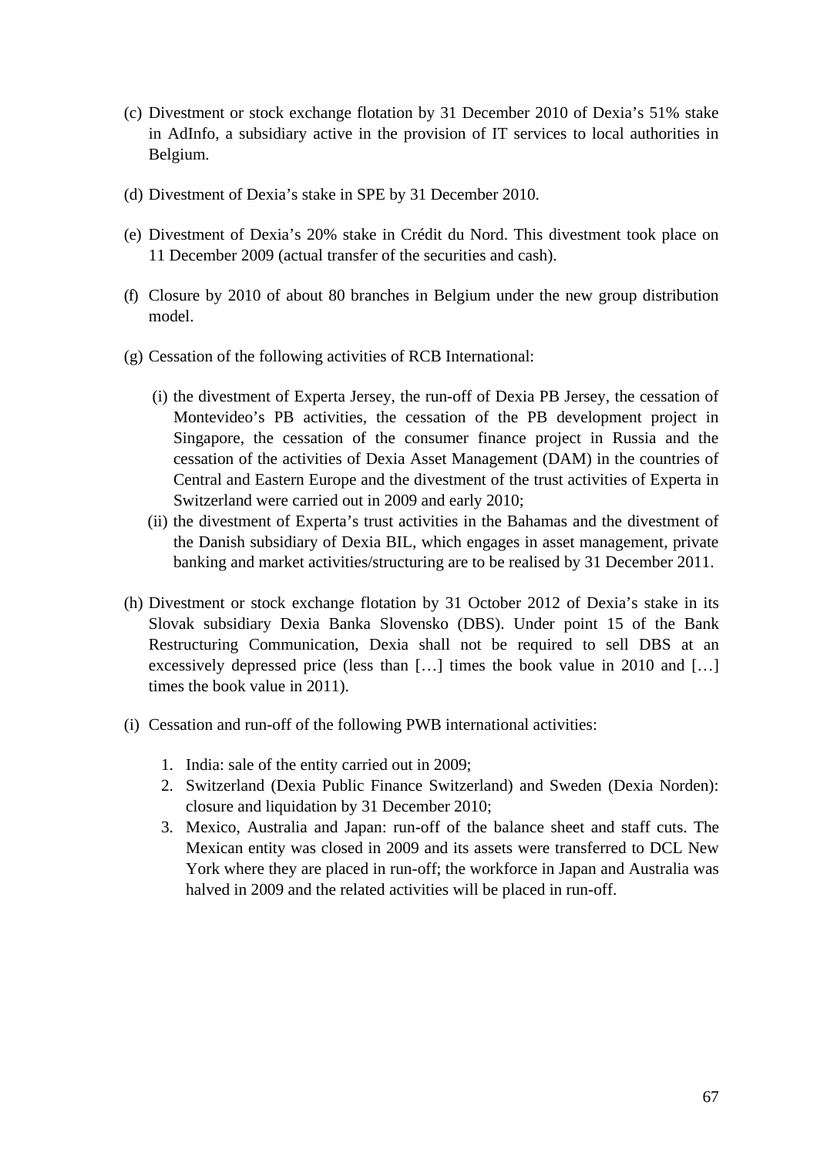- (c) Divestment or stock exchange flotation by 31 December 2010 of Dexia's 51% stake in AdInfo, a subsidiary active in the provision of IT services to local authorities in Belgium.
- (d) Divestment of Dexia's stake in SPE by 31 December 2010.
- (e) Divestment of Dexia's 20% stake in Crédit du Nord. This divestment took place on 11 December 2009 (actual transfer of the securities and cash).
- (f) Closure by 2010 of about 80 branches in Belgium under the new group distribution model.
- (g) Cessation of the following activities of RCB International:
	- (i) the divestment of Experta Jersey, the run-off of Dexia PB Jersey, the cessation of Montevideo's PB activities, the cessation of the PB development project in Singapore, the cessation of the consumer finance project in Russia and the cessation of the activities of Dexia Asset Management (DAM) in the countries of Central and Eastern Europe and the divestment of the trust activities of Experta in Switzerland were carried out in 2009 and early 2010;
	- (ii) the divestment of Experta's trust activities in the Bahamas and the divestment of the Danish subsidiary of Dexia BIL, which engages in asset management, private banking and market activities/structuring are to be realised by 31 December 2011.
- (h) Divestment or stock exchange flotation by 31 October 2012 of Dexia's stake in its Slovak subsidiary Dexia Banka Slovensko (DBS). Under point 15 of the Bank Restructuring Communication, Dexia shall not be required to sell DBS at an excessively depressed price (less than […] times the book value in 2010 and […] times the book value in 2011).
- (i) Cessation and run-off of the following PWB international activities:
	- 1. India: sale of the entity carried out in 2009;
	- 2. Switzerland (Dexia Public Finance Switzerland) and Sweden (Dexia Norden): closure and liquidation by 31 December 2010;
	- 3. Mexico, Australia and Japan: run-off of the balance sheet and staff cuts. The Mexican entity was closed in 2009 and its assets were transferred to DCL New York where they are placed in run-off; the workforce in Japan and Australia was halved in 2009 and the related activities will be placed in run-off.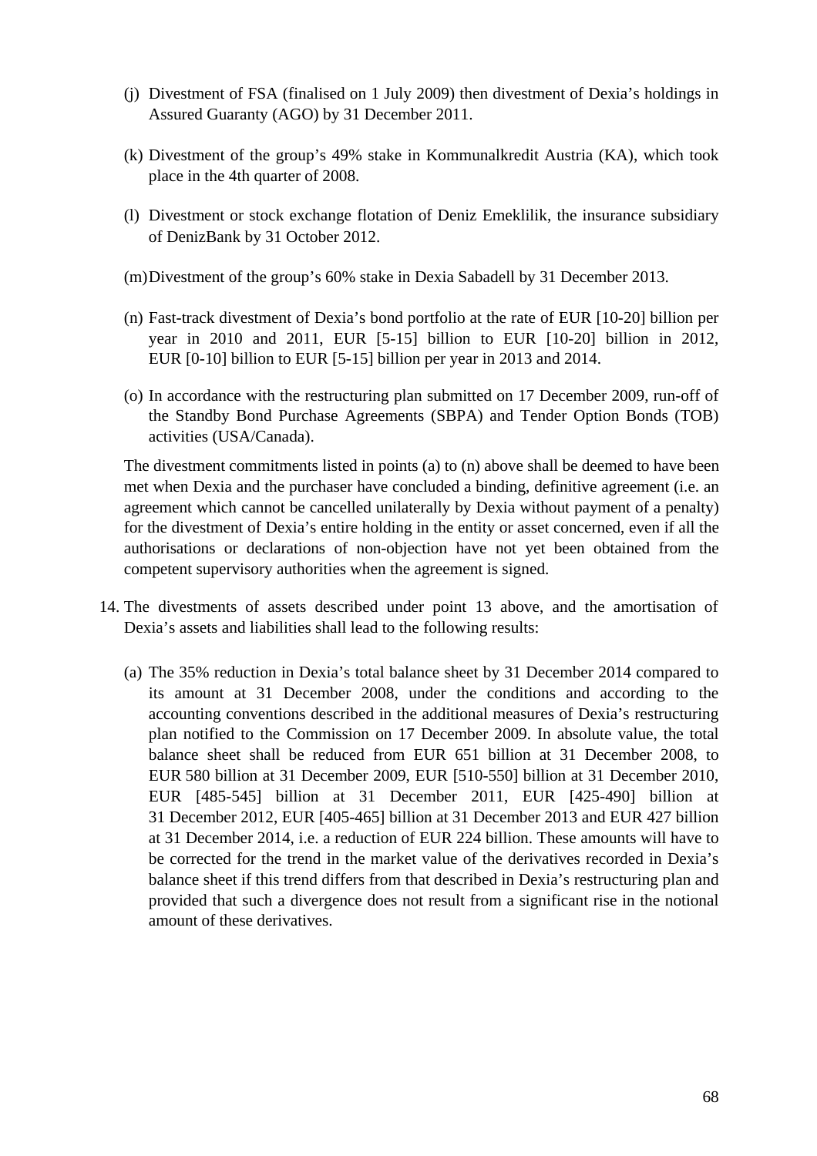- (j) Divestment of FSA (finalised on 1 July 2009) then divestment of Dexia's holdings in Assured Guaranty (AGO) by 31 December 2011.
- (k) Divestment of the group's 49% stake in Kommunalkredit Austria (KA), which took place in the 4th quarter of 2008.
- (l) Divestment or stock exchange flotation of Deniz Emeklilik, the insurance subsidiary of DenizBank by 31 October 2012.
- (m) Divestment of the group's 60% stake in Dexia Sabadell by 31 December 2013.
- (n) Fast-track divestment of Dexia's bond portfolio at the rate of EUR [10-20] billion per year in 2010 and 2011, EUR [5-15] billion to EUR [10-20] billion in 2012, EUR [0-10] billion to EUR [5-15] billion per year in 2013 and 2014.
- (o) In accordance with the restructuring plan submitted on 17 December 2009, run-off of the Standby Bond Purchase Agreements (SBPA) and Tender Option Bonds (TOB) activities (USA/Canada).

The divestment commitments listed in points (a) to (n) above shall be deemed to have been met when Dexia and the purchaser have concluded a binding, definitive agreement (i.e. an agreement which cannot be cancelled unilaterally by Dexia without payment of a penalty) for the divestment of Dexia's entire holding in the entity or asset concerned, even if all the authorisations or declarations of non-objection have not yet been obtained from the competent supervisory authorities when the agreement is signed.

- 14. The divestments of assets described under point 13 above, and the amortisation of Dexia's assets and liabilities shall lead to the following results:
	- (a) The 35% reduction in Dexia's total balance sheet by 31 December 2014 compared to its amount at 31 December 2008, under the conditions and according to the accounting conventions described in the additional measures of Dexia's restructuring plan notified to the Commission on 17 December 2009. In absolute value, the total balance sheet shall be reduced from EUR 651 billion at 31 December 2008, to EUR 580 billion at 31 December 2009, EUR [510-550] billion at 31 December 2010, EUR [485-545] billion at 31 December 2011, EUR [425-490] billion at 31 December 2012, EUR [405-465] billion at 31 December 2013 and EUR 427 billion at 31 December 2014, i.e. a reduction of EUR 224 billion. These amounts will have to be corrected for the trend in the market value of the derivatives recorded in Dexia's balance sheet if this trend differs from that described in Dexia's restructuring plan and provided that such a divergence does not result from a significant rise in the notional amount of these derivatives.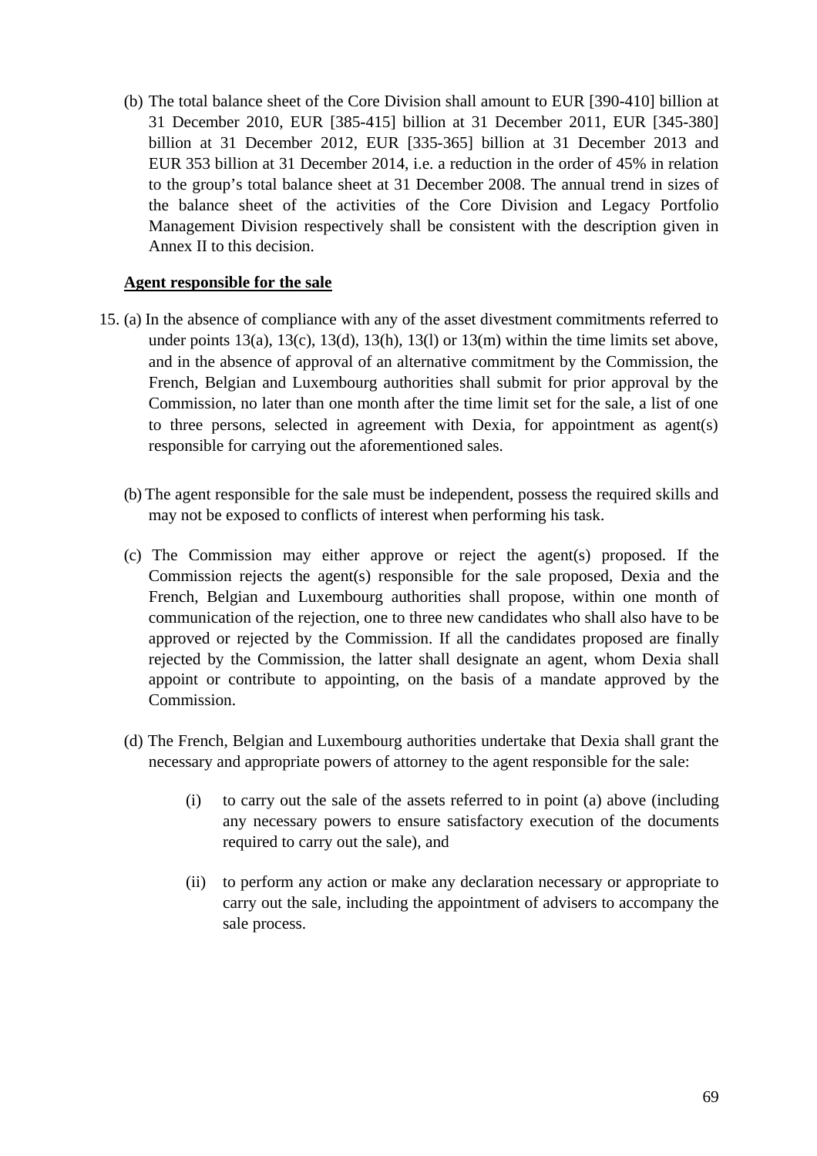(b) The total balance sheet of the Core Division shall amount to EUR [390-410] billion at 31 December 2010, EUR [385-415] billion at 31 December 2011, EUR [345-380] billion at 31 December 2012, EUR [335-365] billion at 31 December 2013 and EUR 353 billion at 31 December 2014, i.e. a reduction in the order of 45% in relation to the group's total balance sheet at 31 December 2008. The annual trend in sizes of the balance sheet of the activities of the Core Division and Legacy Portfolio Management Division respectively shall be consistent with the description given in Annex II to this decision.

#### **Agent responsible for the sale**

- 15. (a) In the absence of compliance with any of the asset divestment commitments referred to under points  $13(a)$ ,  $13(c)$ ,  $13(d)$ ,  $13(h)$ ,  $13(l)$  or  $13(m)$  within the time limits set above, and in the absence of approval of an alternative commitment by the Commission, the French, Belgian and Luxembourg authorities shall submit for prior approval by the Commission, no later than one month after the time limit set for the sale, a list of one to three persons, selected in agreement with Dexia, for appointment as agent(s) responsible for carrying out the aforementioned sales.
	- (b) The agent responsible for the sale must be independent, possess the required skills and may not be exposed to conflicts of interest when performing his task.
	- (c) The Commission may either approve or reject the agent(s) proposed. If the Commission rejects the agent(s) responsible for the sale proposed, Dexia and the French, Belgian and Luxembourg authorities shall propose, within one month of communication of the rejection, one to three new candidates who shall also have to be approved or rejected by the Commission. If all the candidates proposed are finally rejected by the Commission, the latter shall designate an agent, whom Dexia shall appoint or contribute to appointing, on the basis of a mandate approved by the Commission.
	- (d) The French, Belgian and Luxembourg authorities undertake that Dexia shall grant the necessary and appropriate powers of attorney to the agent responsible for the sale:
		- (i) to carry out the sale of the assets referred to in point (a) above (including any necessary powers to ensure satisfactory execution of the documents required to carry out the sale), and
		- (ii) to perform any action or make any declaration necessary or appropriate to carry out the sale, including the appointment of advisers to accompany the sale process.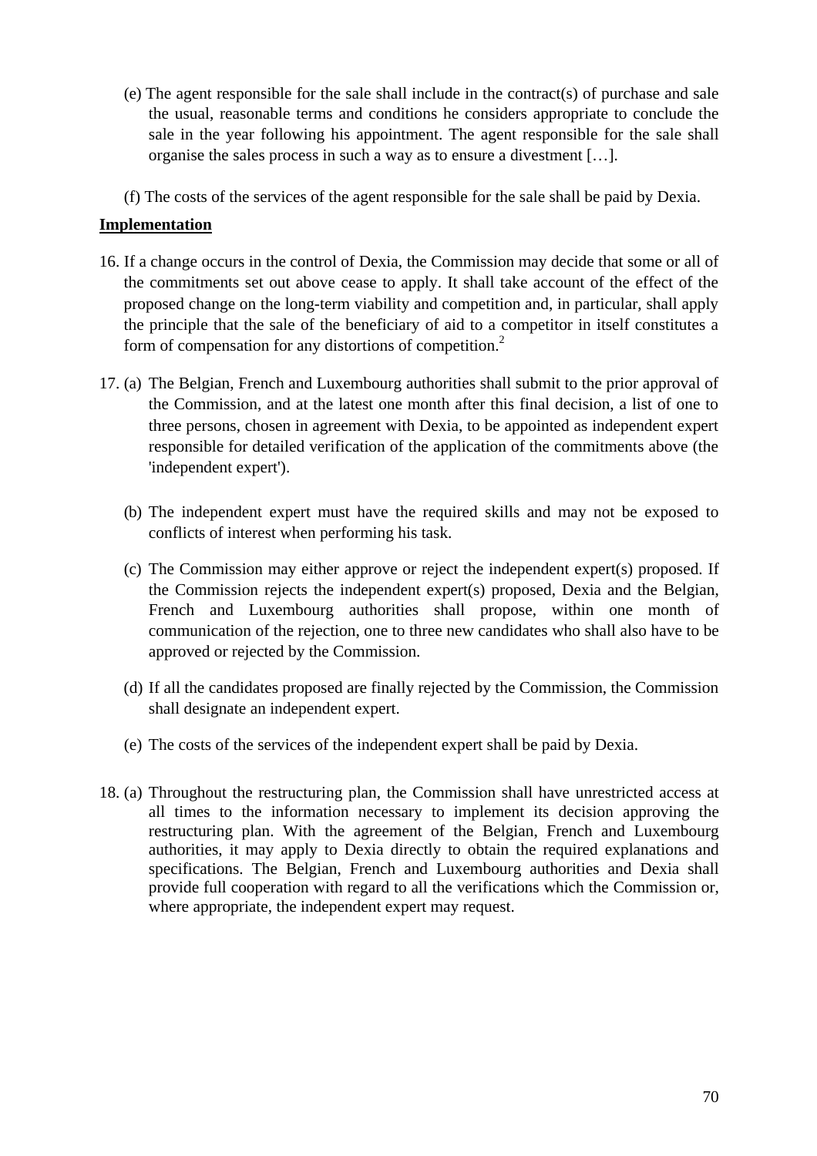- (e) The agent responsible for the sale shall include in the contract(s) of purchase and sale the usual, reasonable terms and conditions he considers appropriate to conclude the sale in the year following his appointment. The agent responsible for the sale shall organise the sales process in such a way as to ensure a divestment […].
- (f) The costs of the services of the agent responsible for the sale shall be paid by Dexia.

# **Implementation**

- 16. If a change occurs in the control of Dexia, the Commission may decide that some or all of the commitments set out above cease to apply. It shall take account of the effect of the proposed change on the long-term viability and competition and, in particular, shall apply the principle that the sale of the beneficiary of aid to a competitor in itself constitutes a form of compensation for any distortions of competition.<sup>2</sup>
- 17. (a) The Belgian, French and Luxembourg authorities shall submit to the prior approval of the Commission, and at the latest one month after this final decision, a list of one to three persons, chosen in agreement with Dexia, to be appointed as independent expert responsible for detailed verification of the application of the commitments above (the 'independent expert').
	- (b) The independent expert must have the required skills and may not be exposed to conflicts of interest when performing his task.
	- (c) The Commission may either approve or reject the independent expert(s) proposed. If the Commission rejects the independent expert(s) proposed, Dexia and the Belgian, French and Luxembourg authorities shall propose, within one month of communication of the rejection, one to three new candidates who shall also have to be approved or rejected by the Commission.
	- (d) If all the candidates proposed are finally rejected by the Commission, the Commission shall designate an independent expert.
	- (e) The costs of the services of the independent expert shall be paid by Dexia.
- 18. (a) Throughout the restructuring plan, the Commission shall have unrestricted access at all times to the information necessary to implement its decision approving the restructuring plan. With the agreement of the Belgian, French and Luxembourg authorities, it may apply to Dexia directly to obtain the required explanations and specifications. The Belgian, French and Luxembourg authorities and Dexia shall provide full cooperation with regard to all the verifications which the Commission or, where appropriate, the independent expert may request.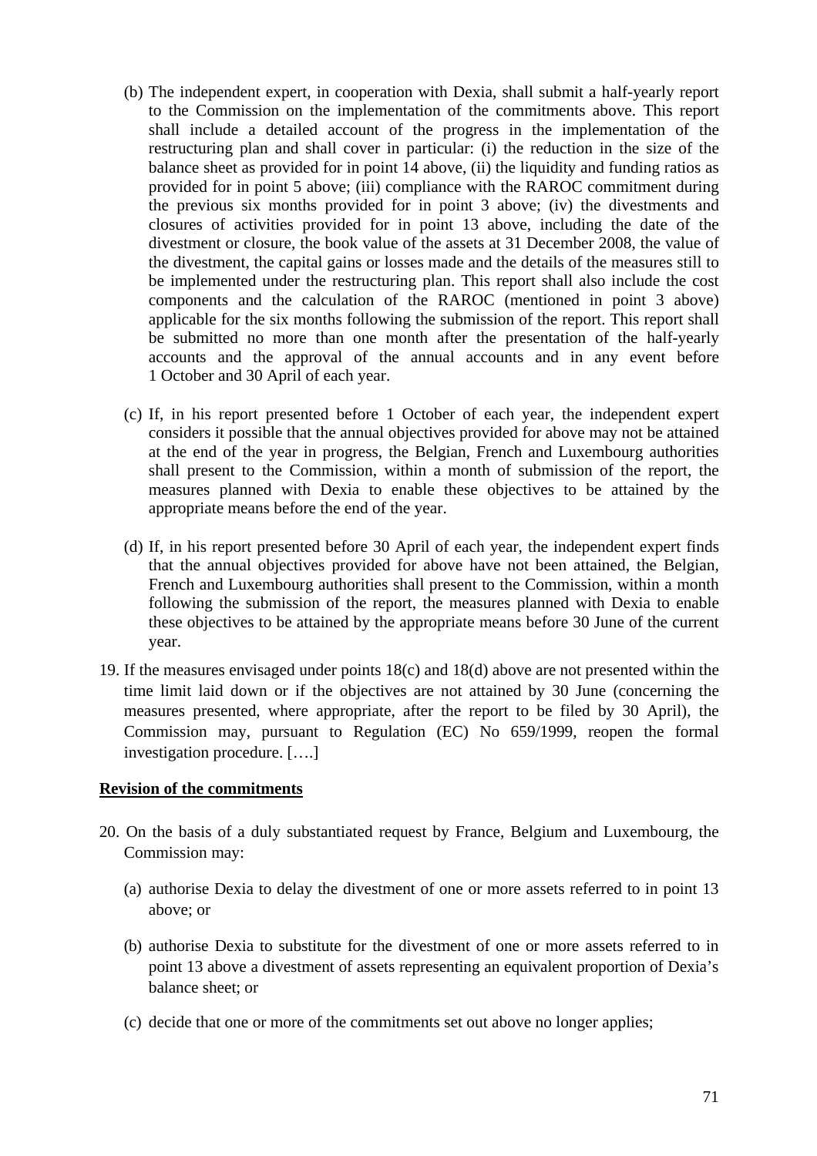- (b) The independent expert, in cooperation with Dexia, shall submit a half-yearly report to the Commission on the implementation of the commitments above. This report shall include a detailed account of the progress in the implementation of the restructuring plan and shall cover in particular: (i) the reduction in the size of the balance sheet as provided for in point 14 above, (ii) the liquidity and funding ratios as provided for in point 5 above; (iii) compliance with the RAROC commitment during the previous six months provided for in point 3 above; (iv) the divestments and closures of activities provided for in point 13 above, including the date of the divestment or closure, the book value of the assets at 31 December 2008, the value of the divestment, the capital gains or losses made and the details of the measures still to be implemented under the restructuring plan. This report shall also include the cost components and the calculation of the RAROC (mentioned in point 3 above) applicable for the six months following the submission of the report. This report shall be submitted no more than one month after the presentation of the half-yearly accounts and the approval of the annual accounts and in any event before 1 October and 30 April of each year.
- (c) If, in his report presented before 1 October of each year, the independent expert considers it possible that the annual objectives provided for above may not be attained at the end of the year in progress, the Belgian, French and Luxembourg authorities shall present to the Commission, within a month of submission of the report, the measures planned with Dexia to enable these objectives to be attained by the appropriate means before the end of the year.
- (d) If, in his report presented before 30 April of each year, the independent expert finds that the annual objectives provided for above have not been attained, the Belgian, French and Luxembourg authorities shall present to the Commission, within a month following the submission of the report, the measures planned with Dexia to enable these objectives to be attained by the appropriate means before 30 June of the current year.
- 19. If the measures envisaged under points 18(c) and 18(d) above are not presented within the time limit laid down or if the objectives are not attained by 30 June (concerning the measures presented, where appropriate, after the report to be filed by 30 April), the Commission may, pursuant to Regulation (EC) No 659/1999, reopen the formal investigation procedure. [….]

#### **Revision of the commitments**

- 20. On the basis of a duly substantiated request by France, Belgium and Luxembourg, the Commission may:
	- (a) authorise Dexia to delay the divestment of one or more assets referred to in point 13 above; or
	- (b) authorise Dexia to substitute for the divestment of one or more assets referred to in point 13 above a divestment of assets representing an equivalent proportion of Dexia's balance sheet; or
	- (c) decide that one or more of the commitments set out above no longer applies;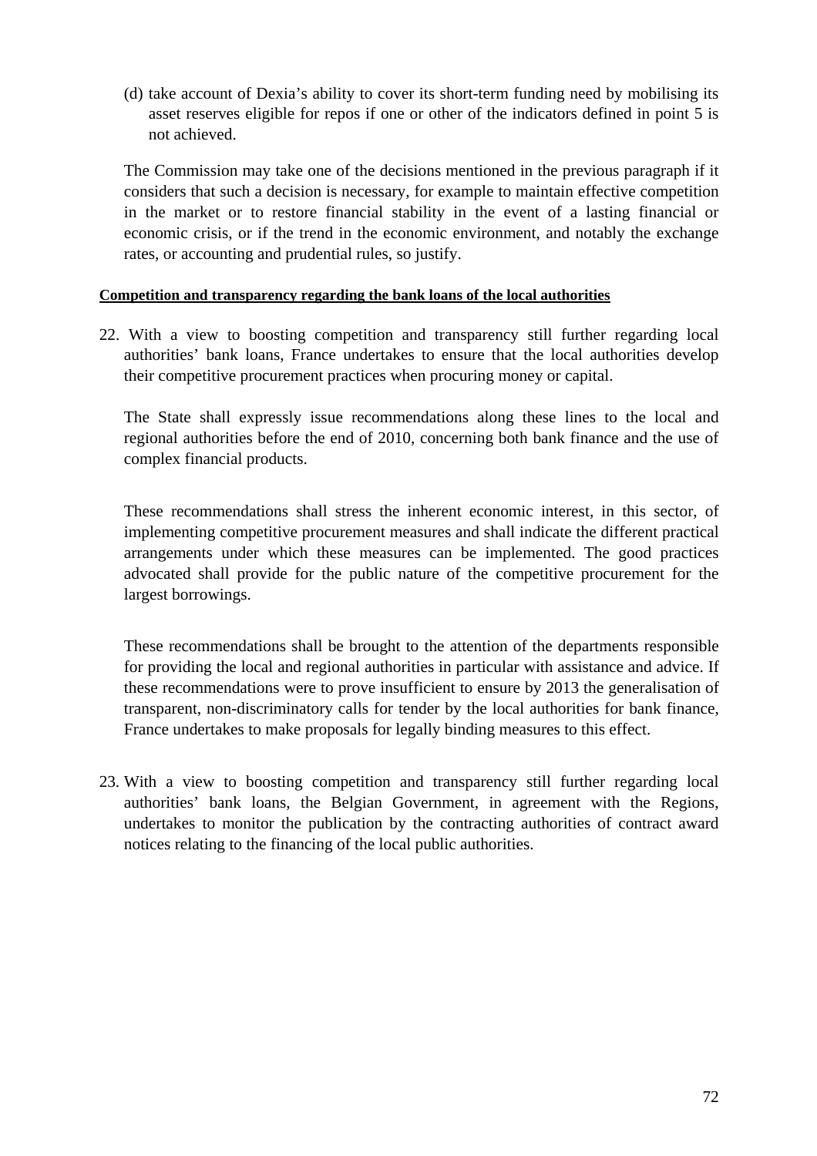(d) take account of Dexia's ability to cover its short-term funding need by mobilising its asset reserves eligible for repos if one or other of the indicators defined in point 5 is not achieved.

The Commission may take one of the decisions mentioned in the previous paragraph if it considers that such a decision is necessary, for example to maintain effective competition in the market or to restore financial stability in the event of a lasting financial or economic crisis, or if the trend in the economic environment, and notably the exchange rates, or accounting and prudential rules, so justify.

### **Competition and transparency regarding the bank loans of the local authorities**

22. With a view to boosting competition and transparency still further regarding local authorities' bank loans, France undertakes to ensure that the local authorities develop their competitive procurement practices when procuring money or capital.

The State shall expressly issue recommendations along these lines to the local and regional authorities before the end of 2010, concerning both bank finance and the use of complex financial products.

These recommendations shall stress the inherent economic interest, in this sector, of implementing competitive procurement measures and shall indicate the different practical arrangements under which these measures can be implemented. The good practices advocated shall provide for the public nature of the competitive procurement for the largest borrowings.

These recommendations shall be brought to the attention of the departments responsible for providing the local and regional authorities in particular with assistance and advice. If these recommendations were to prove insufficient to ensure by 2013 the generalisation of transparent, non-discriminatory calls for tender by the local authorities for bank finance, France undertakes to make proposals for legally binding measures to this effect.

23. With a view to boosting competition and transparency still further regarding local authorities' bank loans, the Belgian Government, in agreement with the Regions, undertakes to monitor the publication by the contracting authorities of contract award notices relating to the financing of the local public authorities.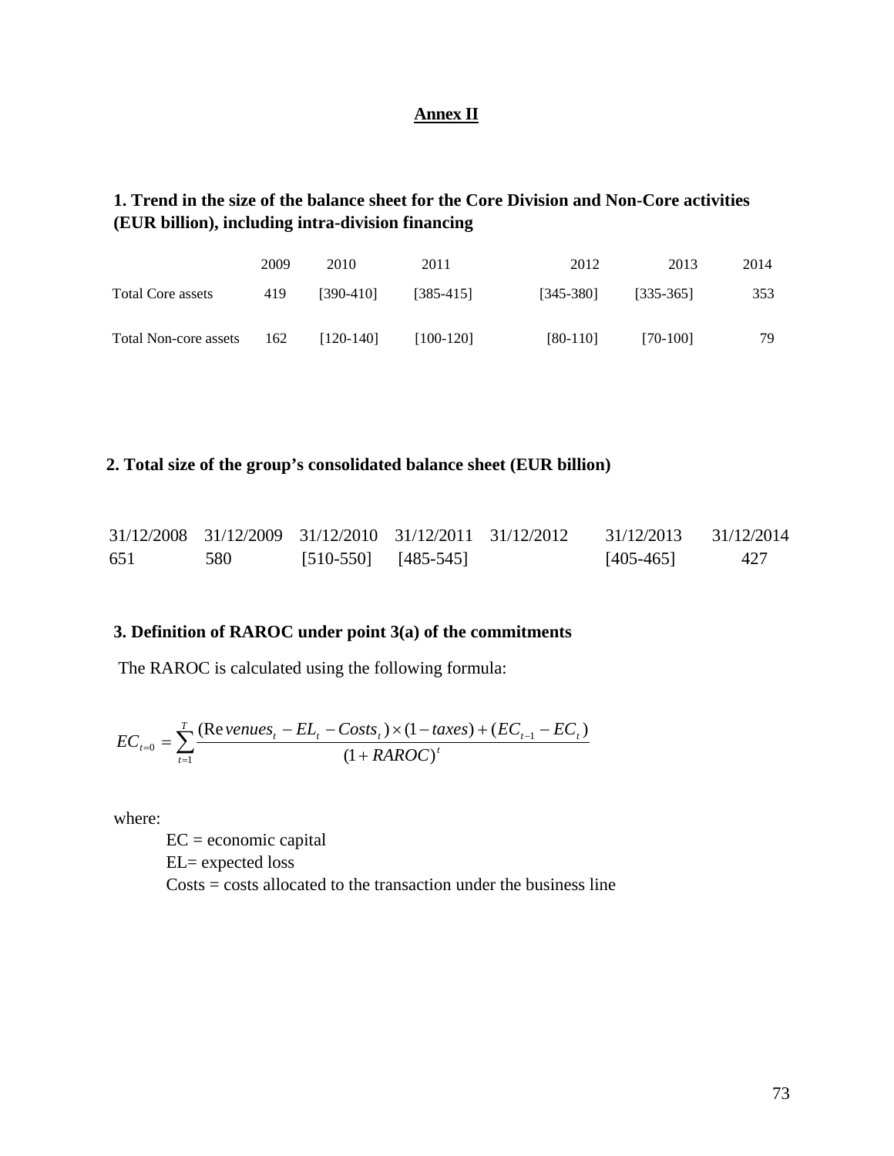### **Annex II**

# **1. Trend in the size of the balance sheet for the Core Division and Non-Core activities (EUR billion), including intra-division financing**

|                          | 2009 | 2010        | 2011        | 2012          | 2013        | 2014 |
|--------------------------|------|-------------|-------------|---------------|-------------|------|
| <b>Total Core assets</b> | 419  | $[390-410]$ | $[385-415]$ | $[345 - 380]$ | $[335-365]$ | 353  |
| Total Non-core assets    | 162  | $[120-140]$ | $[100-120]$ | $[80-110]$    | $[70-100]$  | 79   |

### **2. Total size of the group's consolidated balance sheet (EUR billion)**

|     | 31/12/2008 31/12/2009 31/12/2010 31/12/2011 31/12/2012 |                         |  | 31/12/2013  | 31/12/2014 |
|-----|--------------------------------------------------------|-------------------------|--|-------------|------------|
| 651 | 580                                                    | $[510-550]$ $[485-545]$ |  | $[405-465]$ | 427        |

#### **3. Definition of RAROC under point 3(a) of the commitments**

The RAROC is calculated using the following formula:

$$
EC_{t=0} = \sum_{t=1}^{T} \frac{(Re\, venues_t - EL_t - Costs_t) \times (1 - taxes) + (EC_{t-1} - EC_t)}{(1 + RAROC)^t}
$$

where:

EC = economic capital EL= expected loss Costs = costs allocated to the transaction under the business line